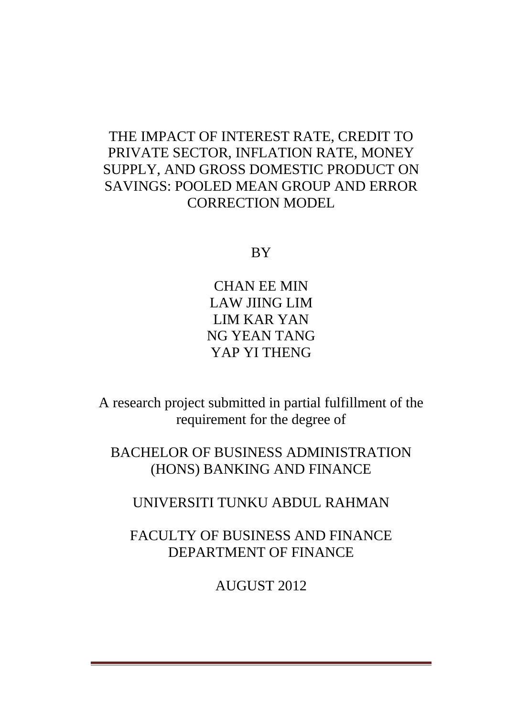# THE IMPACT OF INTEREST RATE, CREDIT TO PRIVATE SECTOR, INFLATION RATE, MONEY SUPPLY, AND GROSS DOMESTIC PRODUCT ON SAVINGS: POOLED MEAN GROUP AND ERROR CORRECTION MODEL

**BY** 

CHAN EE MIN LAW JIING LIM LIM KAR YAN NG YEAN TANG YAP YI THENG

A research project submitted in partial fulfillment of the requirement for the degree of

BACHELOR OF BUSINESS ADMINISTRATION (HONS) BANKING AND FINANCE

UNIVERSITI TUNKU ABDUL RAHMAN

FACULTY OF BUSINESS AND FINANCE DEPARTMENT OF FINANCE

AUGUST 2012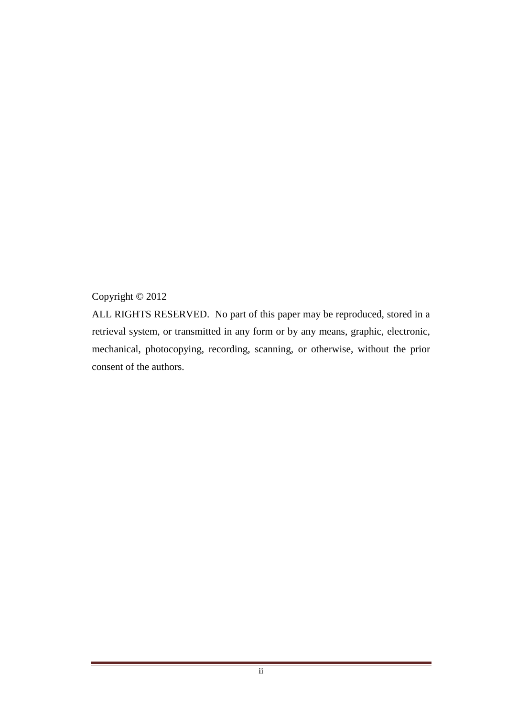## Copyright © 2012

ALL RIGHTS RESERVED. No part of this paper may be reproduced, stored in a retrieval system, or transmitted in any form or by any means, graphic, electronic, mechanical, photocopying, recording, scanning, or otherwise, without the prior consent of the authors.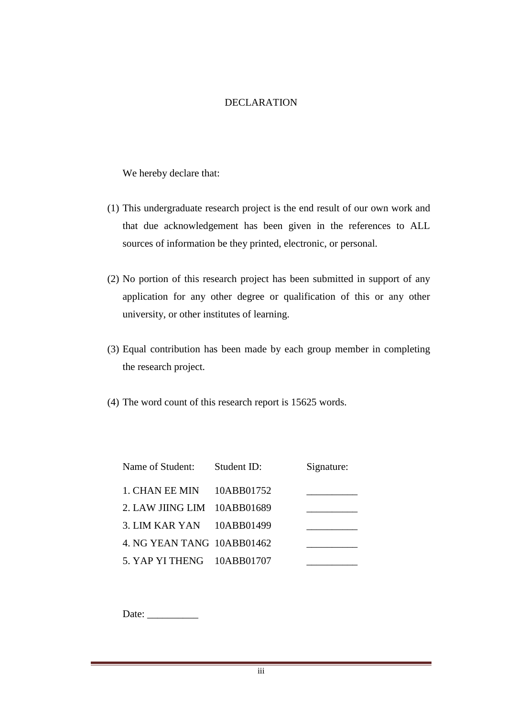#### DECLARATION

We hereby declare that:

- (1) This undergraduate research project is the end result of our own work and that due acknowledgement has been given in the references to ALL sources of information be they printed, electronic, or personal.
- (2) No portion of this research project has been submitted in support of any application for any other degree or qualification of this or any other university, or other institutes of learning.
- (3) Equal contribution has been made by each group member in completing the research project.
- (4) The word count of this research report is 15625 words.

| Name of Student: Student ID: | Signature: |
|------------------------------|------------|
| 1. CHAN EE MIN $10ABB01752$  |            |
| 2. LAW JIING LIM 10ABB01689  |            |
| 3. LIM KAR YAN 10ABB01499    |            |
| 4. NG YEAN TANG 10ABB01462   |            |
| 5. YAP YI THENG 10ABB01707   |            |

Date: \_\_\_\_\_\_\_\_\_\_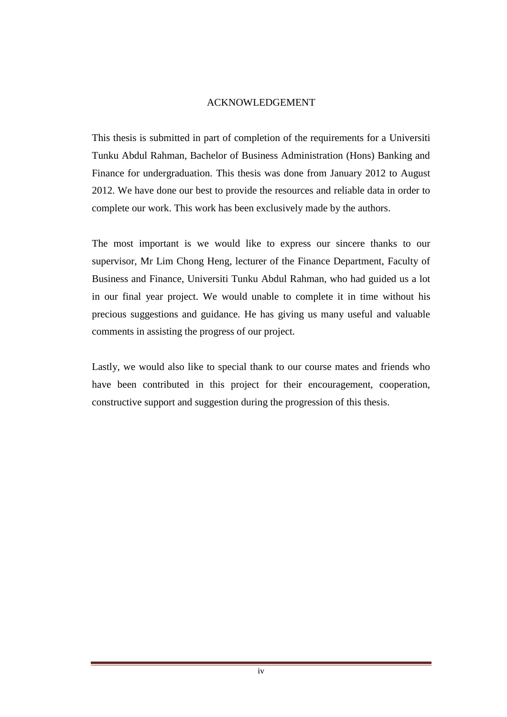#### ACKNOWLEDGEMENT

This thesis is submitted in part of completion of the requirements for a Universiti Tunku Abdul Rahman, Bachelor of Business Administration (Hons) Banking and Finance for undergraduation. This thesis was done from January 2012 to August 2012. We have done our best to provide the resources and reliable data in order to complete our work. This work has been exclusively made by the authors.

The most important is we would like to express our sincere thanks to our supervisor, Mr Lim Chong Heng, lecturer of the Finance Department, Faculty of Business and Finance, Universiti Tunku Abdul Rahman, who had guided us a lot in our final year project. We would unable to complete it in time without his precious suggestions and guidance. He has giving us many useful and valuable comments in assisting the progress of our project.

Lastly, we would also like to special thank to our course mates and friends who have been contributed in this project for their encouragement, cooperation, constructive support and suggestion during the progression of this thesis.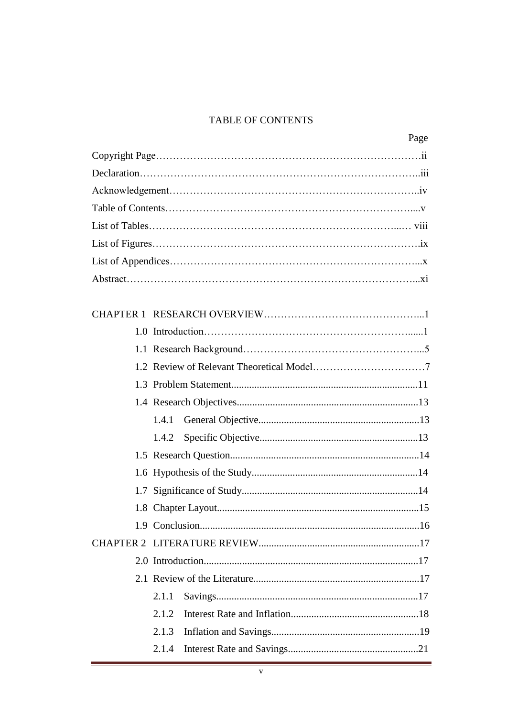### TABLE OF CONTENTS

| 1.4.1 |
|-------|
| 1.4.2 |
|       |
|       |
|       |
|       |
|       |
|       |
|       |
|       |
| 2.1.1 |
| 2.1.2 |
| 2.1.3 |
| 2.1.4 |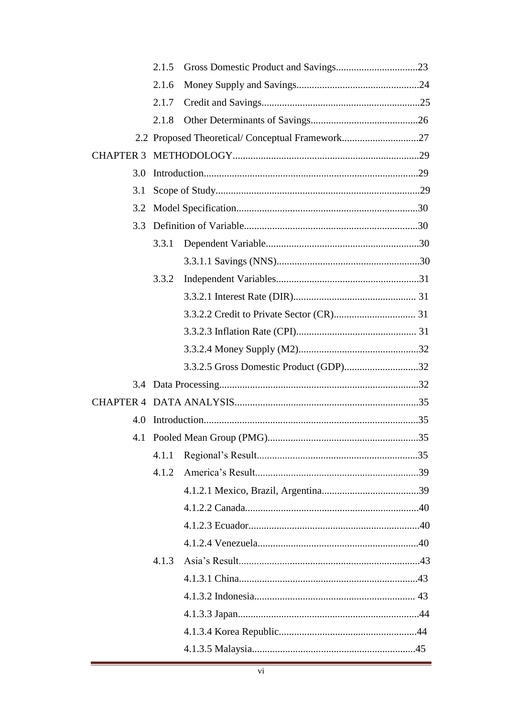|                  | 2.1.5 |                                                 |  |
|------------------|-------|-------------------------------------------------|--|
|                  | 2.1.6 |                                                 |  |
|                  | 2.1.7 |                                                 |  |
|                  | 2.1.8 |                                                 |  |
|                  |       | 2.2 Proposed Theoretical/Conceptual Framework27 |  |
| <b>CHAPTER 3</b> |       |                                                 |  |
| 3.0              |       |                                                 |  |
| 3.1              |       |                                                 |  |
| 3.2              |       |                                                 |  |
| 3.3              |       |                                                 |  |
|                  | 3.3.1 |                                                 |  |
|                  |       |                                                 |  |
|                  | 3.3.2 |                                                 |  |
|                  |       |                                                 |  |
|                  |       |                                                 |  |
|                  |       |                                                 |  |
|                  |       |                                                 |  |
|                  |       | 3.3.2.5 Gross Domestic Product (GDP)32          |  |
|                  |       |                                                 |  |
|                  |       |                                                 |  |
| 4.0              |       |                                                 |  |
| 4.1              |       |                                                 |  |
|                  | 4.1.1 |                                                 |  |
|                  | 4.1.2 |                                                 |  |
|                  |       |                                                 |  |
|                  |       |                                                 |  |
|                  |       |                                                 |  |
|                  |       |                                                 |  |
|                  | 4.1.3 |                                                 |  |
|                  |       |                                                 |  |
|                  |       |                                                 |  |
|                  |       |                                                 |  |
|                  |       |                                                 |  |
|                  |       |                                                 |  |
|                  |       |                                                 |  |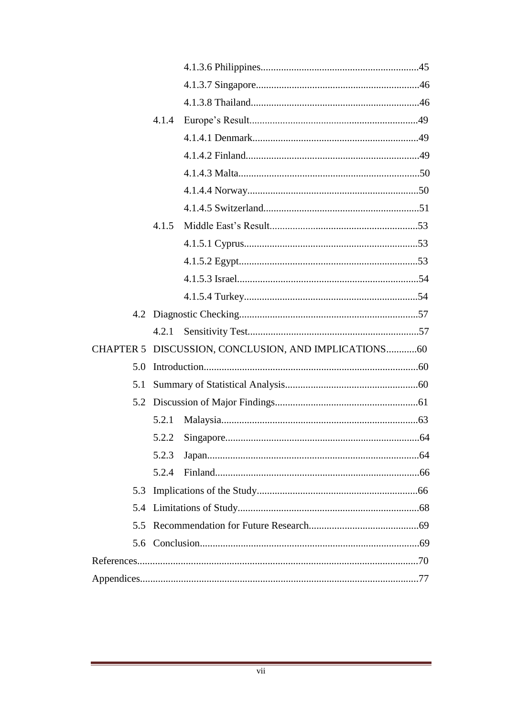|     | 4.1.4 |                                                      |  |
|-----|-------|------------------------------------------------------|--|
|     |       |                                                      |  |
|     |       |                                                      |  |
|     |       |                                                      |  |
|     |       |                                                      |  |
|     |       |                                                      |  |
|     | 4.1.5 |                                                      |  |
|     |       |                                                      |  |
|     |       |                                                      |  |
|     |       |                                                      |  |
|     |       |                                                      |  |
|     |       |                                                      |  |
|     |       |                                                      |  |
|     |       | CHAPTER 5 DISCUSSION, CONCLUSION, AND IMPLICATIONS60 |  |
| 5.0 |       |                                                      |  |
| 5.1 |       |                                                      |  |
|     |       |                                                      |  |
|     | 5.2.1 |                                                      |  |
|     | 5.2.2 |                                                      |  |
|     | 5.2.3 |                                                      |  |
|     | 5.2.4 |                                                      |  |
| 5.3 |       |                                                      |  |
| 5.4 |       |                                                      |  |
|     |       |                                                      |  |
|     |       |                                                      |  |
|     |       |                                                      |  |
|     |       |                                                      |  |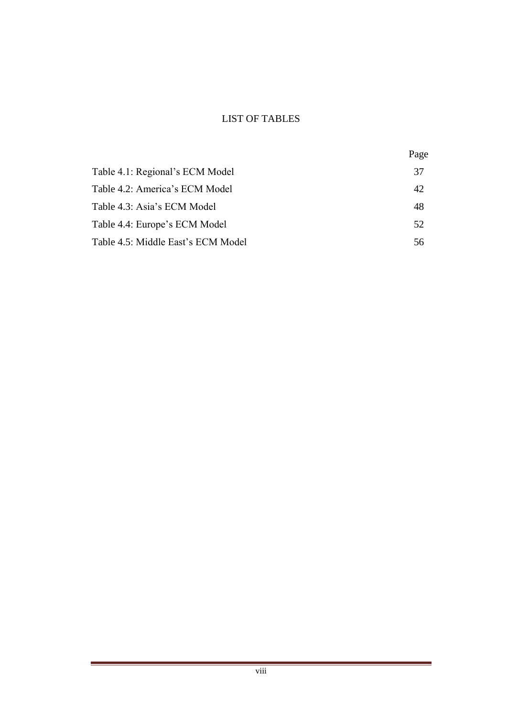### LIST OF TABLES

|                                    | Page |
|------------------------------------|------|
| Table 4.1: Regional's ECM Model    | 37   |
| Table 4.2: America's ECM Model     | 42   |
| Table 4.3: Asia's ECM Model        | 48   |
| Table 4.4: Europe's ECM Model      | 52   |
| Table 4.5: Middle East's ECM Model | 56   |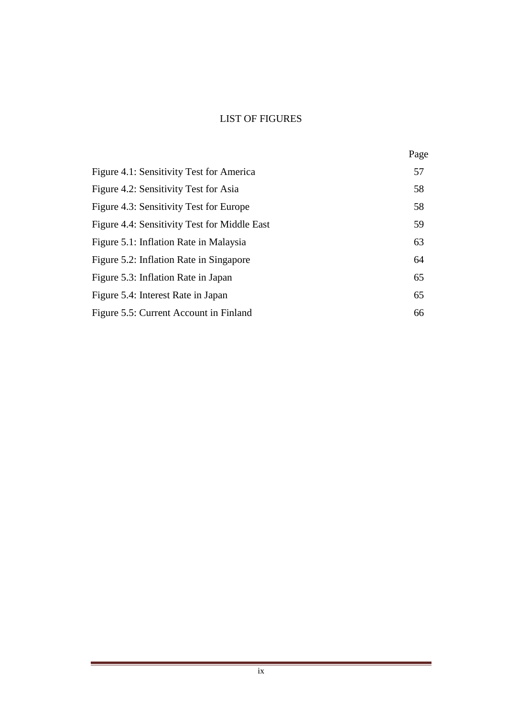### LIST OF FIGURES

|                                              | Page |
|----------------------------------------------|------|
| Figure 4.1: Sensitivity Test for America     | 57   |
| Figure 4.2: Sensitivity Test for Asia        | 58   |
| Figure 4.3: Sensitivity Test for Europe      | 58   |
| Figure 4.4: Sensitivity Test for Middle East | 59   |
| Figure 5.1: Inflation Rate in Malaysia       | 63   |
| Figure 5.2: Inflation Rate in Singapore      | 64   |
| Figure 5.3: Inflation Rate in Japan          | 65   |
| Figure 5.4: Interest Rate in Japan           | 65   |
| Figure 5.5: Current Account in Finland       | 66   |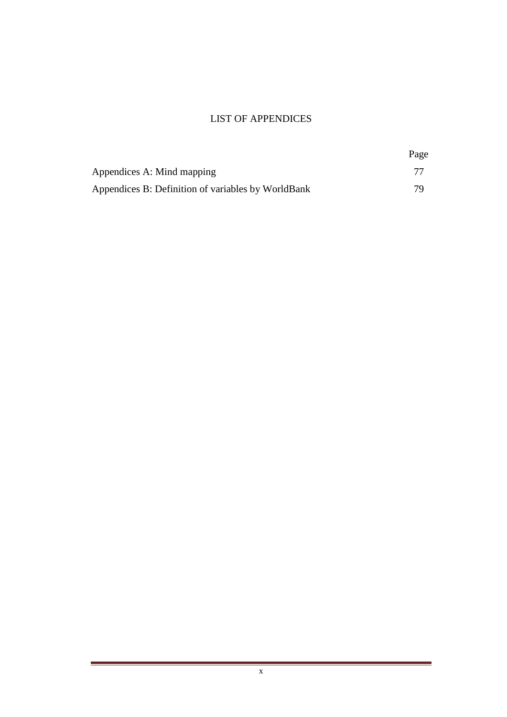#### LIST OF APPENDICES

|                                                    | Page |
|----------------------------------------------------|------|
| Appendices A: Mind mapping                         |      |
| Appendices B: Definition of variables by WorldBank | 70   |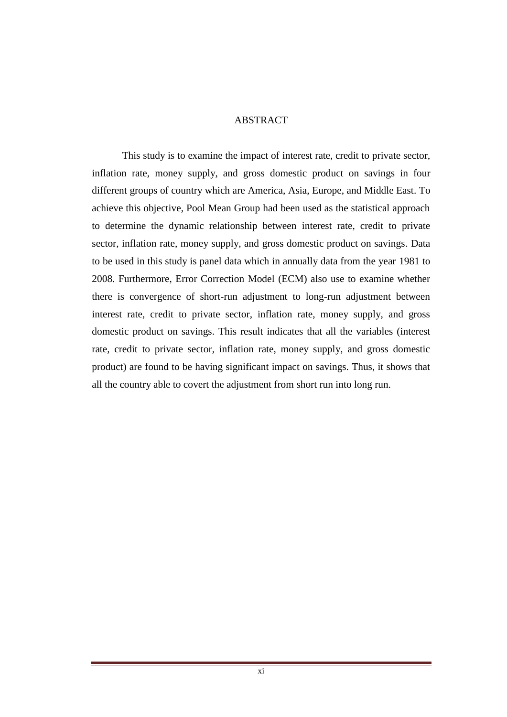#### ABSTRACT

This study is to examine the impact of interest rate, credit to private sector, inflation rate, money supply, and gross domestic product on savings in four different groups of country which are America, Asia, Europe, and Middle East. To achieve this objective, Pool Mean Group had been used as the statistical approach to determine the dynamic relationship between interest rate, credit to private sector, inflation rate, money supply, and gross domestic product on savings. Data to be used in this study is panel data which in annually data from the year 1981 to 2008. Furthermore, Error Correction Model (ECM) also use to examine whether there is convergence of short-run adjustment to long-run adjustment between interest rate, credit to private sector, inflation rate, money supply, and gross domestic product on savings. This result indicates that all the variables (interest rate, credit to private sector, inflation rate, money supply, and gross domestic product) are found to be having significant impact on savings. Thus, it shows that all the country able to covert the adjustment from short run into long run.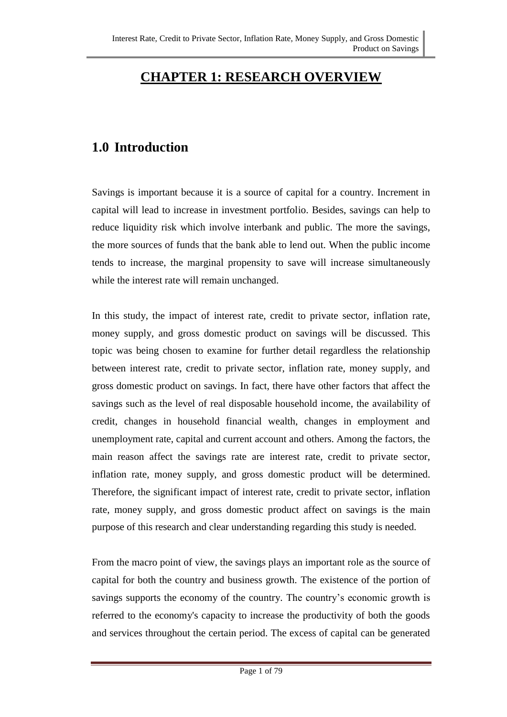# **CHAPTER 1: RESEARCH OVERVIEW**

# **1.0 Introduction**

Savings is important because it is a source of capital for a country. Increment in capital will lead to increase in investment portfolio. Besides, savings can help to reduce liquidity risk which involve interbank and public. The more the savings, the more sources of funds that the bank able to lend out. When the public income tends to increase, the marginal propensity to save will increase simultaneously while the interest rate will remain unchanged.

In this study, the impact of interest rate, credit to private sector, inflation rate, money supply, and gross domestic product on savings will be discussed. This topic was being chosen to examine for further detail regardless the relationship between interest rate, credit to private sector, inflation rate, money supply, and gross domestic product on savings. In fact, there have other factors that affect the savings such as the level of real disposable household income, the availability of credit, changes in household financial wealth, changes in employment and unemployment rate, capital and current account and others. Among the factors, the main reason affect the savings rate are interest rate, credit to private sector, inflation rate, money supply, and gross domestic product will be determined. Therefore, the significant impact of interest rate, credit to private sector, inflation rate, money supply, and gross domestic product affect on savings is the main purpose of this research and clear understanding regarding this study is needed.

From the macro point of view, the savings plays an important role as the source of capital for both the country and business growth. The existence of the portion of savings supports the economy of the country. The country's economic growth is referred to the economy's capacity to increase the productivity of both the goods and services throughout the certain period. The excess of capital can be generated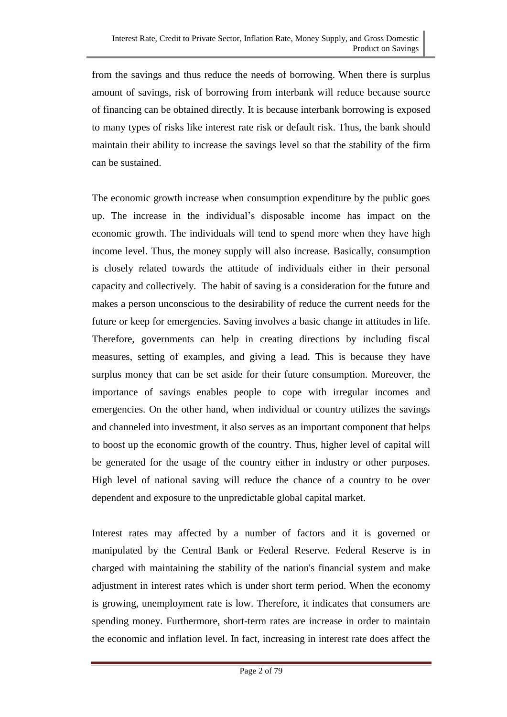from the savings and thus reduce the needs of borrowing. When there is surplus amount of savings, risk of borrowing from interbank will reduce because source of financing can be obtained directly. It is because interbank borrowing is exposed to many types of risks like interest rate risk or default risk. Thus, the bank should maintain their ability to increase the savings level so that the stability of the firm can be sustained.

The economic growth increase when consumption expenditure by the public goes up. The increase in the individual's disposable income has impact on the economic growth. The individuals will tend to spend more when they have high income level. Thus, the money supply will also increase. Basically, consumption is closely related towards the attitude of individuals either in their personal capacity and collectively. The habit of saving is a consideration for the future and makes a person unconscious to the desirability of reduce the current needs for the future or keep for emergencies. Saving involves a basic change in attitudes in life. Therefore, governments can help in creating directions by including fiscal measures, setting of examples, and giving a lead. This is because they have surplus money that can be set aside for their future consumption. Moreover, the importance of savings enables people to cope with irregular incomes and emergencies. On the other hand, when individual or country utilizes the savings and channeled into investment, it also serves as an important component that helps to boost up the economic growth of the country. Thus, higher level of capital will be generated for the usage of the country either in industry or other purposes. High level of national saving will reduce the chance of a country to be over dependent and exposure to the unpredictable global capital market.

Interest rates may affected by a number of factors and it is governed or manipulated by the Central Bank or Federal Reserve. Federal Reserve is in charged with maintaining the stability of the nation's financial system and make adjustment in interest rates which is under short term period. When the economy is growing, unemployment rate is low. Therefore, it indicates that consumers are spending money. Furthermore, short-term rates are increase in order to maintain the economic and inflation level. In fact, increasing in interest rate does affect the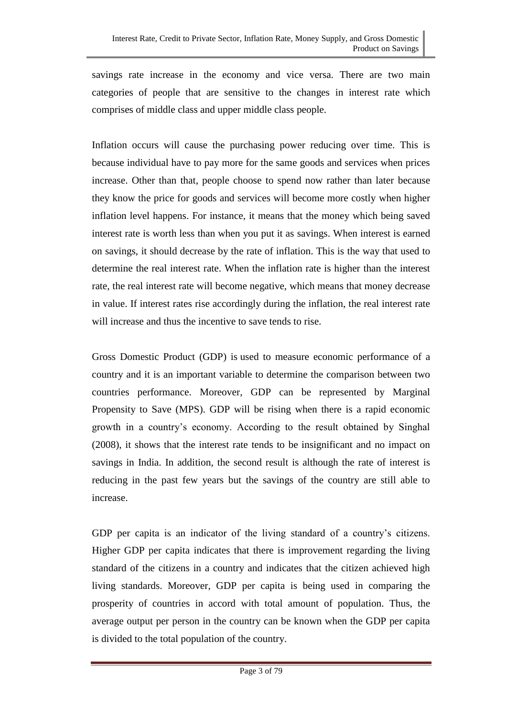savings rate increase in the economy and vice versa. There are two main categories of people that are sensitive to the changes in interest rate which comprises of middle class and upper middle class people.

Inflation occurs will cause the purchasing power reducing over time. This is because individual have to pay more for the same goods and services when prices increase. Other than that, people choose to spend now rather than later because they know the price for goods and services will become more costly when higher inflation level happens. For instance, it means that the money which being saved interest rate is worth less than when you put it as savings. When interest is earned on savings, it should decrease by the rate of inflation. This is the way that used to determine the real interest rate. When the inflation rate is higher than the interest rate, the real interest rate will become negative, which means that money decrease in value. If interest rates rise accordingly during the inflation, the real interest rate will increase and thus the incentive to save tends to rise.

Gross Domestic Product (GDP) is used to measure economic performance of a country and it is an important variable to determine the comparison between two countries performance. Moreover, GDP can be represented by Marginal Propensity to Save (MPS). GDP will be rising when there is a rapid economic growth in a country's economy. According to the result obtained by Singhal (2008), it shows that the interest rate tends to be insignificant and no impact on savings in India. In addition, the second result is although the rate of interest is reducing in the past few years but the savings of the country are still able to increase.

GDP per capita is an indicator of the living standard of a country's citizens. Higher GDP per capita indicates that there is improvement regarding the living standard of the citizens in a country and indicates that the citizen achieved high living standards. Moreover, GDP per capita is being used in comparing the prosperity of countries in accord with total amount of population. Thus, the average output per person in the country can be known when the GDP per capita is divided to the total population of the country.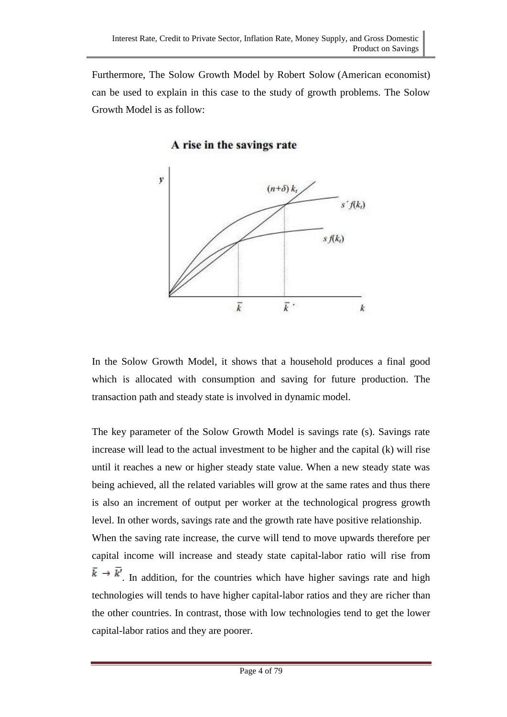Furthermore, The Solow Growth Model by Robert Solow (American economist) can be used to explain in this case to the study of growth problems. The Solow Growth Model is as follow:

A rise in the savings rate



In the Solow Growth Model, it shows that a household produces a final good which is allocated with consumption and saving for future production. The transaction path and steady state is involved in dynamic model.

The key parameter of the Solow Growth Model is savings rate (s). Savings rate increase will lead to the actual investment to be higher and the capital (k) will rise until it reaches a new or higher steady state value. When a new steady state was being achieved, all the related variables will grow at the same rates and thus there is also an increment of output per worker at the technological progress growth level. In other words, savings rate and the growth rate have positive relationship. When the saving rate increase, the curve will tend to move upwards therefore per capital income will increase and steady state capital-labor ratio will rise from  $\bar{k} \rightarrow \bar{k'}$ . In addition, for the countries which have higher savings rate and high technologies will tends to have higher capital-labor ratios and they are richer than the other countries. In contrast, those with low technologies tend to get the lower capital-labor ratios and they are poorer.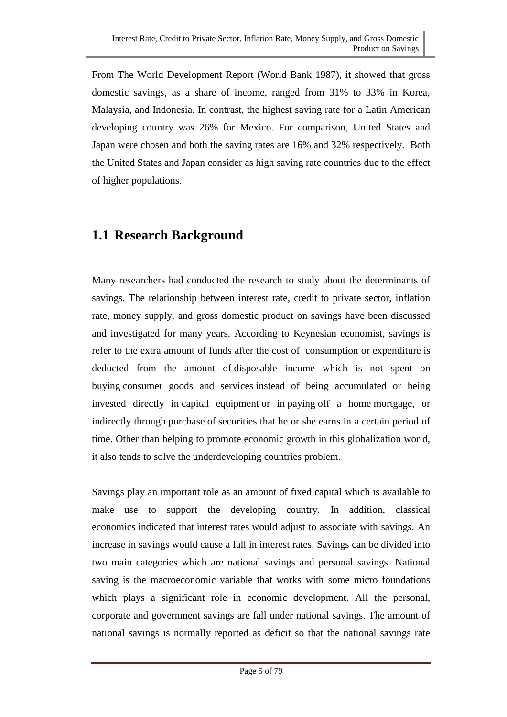From The World Development Report (World Bank 1987), it showed that gross domestic savings, as a share of income, ranged from 31% to 33% in Korea, Malaysia, and Indonesia. In contrast, the highest saving rate for a Latin American developing country was 26% for Mexico. For comparison, United States and Japan were chosen and both the saving rates are 16% and 32% respectively. Both the United States and Japan consider as high saving rate countries due to the effect of higher populations.

## **1.1 Research Background**

Many researchers had conducted the research to study about the determinants of savings. The relationship between interest rate, credit to private sector, inflation rate, money supply, and gross domestic product on savings have been discussed and investigated for many years. According to Keynesian economist, savings is refer to the extra amount of funds after the cost of consumption or expenditure is deducted from the amount of disposable income which is not spent on buying [consumer goods](http://www.businessdictionary.com/definition/consumer-goods.html) and services instead of being accumulated or being invested directly in [capital equipment](http://www.businessdictionary.com/definition/capital-equipment.html) or in [paying](http://www.businessdictionary.com/definition/payer.html) off a home [mortgage,](http://www.businessdictionary.com/definition/mortgage.html) or indirectly through [purchase](http://www.businessdictionary.com/definition/purchase.html) of [securities](http://www.businessdictionary.com/definition/securities.html) that he or she earns in a certain period of time. Other than helping to promote economic growth in this globalization world, it also tends to solve the underdeveloping countries problem.

Savings play an important role as an amount of fixed capital which is available to make use to support the developing country. In addition, [classical](http://en.wikipedia.org/wiki/Classical_economics)  [economics](http://en.wikipedia.org/wiki/Classical_economics) indicated that [interest rates](http://en.wikipedia.org/wiki/Interest_rates) would adjust to associate with savings. An increase in savings would cause a fall in interest rates. Savings can be divided into two main categories which are national savings and personal savings. National saving is the macroeconomic variable that works with some micro foundations which plays a significant role in economic development. All the personal, corporate and government savings are fall under national savings. The amount of national savings is normally reported as deficit so that the national savings rate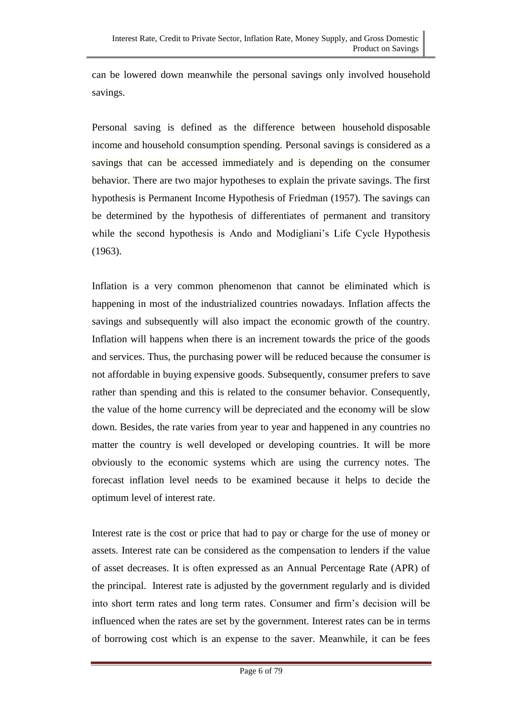can be lowered down meanwhile the personal savings only involved household savings.

Personal saving is defined as the difference between household [disposable](http://en.mimi.hu/business/disposable_income.html)  [income](http://en.mimi.hu/business/disposable_income.html) and household consumption spending. Personal savings is considered as a savings that can be accessed immediately and is depending on the consumer behavior. There are two major hypotheses to explain the private savings. The first hypothesis is Permanent Income Hypothesis of Friedman (1957). The savings can be determined by the hypothesis of differentiates of permanent and transitory while the second hypothesis is Ando and Modigliani's Life Cycle Hypothesis (1963).

Inflation is a very common phenomenon that cannot be eliminated which is happening in most of the industrialized countries nowadays. Inflation affects the savings and subsequently will also impact the economic growth of the country. Inflation will happens when there is an increment towards the price of the goods and services. Thus, the purchasing power will be reduced because the consumer is not affordable in buying expensive goods. Subsequently, consumer prefers to save rather than spending and this is related to the consumer behavior. Consequently, the value of the home currency will be depreciated and the economy will be slow down. Besides, the rate varies from year to year and happened in any countries no matter the country is well developed or developing countries. It will be more obviously to the economic systems which are using the currency notes. The forecast inflation level needs to be examined because it helps to decide the optimum level of interest rate.

Interest rate is the cost or price that had to pay or charge for the use of money or assets. Interest rate can be considered as the compensation to lenders if the value of asset decreases. It is often expressed as an Annual Percentage Rate (APR) of the principal. Interest rate is adjusted by the government regularly and is divided into short term rates and long term rates. Consumer and firm's decision will be influenced when the rates are set by the government. Interest rates can be in terms of borrowing cost which is an expense to the saver. Meanwhile, it can be fees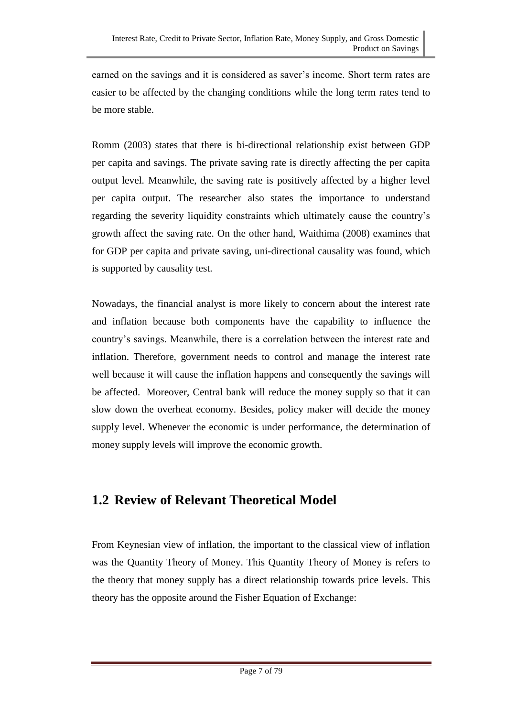earned on the savings and it is considered as saver's income. Short term rates are easier to be affected by the changing conditions while the long term rates tend to be more stable.

Romm (2003) states that there is bi-directional relationship exist between GDP per capita and savings. The private saving rate is directly affecting the per capita output level. Meanwhile, the saving rate is positively affected by a higher level per capita output. The researcher also states the importance to understand regarding the severity liquidity constraints which ultimately cause the country's growth affect the saving rate. On the other hand, Waithima (2008) examines that for GDP per capita and private saving, uni-directional causality was found, which is supported by causality test.

Nowadays, the financial analyst is more likely to concern about the interest rate and inflation because both components have the capability to influence the country's savings. Meanwhile, there is a correlation between the interest rate and inflation. Therefore, government needs to control and manage the interest rate well because it will cause the inflation happens and consequently the savings will be affected. Moreover, Central bank will reduce the money supply so that it can slow down the overheat economy. Besides, policy maker will decide the money supply level. Whenever the economic is under performance, the determination of money supply levels will improve the economic growth.

## **1.2 Review of Relevant Theoretical Model**

From Keynesian view of inflation, the important to the classical view of inflation was the Quantity Theory of Money. This Quantity Theory of Money is refers to the theory that money supply has a direct relationship towards price levels. This theory has the opposite around the Fisher Equation of Exchange: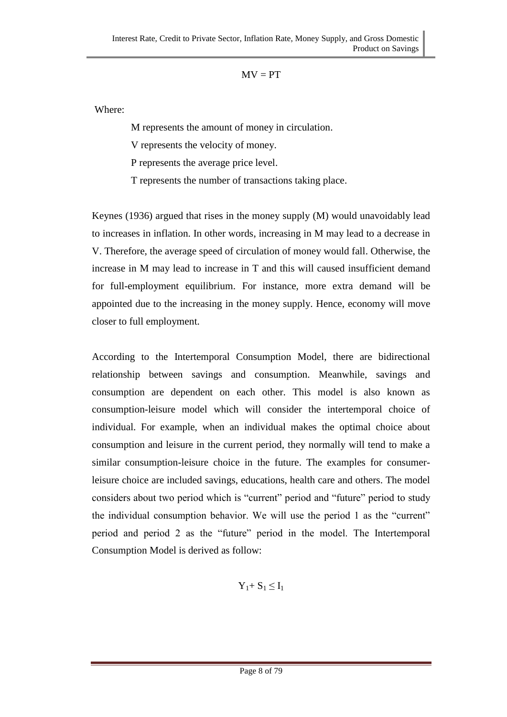#### $MV = PT$

Where:

M represents the amount of money in circulation.

V represents the velocity of money.

P represents the average price level.

T represents the number of transactions taking place.

Keynes (1936) argued that rises in the money supply (M) would unavoidably lead to increases in inflation. In other words, increasing in M may lead to a decrease in V. Therefore, the average speed of circulation of money would fall. Otherwise, the increase in M may lead to increase in T and this will caused insufficient demand for full-employment equilibrium. For instance, more extra demand will be appointed due to the increasing in the money supply. Hence, economy will move closer to full employment.

According to the Intertemporal Consumption Model, there are bidirectional relationship between savings and consumption. Meanwhile, savings and consumption are dependent on each other. This model is also known as consumption-leisure model which will consider the intertemporal choice of individual. For example, when an individual makes the optimal choice about consumption and leisure in the current period, they normally will tend to make a similar consumption-leisure choice in the future. The examples for consumerleisure choice are included savings, educations, health care and others. The model considers about two period which is "current" period and "future" period to study the individual consumption behavior. We will use the period 1 as the "current" period and period 2 as the "future" period in the model. The Intertemporal Consumption Model is derived as follow:

$$
Y_1 + S_1 \leq I_1
$$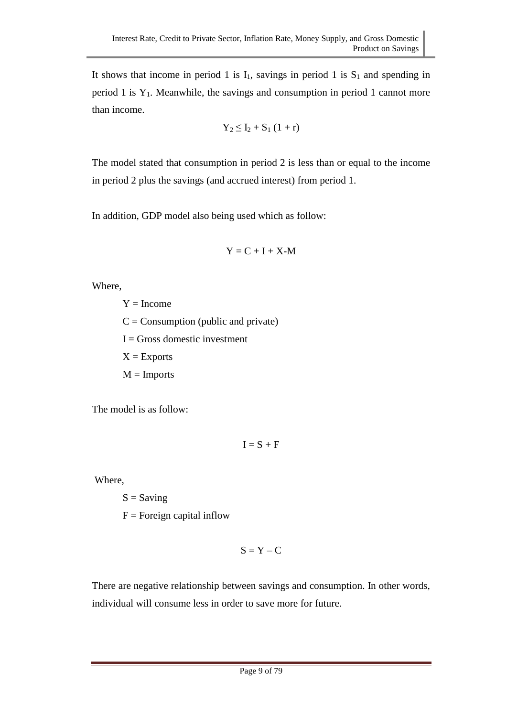It shows that income in period 1 is  $I_1$ , savings in period 1 is  $S_1$  and spending in period 1 is  $Y_1$ . Meanwhile, the savings and consumption in period 1 cannot more than income.

$$
Y_2 \leq I_2 + S_1 \left(1 + r\right)
$$

The model stated that consumption in period 2 is less than or equal to the income in period 2 plus the savings (and accrued interest) from period 1.

In addition, GDP model also being used which as follow:

$$
Y = C + I + X \cdot M
$$

Where,

 $Y = Income$  $C =$  Consumption (public and private)  $I = Gross$  domestic investment  $X =$ Exports  $M =$ Imports

The model is as follow:

$$
I=S+F
$$

Where,

 $S =$  Saving

 $F =$ Foreign capital inflow

$$
S = Y - C
$$

There are negative relationship between savings and consumption. In other words, individual will consume less in order to save more for future.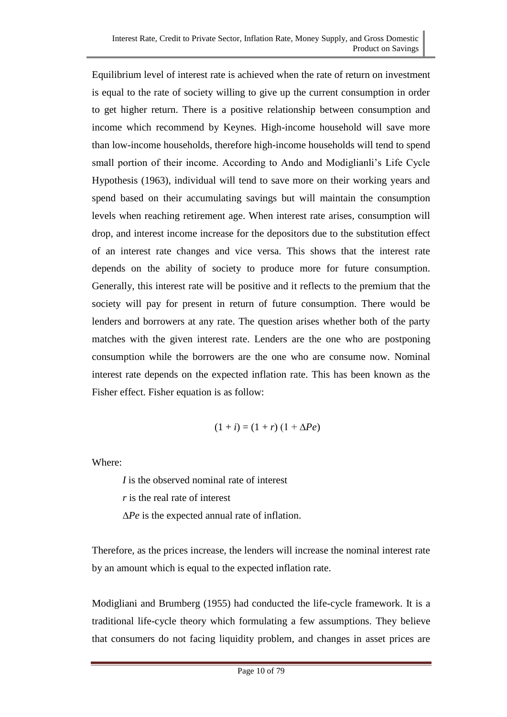Equilibrium level of interest rate is achieved when the rate of return on investment is equal to the rate of society willing to give up the current consumption in order to get higher return. There is a positive relationship between consumption and income which recommend by Keynes. High-income household will save more than low-income households, therefore high-income households will tend to spend small portion of their income. According to Ando and Modiglianli's Life Cycle Hypothesis (1963), individual will tend to save more on their working years and spend based on their accumulating savings but will maintain the consumption levels when reaching retirement age. When interest rate arises, consumption will drop, and interest income increase for the depositors due to the substitution effect of an interest rate changes and vice versa. This shows that the interest rate depends on the ability of society to produce more for future consumption. Generally, this interest rate will be positive and it reflects to the premium that the society will pay for present in return of future consumption. There would be lenders and borrowers at any rate. The question arises whether both of the party matches with the given interest rate. Lenders are the one who are postponing consumption while the borrowers are the one who are consume now. Nominal interest rate depends on the expected inflation rate. This has been known as the Fisher effect. Fisher equation is as follow:

$$
(1+i) = (1+r)(1+\Delta Pe)
$$

Where:

*I* is the observed nominal rate of interest

*r* is the real rate of interest

∆*Pe* is the expected annual rate of inflation.

Therefore, as the prices increase, the lenders will increase the nominal interest rate by an amount which is equal to the expected inflation rate.

Modigliani and Brumberg (1955) had conducted the life-cycle framework. It is a traditional life-cycle theory which formulating a few assumptions. They believe that consumers do not facing liquidity problem, and changes in asset prices are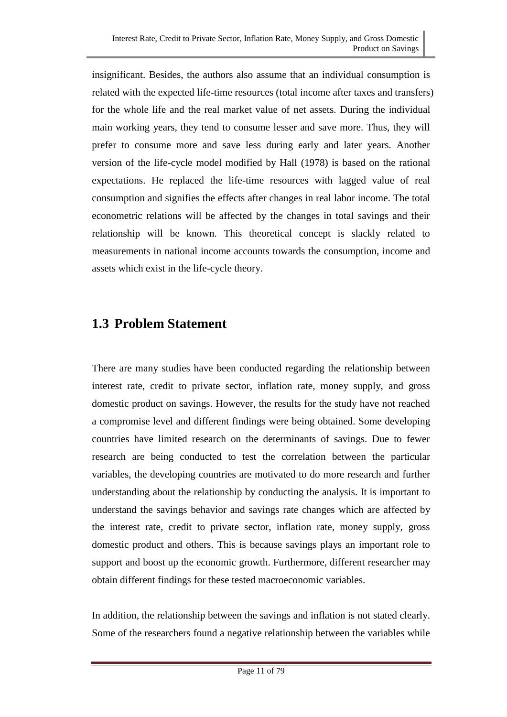insignificant. Besides, the authors also assume that an individual consumption is related with the expected life-time resources (total income after taxes and transfers) for the whole life and the real market value of net assets. During the individual main working years, they tend to consume lesser and save more. Thus, they will prefer to consume more and save less during early and later years. Another version of the life-cycle model modified by Hall (1978) is based on the rational expectations. He replaced the life-time resources with lagged value of real consumption and signifies the effects after changes in real labor income. The total econometric relations will be affected by the changes in total savings and their relationship will be known. This theoretical concept is slackly related to measurements in national income accounts towards the consumption, income and assets which exist in the life-cycle theory.

## **1.3 Problem Statement**

There are many studies have been conducted regarding the relationship between interest rate, credit to private sector, inflation rate, money supply, and gross domestic product on savings. However, the results for the study have not reached a compromise level and different findings were being obtained. Some developing countries have limited research on the determinants of savings. Due to fewer research are being conducted to test the correlation between the particular variables, the developing countries are motivated to do more research and further understanding about the relationship by conducting the analysis. It is important to understand the savings behavior and savings rate changes which are affected by the interest rate, credit to private sector, inflation rate, money supply, gross domestic product and others. This is because savings plays an important role to support and boost up the economic growth. Furthermore, different researcher may obtain different findings for these tested macroeconomic variables.

In addition, the relationship between the savings and inflation is not stated clearly. Some of the researchers found a negative relationship between the variables while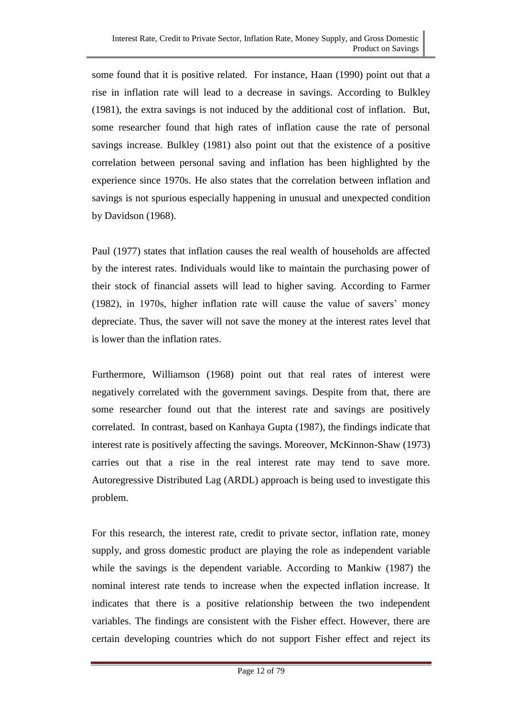some found that it is positive related. For instance, Haan (1990) point out that a rise in inflation rate will lead to a decrease in savings. According to Bulkley (1981), the extra savings is not induced by the additional cost of inflation. But, some researcher found that high rates of inflation cause the rate of personal savings increase. Bulkley (1981) also point out that the existence of a positive correlation between personal saving and inflation has been highlighted by the experience since 1970s. He also states that the correlation between inflation and savings is not spurious especially happening in unusual and unexpected condition by Davidson (1968).

Paul (1977) states that inflation causes the real wealth of households are affected by the interest rates. Individuals would like to maintain the purchasing power of their stock of financial assets will lead to higher saving. According to Farmer (1982), in 1970s, higher inflation rate will cause the value of savers' money depreciate. Thus, the saver will not save the money at the interest rates level that is lower than the inflation rates.

Furthermore, Williamson (1968) point out that real rates of interest were negatively correlated with the government savings. Despite from that, there are some researcher found out that the interest rate and savings are positively correlated. In contrast, based on Kanhaya Gupta (1987), the findings indicate that interest rate is positively affecting the savings. Moreover, McKinnon-Shaw (1973) carries out that a rise in the real interest rate may tend to save more. Autoregressive Distributed Lag (ARDL) approach is being used to investigate this problem.

For this research, the interest rate, credit to private sector, inflation rate, money supply, and gross domestic product are playing the role as independent variable while the savings is the dependent variable. According to Mankiw (1987) the nominal interest rate tends to increase when the expected inflation increase. It indicates that there is a positive relationship between the two independent variables. The findings are consistent with the Fisher effect. However, there are certain developing countries which do not support Fisher effect and reject its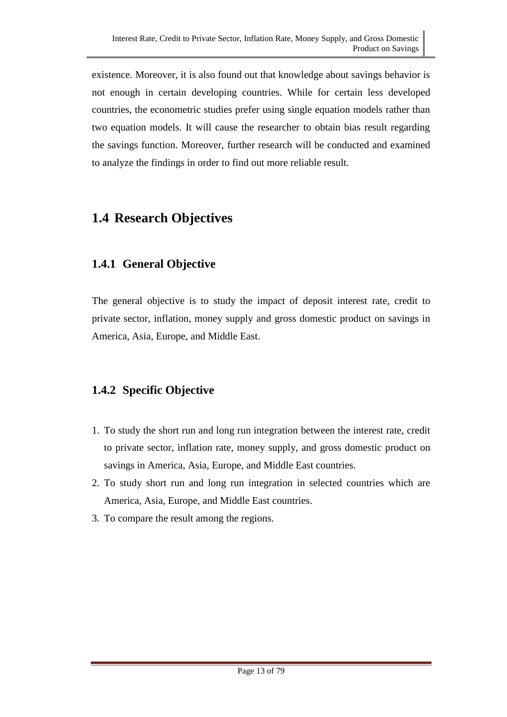existence. Moreover, it is also found out that knowledge about savings behavior is not enough in certain developing countries. While for certain less developed countries, the econometric studies prefer using single equation models rather than two equation models. It will cause the researcher to obtain bias result regarding the savings function. Moreover, further research will be conducted and examined to analyze the findings in order to find out more reliable result.

# **1.4 Research Objectives**

## **1.4.1 General Objective**

The general objective is to study the impact of deposit interest rate, credit to private sector, inflation, money supply and gross domestic product on savings in America, Asia, Europe, and Middle East.

## **1.4.2 Specific Objective**

- 1. To study the short run and long run integration between the interest rate, credit to private sector, inflation rate, money supply, and gross domestic product on savings in America, Asia, Europe, and Middle East countries.
- 2. To study short run and long run integration in selected countries which are America, Asia, Europe, and Middle East countries.
- 3. To compare the result among the regions.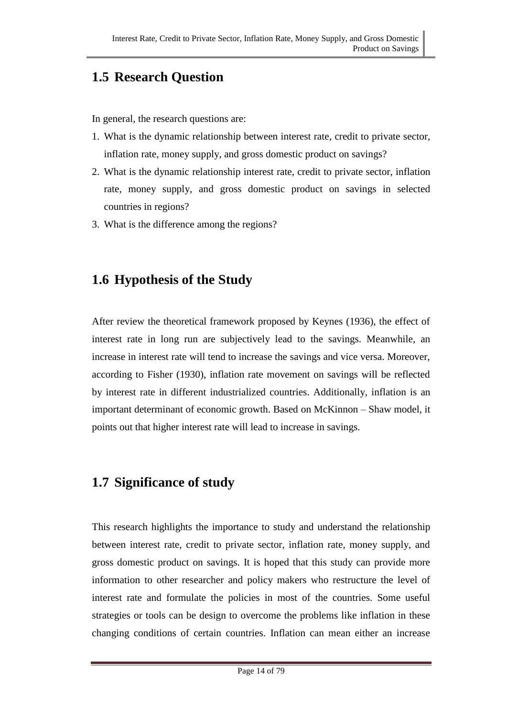# **1.5 Research Question**

In general, the research questions are:

- 1. What is the dynamic relationship between interest rate, credit to private sector, inflation rate, money supply, and gross domestic product on savings?
- 2. What is the dynamic relationship interest rate, credit to private sector, inflation rate, money supply, and gross domestic product on savings in selected countries in regions?
- 3. What is the difference among the regions?

# **1.6 Hypothesis of the Study**

After review the theoretical framework proposed by Keynes (1936), the effect of interest rate in long run are subjectively lead to the savings. Meanwhile, an increase in interest rate will tend to increase the savings and vice versa. Moreover, according to Fisher (1930), inflation rate movement on savings will be reflected by interest rate in different industrialized countries. Additionally, inflation is an important determinant of economic growth. Based on McKinnon – Shaw model, it points out that higher interest rate will lead to increase in savings.

# **1.7 Significance of study**

This research highlights the importance to study and understand the relationship between interest rate, credit to private sector, inflation rate, money supply, and gross domestic product on savings. It is hoped that this study can provide more information to other researcher and policy makers who restructure the level of interest rate and formulate the policies in most of the countries. Some useful strategies or tools can be design to overcome the problems like inflation in these changing conditions of certain countries. Inflation can mean either an increase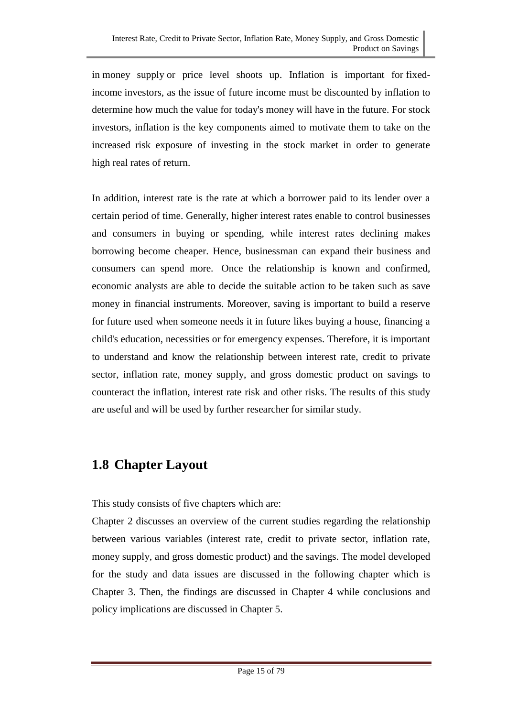in [money supply](http://www.investopedia.com/terms/m/moneysupply.asp) or price level shoots up. Inflation is important for [fixed](http://www.investopedia.com/terms/f/fixedincome.asp)[income](http://www.investopedia.com/terms/f/fixedincome.asp) investors, as the issue of future income must be discounted by inflation to determine how much the value for today's money will have in the future. For stock investors, inflation is the key components aimed to motivate them to take on the increased risk exposure of investing in the stock market in order to generate high [real rates of return.](http://www.investopedia.com/terms/r/realrateofreturn.asp)

In addition, interest rate is the rate at which a borrower paid to its lender over a certain period of time. Generally, higher interest rates enable to control businesses and consumers in buying or spending, while interest rates declining makes borrowing become cheaper. Hence, businessman can expand their business and consumers can spend more. Once the relationship is known and confirmed, economic analysts are able to decide the suitable action to be taken such as save money in financial instruments. Moreover, saving is important to build a reserve for future used when someone needs it in future likes buying a house, financing a child's education, necessities or for emergency expenses. Therefore, it is important to understand and know the relationship between interest rate, credit to private sector, inflation rate, money supply, and gross domestic product on savings to counteract the inflation, interest rate risk and other risks. The results of this study are useful and will be used by further researcher for similar study.

# **1.8 Chapter Layout**

This study consists of five chapters which are:

Chapter 2 discusses an overview of the current studies regarding the relationship between various variables (interest rate, credit to private sector, inflation rate, money supply, and gross domestic product) and the savings. The model developed for the study and data issues are discussed in the following chapter which is Chapter 3. Then, the findings are discussed in Chapter 4 while conclusions and policy implications are discussed in Chapter 5.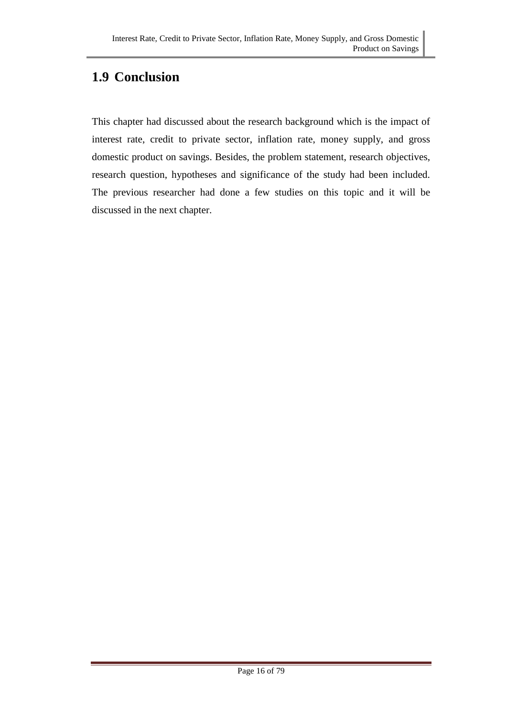# **1.9 Conclusion**

This chapter had discussed about the research background which is the impact of interest rate, credit to private sector, inflation rate, money supply, and gross domestic product on savings. Besides, the problem statement, research objectives, research question, hypotheses and significance of the study had been included. The previous researcher had done a few studies on this topic and it will be discussed in the next chapter.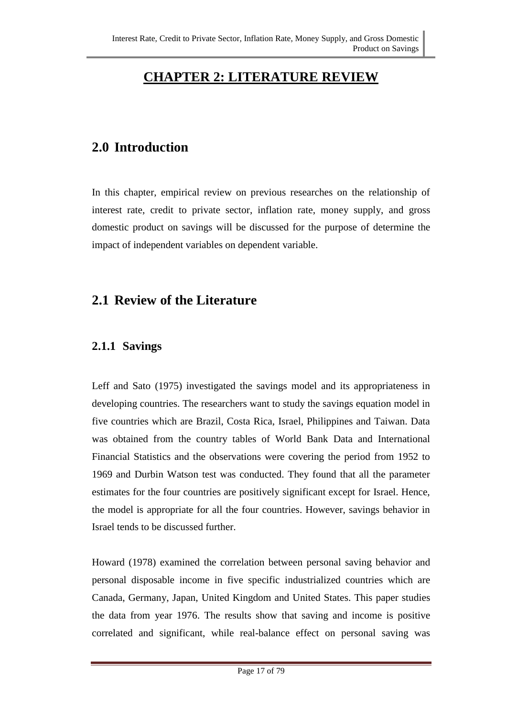# **CHAPTER 2: LITERATURE REVIEW**

## **2.0 Introduction**

In this chapter, empirical review on previous researches on the relationship of interest rate, credit to private sector, inflation rate, money supply, and gross domestic product on savings will be discussed for the purpose of determine the impact of independent variables on dependent variable.

## **2.1 Review of the Literature**

## **2.1.1 Savings**

Leff and Sato (1975) investigated the savings model and its appropriateness in developing countries. The researchers want to study the savings equation model in five countries which are Brazil, Costa Rica, Israel, Philippines and Taiwan. Data was obtained from the country tables of World Bank Data and International Financial Statistics and the observations were covering the period from 1952 to 1969 and Durbin Watson test was conducted. They found that all the parameter estimates for the four countries are positively significant except for Israel. Hence, the model is appropriate for all the four countries. However, savings behavior in Israel tends to be discussed further.

Howard (1978) examined the correlation between personal saving behavior and personal disposable income in five specific industrialized countries which are Canada, Germany, Japan, United Kingdom and United States. This paper studies the data from year 1976. The results show that saving and income is positive correlated and significant, while real-balance effect on personal saving was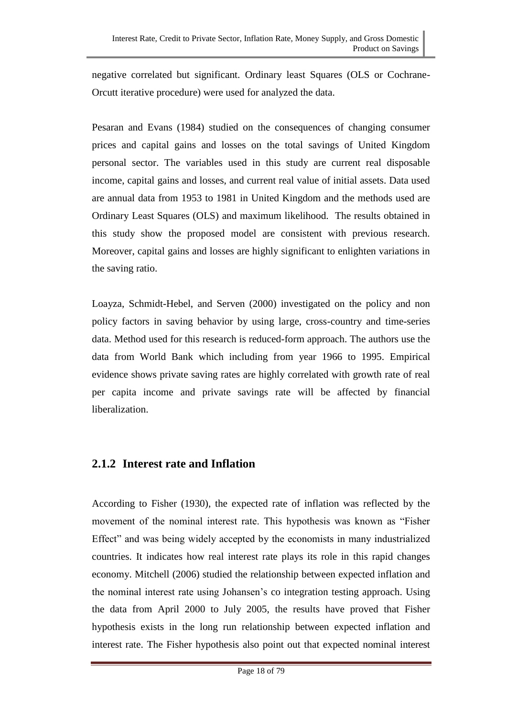negative correlated but significant. Ordinary least Squares (OLS or Cochrane-Orcutt iterative procedure) were used for analyzed the data.

Pesaran and Evans (1984) studied on the consequences of changing consumer prices and capital gains and losses on the total savings of United Kingdom personal sector. The variables used in this study are current real disposable income, capital gains and losses, and current real value of initial assets. Data used are annual data from 1953 to 1981 in United Kingdom and the methods used are Ordinary Least Squares (OLS) and maximum likelihood. The results obtained in this study show the proposed model are consistent with previous research. Moreover, capital gains and losses are highly significant to enlighten variations in the saving ratio.

Loayza, Schmidt-Hebel, and Serven (2000) investigated on the policy and non policy factors in saving behavior by using large, cross-country and time-series data. Method used for this research is reduced-form approach. The authors use the data from World Bank which including from year 1966 to 1995. Empirical evidence shows private saving rates are highly correlated with growth rate of real per capita income and private savings rate will be affected by financial liberalization.

### **2.1.2 Interest rate and Inflation**

According to Fisher (1930), the expected rate of inflation was reflected by the movement of the nominal interest rate. This hypothesis was known as "Fisher Effect" and was being widely accepted by the economists in many industrialized countries. It indicates how real interest rate plays its role in this rapid changes economy. Mitchell (2006) studied the relationship between expected inflation and the nominal interest rate using Johansen's co integration testing approach. Using the data from April 2000 to July 2005, the results have proved that Fisher hypothesis exists in the long run relationship between expected inflation and interest rate. The Fisher hypothesis also point out that expected nominal interest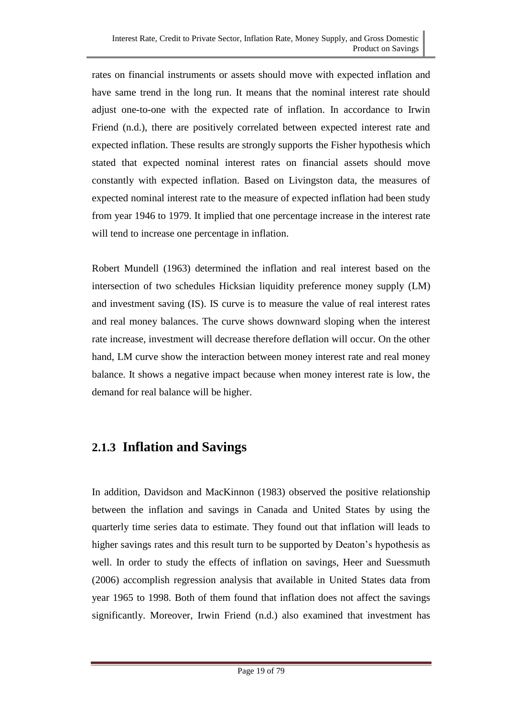rates on financial instruments or assets should move with expected inflation and have same trend in the long run. It means that the nominal interest rate should adjust one-to-one with the expected rate of inflation. In accordance to Irwin Friend (n.d.), there are positively correlated between expected interest rate and expected inflation. These results are strongly supports the Fisher hypothesis which stated that expected nominal interest rates on financial assets should move constantly with expected inflation. Based on Livingston data, the measures of expected nominal interest rate to the measure of expected inflation had been study from year 1946 to 1979. It implied that one percentage increase in the interest rate will tend to increase one percentage in inflation.

Robert Mundell (1963) determined the inflation and real interest based on the intersection of two schedules Hicksian liquidity preference money supply (LM) and investment saving (IS). IS curve is to measure the value of real interest rates and real money balances. The curve shows downward sloping when the interest rate increase, investment will decrease therefore deflation will occur. On the other hand, LM curve show the interaction between money interest rate and real money balance. It shows a negative impact because when money interest rate is low, the demand for real balance will be higher.

## **2.1.3 Inflation and Savings**

In addition, Davidson and MacKinnon (1983) observed the positive relationship between the inflation and savings in Canada and United States by using the quarterly time series data to estimate. They found out that inflation will leads to higher savings rates and this result turn to be supported by Deaton's hypothesis as well. In order to study the effects of inflation on savings, Heer and Suessmuth (2006) accomplish regression analysis that available in United States data from year 1965 to 1998. Both of them found that inflation does not affect the savings significantly. Moreover, Irwin Friend (n.d.) also examined that investment has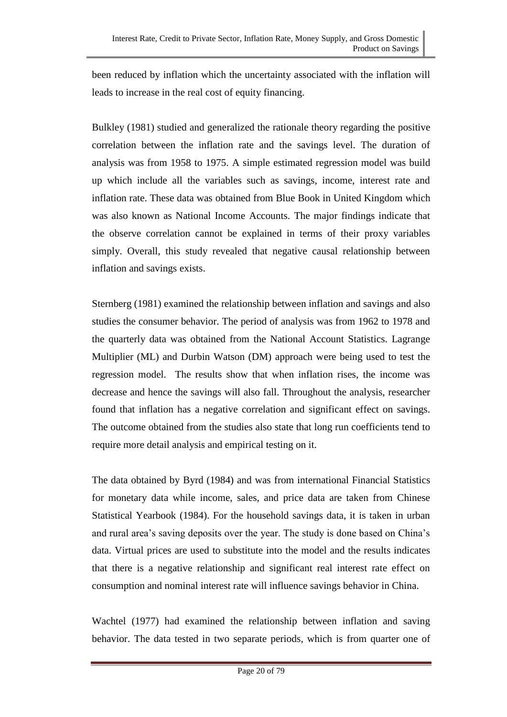been reduced by inflation which the uncertainty associated with the inflation will leads to increase in the real cost of equity financing.

Bulkley (1981) studied and generalized the rationale theory regarding the positive correlation between the inflation rate and the savings level. The duration of analysis was from 1958 to 1975. A simple estimated regression model was build up which include all the variables such as savings, income, interest rate and inflation rate. These data was obtained from Blue Book in United Kingdom which was also known as National Income Accounts. The major findings indicate that the observe correlation cannot be explained in terms of their proxy variables simply. Overall, this study revealed that negative causal relationship between inflation and savings exists.

Sternberg (1981) examined the relationship between inflation and savings and also studies the consumer behavior. The period of analysis was from 1962 to 1978 and the quarterly data was obtained from the National Account Statistics. Lagrange Multiplier (ML) and Durbin Watson (DM) approach were being used to test the regression model. The results show that when inflation rises, the income was decrease and hence the savings will also fall. Throughout the analysis, researcher found that inflation has a negative correlation and significant effect on savings. The outcome obtained from the studies also state that long run coefficients tend to require more detail analysis and empirical testing on it.

The data obtained by Byrd (1984) and was from international Financial Statistics for monetary data while income, sales, and price data are taken from Chinese Statistical Yearbook (1984). For the household savings data, it is taken in urban and rural area's saving deposits over the year. The study is done based on China's data. Virtual prices are used to substitute into the model and the results indicates that there is a negative relationship and significant real interest rate effect on consumption and nominal interest rate will influence savings behavior in China.

Wachtel (1977) had examined the relationship between inflation and saving behavior. The data tested in two separate periods, which is from quarter one of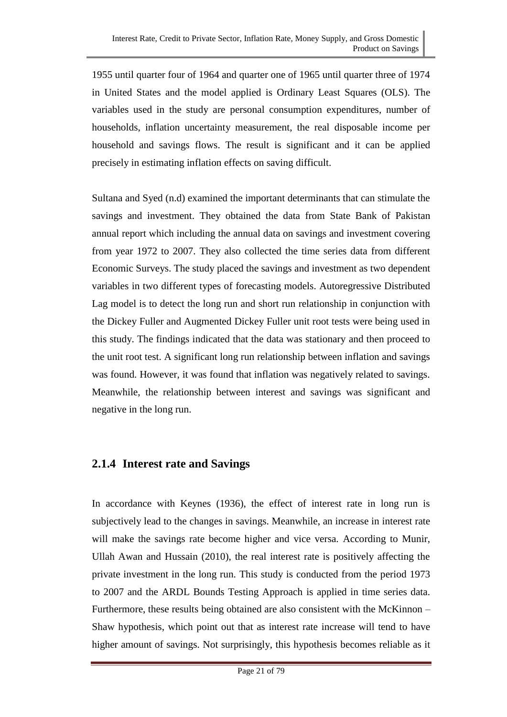1955 until quarter four of 1964 and quarter one of 1965 until quarter three of 1974 in United States and the model applied is Ordinary Least Squares (OLS). The variables used in the study are personal consumption expenditures, number of households, inflation uncertainty measurement, the real disposable income per household and savings flows. The result is significant and it can be applied precisely in estimating inflation effects on saving difficult.

Sultana and Syed (n.d) examined the important determinants that can stimulate the savings and investment. They obtained the data from State Bank of Pakistan annual report which including the annual data on savings and investment covering from year 1972 to 2007. They also collected the time series data from different Economic Surveys. The study placed the savings and investment as two dependent variables in two different types of forecasting models. Autoregressive Distributed Lag model is to detect the long run and short run relationship in conjunction with the Dickey Fuller and Augmented Dickey Fuller unit root tests were being used in this study. The findings indicated that the data was stationary and then proceed to the unit root test. A significant long run relationship between inflation and savings was found. However, it was found that inflation was negatively related to savings. Meanwhile, the relationship between interest and savings was significant and negative in the long run.

### **2.1.4 Interest rate and Savings**

In accordance with Keynes (1936), the effect of interest rate in long run is subjectively lead to the changes in savings. Meanwhile, an increase in interest rate will make the savings rate become higher and vice versa. According to Munir, Ullah Awan and Hussain (2010), the real interest rate is positively affecting the private investment in the long run. This study is conducted from the period 1973 to 2007 and the ARDL Bounds Testing Approach is applied in time series data. Furthermore, these results being obtained are also consistent with the McKinnon – Shaw hypothesis, which point out that as interest rate increase will tend to have higher amount of savings. Not surprisingly, this hypothesis becomes reliable as it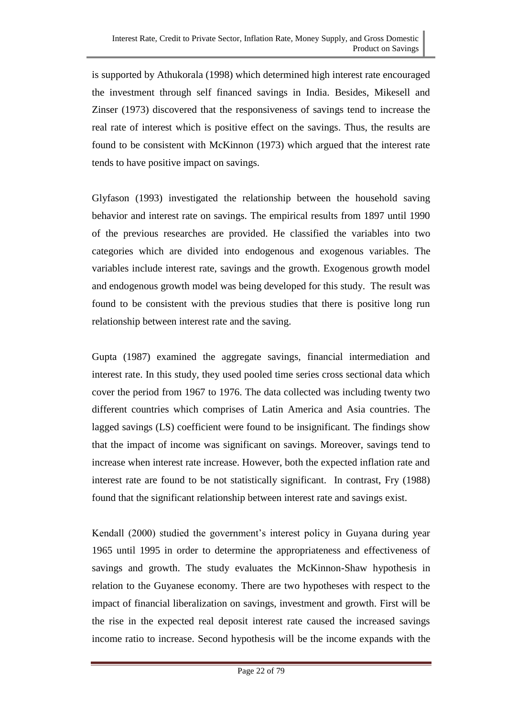is supported by Athukorala (1998) which determined high interest rate encouraged the investment through self financed savings in India. Besides, Mikesell and Zinser (1973) discovered that the responsiveness of savings tend to increase the real rate of interest which is positive effect on the savings. Thus, the results are found to be consistent with McKinnon (1973) which argued that the interest rate tends to have positive impact on savings.

Glyfason (1993) investigated the relationship between the household saving behavior and interest rate on savings. The empirical results from 1897 until 1990 of the previous researches are provided. He classified the variables into two categories which are divided into endogenous and exogenous variables. The variables include interest rate, savings and the growth. Exogenous growth model and endogenous growth model was being developed for this study. The result was found to be consistent with the previous studies that there is positive long run relationship between interest rate and the saving.

Gupta (1987) examined the aggregate savings, financial intermediation and interest rate. In this study, they used pooled time series cross sectional data which cover the period from 1967 to 1976. The data collected was including twenty two different countries which comprises of Latin America and Asia countries. The lagged savings (LS) coefficient were found to be insignificant. The findings show that the impact of income was significant on savings. Moreover, savings tend to increase when interest rate increase. However, both the expected inflation rate and interest rate are found to be not statistically significant. In contrast, Fry (1988) found that the significant relationship between interest rate and savings exist.

Kendall (2000) studied the government's interest policy in Guyana during year 1965 until 1995 in order to determine the appropriateness and effectiveness of savings and growth. The study evaluates the McKinnon-Shaw hypothesis in relation to the Guyanese economy. There are two hypotheses with respect to the impact of financial liberalization on savings, investment and growth. First will be the rise in the expected real deposit interest rate caused the increased savings income ratio to increase. Second hypothesis will be the income expands with the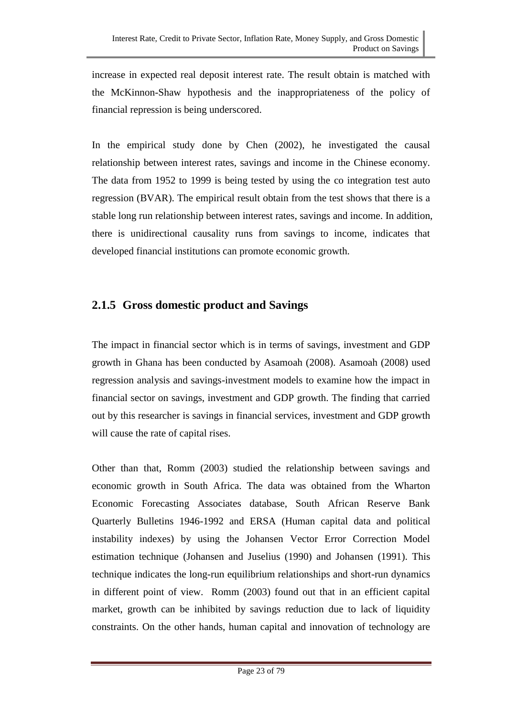increase in expected real deposit interest rate. The result obtain is matched with the McKinnon-Shaw hypothesis and the inappropriateness of the policy of financial repression is being underscored.

In the empirical study done by Chen (2002), he investigated the causal relationship between interest rates, savings and income in the Chinese economy. The data from 1952 to 1999 is being tested by using the co integration test auto regression (BVAR). The empirical result obtain from the test shows that there is a stable long run relationship between interest rates, savings and income. In addition, there is unidirectional causality runs from savings to income, indicates that developed financial institutions can promote economic growth.

### **2.1.5 Gross domestic product and Savings**

The impact in financial sector which is in terms of savings, investment and GDP growth in Ghana has been conducted by Asamoah (2008). Asamoah (2008) used regression analysis and savings-investment models to examine how the impact in financial sector on savings, investment and GDP growth. The finding that carried out by this researcher is savings in financial services, investment and GDP growth will cause the rate of capital rises.

Other than that, Romm (2003) studied the relationship between savings and economic growth in South Africa. The data was obtained from the Wharton Economic Forecasting Associates database, South African Reserve Bank Quarterly Bulletins 1946-1992 and ERSA (Human capital data and political instability indexes) by using the Johansen Vector Error Correction Model estimation technique (Johansen and Juselius (1990) and Johansen (1991). This technique indicates the long-run equilibrium relationships and short-run dynamics in different point of view. Romm (2003) found out that in an efficient capital market, growth can be inhibited by savings reduction due to lack of liquidity constraints. On the other hands, human capital and innovation of technology are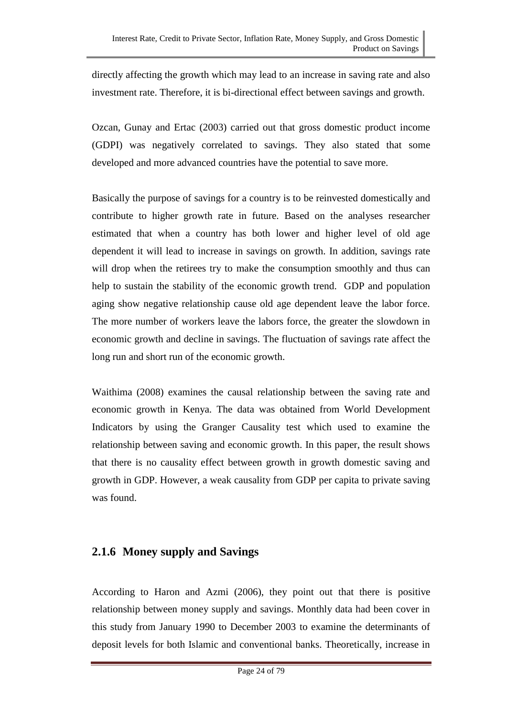directly affecting the growth which may lead to an increase in saving rate and also investment rate. Therefore, it is bi-directional effect between savings and growth.

Ozcan, Gunay and Ertac (2003) carried out that gross domestic product income (GDPI) was negatively correlated to savings. They also stated that some developed and more advanced countries have the potential to save more.

Basically the purpose of savings for a country is to be reinvested domestically and contribute to higher growth rate in future. Based on the analyses researcher estimated that when a country has both lower and higher level of old age dependent it will lead to increase in savings on growth. In addition, savings rate will drop when the retirees try to make the consumption smoothly and thus can help to sustain the stability of the economic growth trend. GDP and population aging show negative relationship cause old age dependent leave the labor force. The more number of workers leave the labors force, the greater the slowdown in economic growth and decline in savings. The fluctuation of savings rate affect the long run and short run of the economic growth.

Waithima (2008) examines the causal relationship between the saving rate and economic growth in Kenya. The data was obtained from World Development Indicators by using the Granger Causality test which used to examine the relationship between saving and economic growth. In this paper, the result shows that there is no causality effect between growth in growth domestic saving and growth in GDP. However, a weak causality from GDP per capita to private saving was found.

### **2.1.6 Money supply and Savings**

According to Haron and Azmi (2006), they point out that there is positive relationship between money supply and savings. Monthly data had been cover in this study from January 1990 to December 2003 to examine the determinants of deposit levels for both Islamic and conventional banks. Theoretically, increase in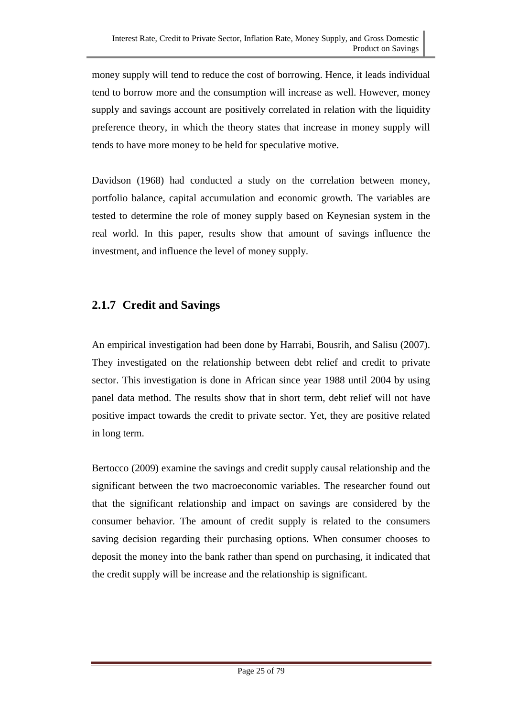money supply will tend to reduce the cost of borrowing. Hence, it leads individual tend to borrow more and the consumption will increase as well. However, money supply and savings account are positively correlated in relation with the liquidity preference theory, in which the theory states that increase in money supply will tends to have more money to be held for speculative motive.

Davidson (1968) had conducted a study on the correlation between money, portfolio balance, capital accumulation and economic growth. The variables are tested to determine the role of money supply based on Keynesian system in the real world. In this paper, results show that amount of savings influence the investment, and influence the level of money supply.

## **2.1.7 Credit and Savings**

An empirical investigation had been done by Harrabi, Bousrih, and Salisu (2007). They investigated on the relationship between debt relief and credit to private sector. This investigation is done in African since year 1988 until 2004 by using panel data method. The results show that in short term, debt relief will not have positive impact towards the credit to private sector. Yet, they are positive related in long term.

Bertocco (2009) examine the savings and credit supply causal relationship and the significant between the two macroeconomic variables. The researcher found out that the significant relationship and impact on savings are considered by the consumer behavior. The amount of credit supply is related to the consumers saving decision regarding their purchasing options. When consumer chooses to deposit the money into the bank rather than spend on purchasing, it indicated that the credit supply will be increase and the relationship is significant.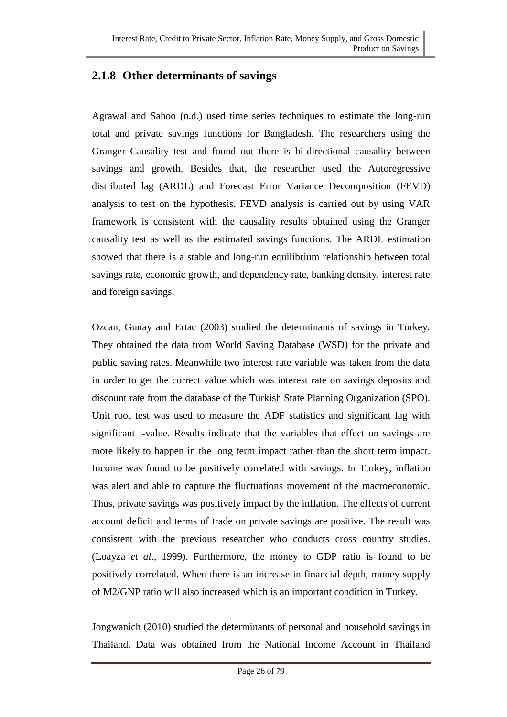### **2.1.8 Other determinants of savings**

Agrawal and Sahoo (n.d.) used time series techniques to estimate the long-run total and private savings functions for Bangladesh. The researchers using the Granger Causality test and found out there is bi-directional causality between savings and growth. Besides that, the researcher used the Autoregressive distributed lag (ARDL) and Forecast Error Variance Decomposition (FEVD) analysis to test on the hypothesis. FEVD analysis is carried out by using VAR framework is consistent with the causality results obtained using the Granger causality test as well as the estimated savings functions. The ARDL estimation showed that there is a stable and long-run equilibrium relationship between total savings rate, economic growth, and dependency rate, banking density, interest rate and foreign savings.

Ozcan, Gunay and Ertac (2003) studied the determinants of savings in Turkey. They obtained the data from World Saving Database (WSD) for the private and public saving rates. Meanwhile two interest rate variable was taken from the data in order to get the correct value which was interest rate on savings deposits and discount rate from the database of the Turkish State Planning Organization (SPO). Unit root test was used to measure the ADF statistics and significant lag with significant t-value. Results indicate that the variables that effect on savings are more likely to happen in the long term impact rather than the short term impact. Income was found to be positively correlated with savings. In Turkey, inflation was alert and able to capture the fluctuations movement of the macroeconomic. Thus, private savings was positively impact by the inflation. The effects of current account deficit and terms of trade on private savings are positive. The result was consistent with the previous researcher who conducts cross country studies. (Loayza *et al*., 1999). Furthermore, the money to GDP ratio is found to be positively correlated. When there is an increase in financial depth, money supply of M2/GNP ratio will also increased which is an important condition in Turkey.

Jongwanich (2010) studied the determinants of personal and household savings in Thailand. Data was obtained from the National Income Account in Thailand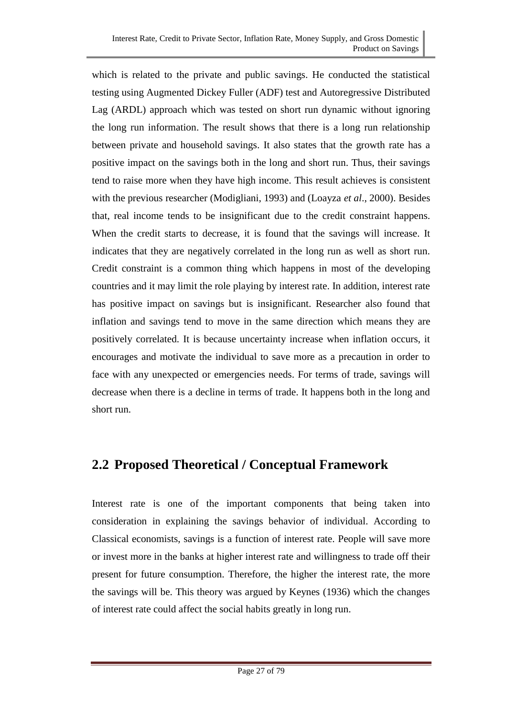which is related to the private and public savings. He conducted the statistical testing using Augmented Dickey Fuller (ADF) test and Autoregressive Distributed Lag (ARDL) approach which was tested on short run dynamic without ignoring the long run information. The result shows that there is a long run relationship between private and household savings. It also states that the growth rate has a positive impact on the savings both in the long and short run. Thus, their savings tend to raise more when they have high income. This result achieves is consistent with the previous researcher (Modigliani, 1993) and (Loayza *et al*., 2000). Besides that, real income tends to be insignificant due to the credit constraint happens. When the credit starts to decrease, it is found that the savings will increase. It indicates that they are negatively correlated in the long run as well as short run. Credit constraint is a common thing which happens in most of the developing countries and it may limit the role playing by interest rate. In addition, interest rate has positive impact on savings but is insignificant. Researcher also found that inflation and savings tend to move in the same direction which means they are positively correlated. It is because uncertainty increase when inflation occurs, it encourages and motivate the individual to save more as a precaution in order to face with any unexpected or emergencies needs. For terms of trade, savings will decrease when there is a decline in terms of trade. It happens both in the long and short run.

## **2.2 Proposed Theoretical / Conceptual Framework**

Interest rate is one of the important components that being taken into consideration in explaining the savings behavior of individual. According to Classical economists, savings is a function of interest rate. People will save more or invest more in the banks at higher interest rate and willingness to trade off their present for future consumption. Therefore, the higher the interest rate, the more the savings will be. This theory was argued by Keynes (1936) which the changes of interest rate could affect the social habits greatly in long run.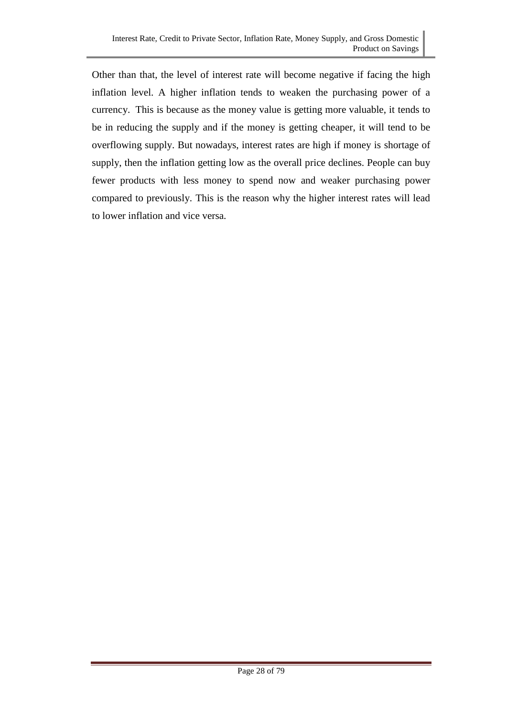Other than that, the level of interest rate will become negative if facing the high inflation level. A higher inflation tends to weaken the purchasing power of a currency. This is because as the money value is getting more valuable, it tends to be in reducing the supply and if the money is getting cheaper, it will tend to be overflowing supply. But nowadays, interest rates are high if money is shortage of supply, then the inflation getting low as the overall price declines. People can buy fewer products with less money to spend now and weaker purchasing power compared to previously. This is the reason why the higher interest rates will lead to lower inflation and vice versa.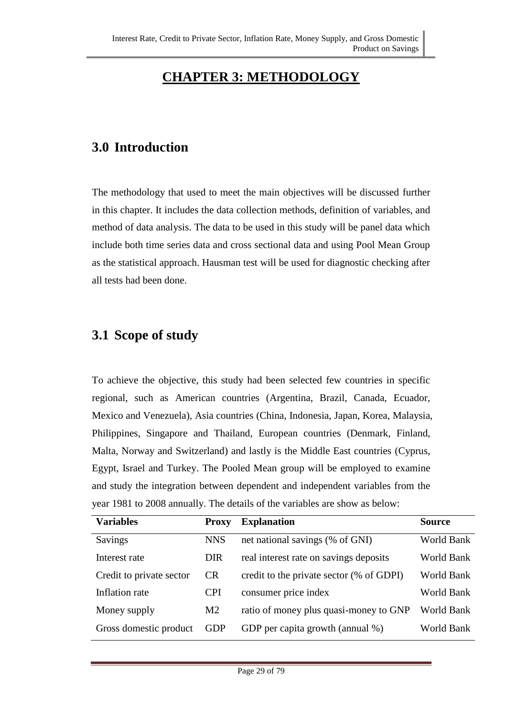# **CHAPTER 3: METHODOLOGY**

### **3.0 Introduction**

The methodology that used to meet the main objectives will be discussed further in this chapter. It includes the data collection methods, definition of variables, and method of data analysis. The data to be used in this study will be panel data which include both time series data and cross sectional data and using Pool Mean Group as the statistical approach. Hausman test will be used for diagnostic checking after all tests had been done.

### **3.1 Scope of study**

To achieve the objective, this study had been selected few countries in specific regional, such as American countries (Argentina, Brazil, Canada, Ecuador, Mexico and Venezuela), Asia countries (China, Indonesia, Japan, Korea, Malaysia, Philippines, Singapore and Thailand, European countries (Denmark, Finland, Malta, Norway and Switzerland) and lastly is the Middle East countries (Cyprus, Egypt, Israel and Turkey. The Pooled Mean group will be employed to examine and study the integration between dependent and independent variables from the year 1981 to 2008 annually. The details of the variables are show as below:

| <b>Variables</b>         | <b>Proxy</b>   | <b>Explanation</b>                       | <b>Source</b> |
|--------------------------|----------------|------------------------------------------|---------------|
| Savings                  | <b>NNS</b>     | net national savings (% of GNI)          | World Bank    |
| Interest rate            | <b>DIR</b>     | real interest rate on savings deposits   | World Bank    |
| Credit to private sector | <b>CR</b>      | credit to the private sector (% of GDPI) | World Bank    |
| Inflation rate           | <b>CPI</b>     | consumer price index                     | World Bank    |
| Money supply             | M <sub>2</sub> | ratio of money plus quasi-money to GNP   | World Bank    |
| Gross domestic product   | <b>GDP</b>     | GDP per capita growth (annual %)         | World Bank    |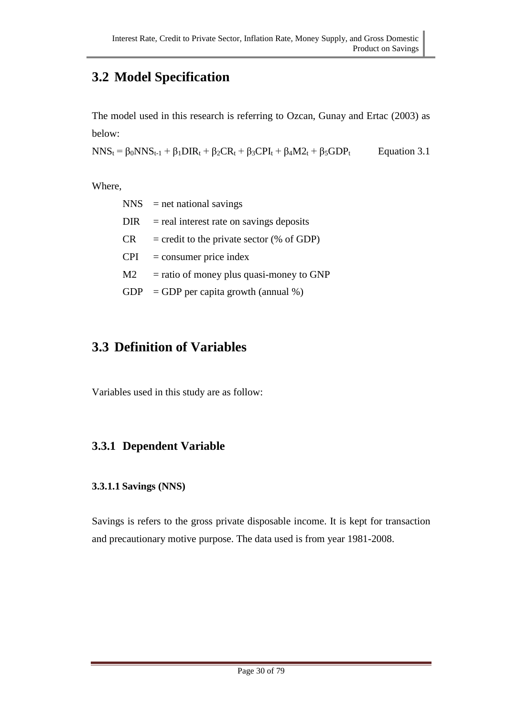# **3.2 Model Specification**

The model used in this research is referring to Ozcan, Gunay and Ertac (2003) as below:

 $NNS_t = \beta_0 NNS_{t-1} + \beta_1 DIR_t + \beta_2CR_t + \beta_3CPI_t + \beta_4 M2_t + \beta_5GDP_t$ Equation 3.1

Where,

| $NNS$ = net national savings                |
|---------------------------------------------|
| $=$ real interest rate on savings deposits  |
| $=$ credit to the private sector (% of GDP) |
| $=$ consumer price index                    |
| $=$ ratio of money plus quasi-money to GNP  |
| $=$ GDP per capita growth (annual %)        |
|                                             |

# **3.3 Definition of Variables**

Variables used in this study are as follow:

### **3.3.1 Dependent Variable**

#### **3.3.1.1 Savings (NNS)**

Savings is refers to the gross private disposable income. It is kept for transaction and precautionary motive purpose. The data used is from year 1981-2008.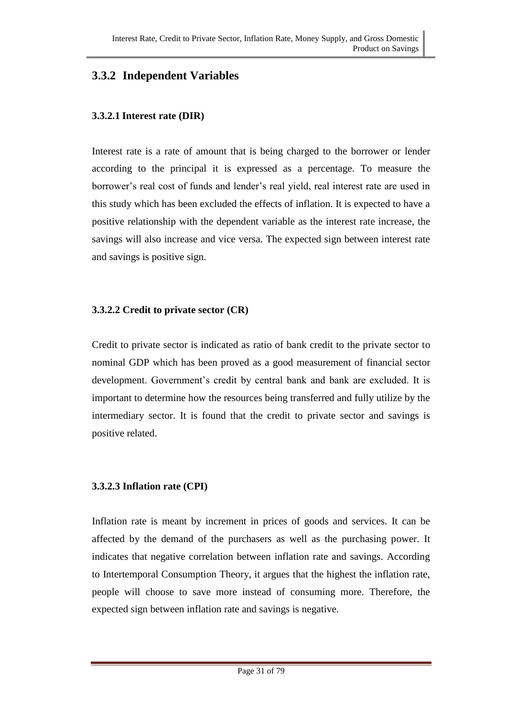### **3.3.2 Independent Variables**

#### **3.3.2.1 Interest rate (DIR)**

Interest rate is a rate of amount that is being charged to the borrower or lender according to the principal it is expressed as a percentage. To measure the borrower's real cost of funds and lender's real yield, real interest rate are used in this study which has been excluded the effects of inflation. It is expected to have a positive relationship with the dependent variable as the interest rate increase, the savings will also increase and vice versa. The expected sign between interest rate and savings is positive sign.

#### **3.3.2.2 Credit to private sector (CR)**

Credit to private sector is indicated as ratio of bank credit to the private sector to nominal GDP which has been proved as a good measurement of financial sector development. Government's credit by central bank and bank are excluded. It is important to determine how the resources being transferred and fully utilize by the intermediary sector. It is found that the credit to private sector and savings is positive related.

#### **3.3.2.3 Inflation rate (CPI)**

Inflation rate is meant by increment in prices of goods and services. It can be affected by the demand of the purchasers as well as the purchasing power. It indicates that negative correlation between inflation rate and savings. According to Intertemporal Consumption Theory, it argues that the highest the inflation rate, people will choose to save more instead of consuming more. Therefore, the expected sign between inflation rate and savings is negative.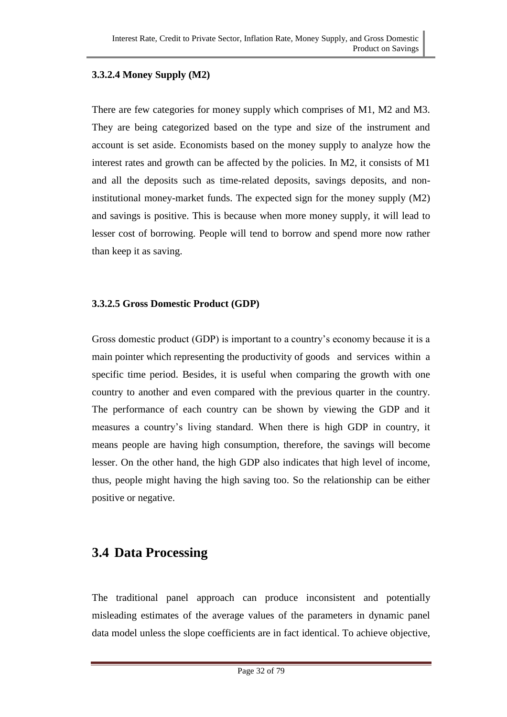#### **3.3.2.4 Money Supply (M2)**

There are few categories for money supply which comprises of M1, M2 and M3. They are being categorized based on the type and size of the instrument and account is set aside. Economists based on the money supply to analyze how the interest rates and growth can be affected by the policies. In M2, it consists of M1 and all the deposits such as time-related deposits, savings deposits, and noninstitutional money-market funds. The expected sign for the money supply (M2) and savings is positive. This is because when more money supply, it will lead to lesser cost of borrowing. People will tend to borrow and spend more now rather than keep it as saving.

#### **3.3.2.5 Gross Domestic Product (GDP)**

Gross domestic product (GDP) is important to a country's economy because it is a main pointer which representing the productivity of goods and services within a specific time period. Besides, it is useful when comparing the growth with one country to another and even compared with the previous quarter in the country. The performance of each country can be shown by viewing the GDP and it measures a country's living standard. When there is high GDP in country, it means people are having high consumption, therefore, the savings will become lesser. On the other hand, the high GDP also indicates that high level of income, thus, people might having the high saving too. So the relationship can be either positive or negative.

### **3.4 Data Processing**

The traditional panel approach can produce inconsistent and potentially misleading estimates of the average values of the parameters in dynamic panel data model unless the slope coefficients are in fact identical. To achieve objective,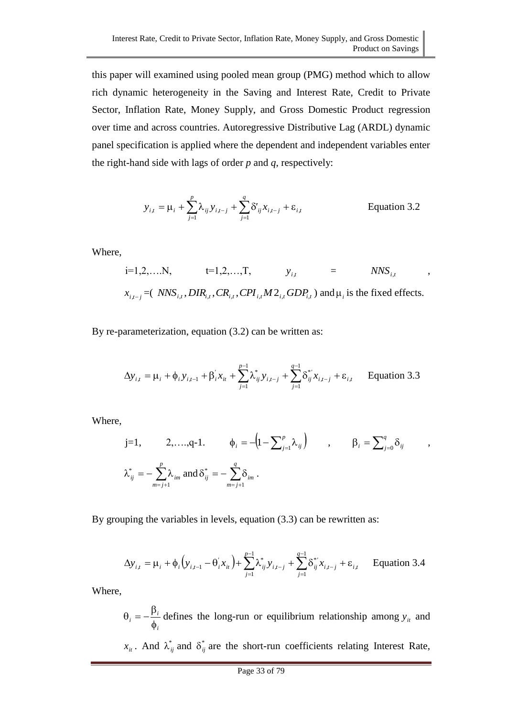this paper will examined using pooled mean group (PMG) method which to allow rich dynamic heterogeneity in the Saving and Interest Rate, Credit to Private Sector, Inflation Rate, Money Supply, and Gross Domestic Product regression over time and across countries. Autoregressive Distributive Lag (ARDL) dynamic panel specification is applied where the dependent and independent variables enter the right-hand side with lags of order *p* and *q*, respectively:

$$
y_{i,t} = \mu_i + \sum_{j=1}^{p} \lambda_{ij} y_{i,t-j} + \sum_{j=1}^{q} \delta'_{ij} x_{i,t-j} + \varepsilon_{i,t}
$$
 Equation 3.2

,

,

Where,

i=1,2,...N, t=1,2,...,T, 
$$
y_{i,t}
$$
 = *NNS<sub>i,t</sub>*  
 $x_{i,t-j} = (NNS_{i,t}, DIR_{i,t},CR_{i,t},CPI_{i,t}M2_{i,t}GDP_{i,t})$  and  $\mu_i$  is the fixed effects.

By re-parameterization, equation (3.2) can be written as:

$$
\Delta y_{i,t} = \mu_i + \phi_i y_{i,t-1} + \beta'_i x_{it} + \sum_{j=1}^{p-1} \lambda_{ij}^* y_{i,t-j} + \sum_{j=1}^{q-1} \delta_{ij}^* x_{i,t-j} + \varepsilon_{i,t}
$$
 Equation 3.3

Where,

$$
j=1, \qquad 2,\ldots,q-1. \qquad \phi_i = -\left(1 - \sum_{j=1}^p \lambda_{ij}\right) \qquad , \qquad \beta_i = \sum_{j=0}^q \delta_{ij}
$$

$$
\lambda_{ij}^* = -\sum_{m=j+1}^p \lambda_{im} \text{ and } \delta_{ij}^* = -\sum_{m=j+1}^q \delta_{im}.
$$

By grouping the variables in levels, equation (3.3) can be rewritten as:

$$
\Delta y_{i,t} = \mu_i + \phi_i \Big( y_{i,t-1} - \theta_i' x_{it} \Big) + \sum_{j=1}^{p-1} \lambda_{ij}^* y_{i,t-j} + \sum_{j=1}^{q-1} \delta_{ij}^* x_{i,t-j} + \varepsilon_{i,t}
$$
 Equation 3.4

Where,

*i i*  $i = -\frac{1}{\phi}$  $\theta_i = -\frac{\beta_i}{\mu}$  defines the long-run or equilibrium relationship among  $y_i$  and  $x_{it}$ . And  $\lambda_{ij}^*$  and  $\delta_{ij}^*$  are the short-run coefficients relating Interest Rate,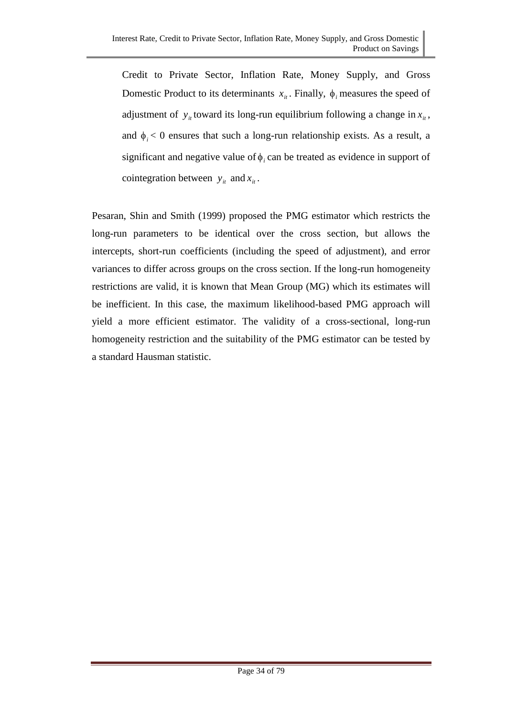Credit to Private Sector, Inflation Rate, Money Supply, and Gross Domestic Product to its determinants  $x_{it}$ . Finally,  $\phi_i$  measures the speed of adjustment of  $y_i$  toward its long-run equilibrium following a change in  $x_i$ , and  $\phi_i$  < 0 ensures that such a long-run relationship exists. As a result, a significant and negative value of  $\phi_i$  can be treated as evidence in support of cointegration between  $y_i$  and  $x_i$ .

Pesaran, Shin and Smith (1999) proposed the PMG estimator which restricts the long-run parameters to be identical over the cross section, but allows the intercepts, short-run coefficients (including the speed of adjustment), and error variances to differ across groups on the cross section. If the long-run homogeneity restrictions are valid, it is known that Mean Group (MG) which its estimates will be inefficient. In this case, the maximum likelihood-based PMG approach will yield a more efficient estimator. The validity of a cross-sectional, long-run homogeneity restriction and the suitability of the PMG estimator can be tested by a standard Hausman statistic.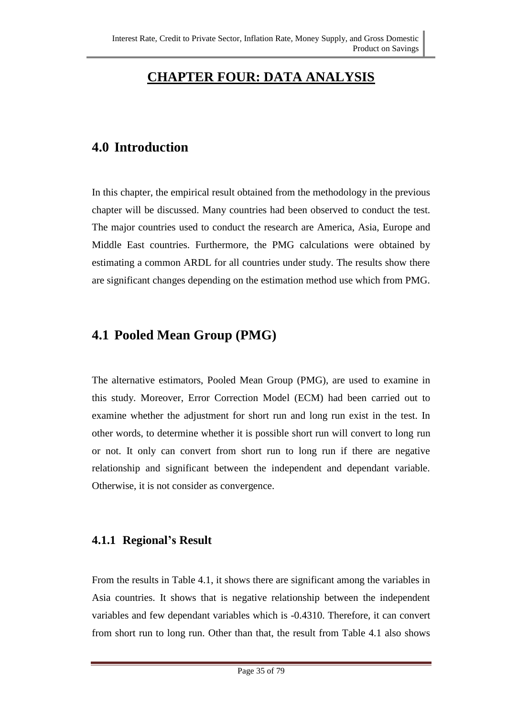# **CHAPTER FOUR: DATA ANALYSIS**

### **4.0 Introduction**

In this chapter, the empirical result obtained from the methodology in the previous chapter will be discussed. Many countries had been observed to conduct the test. The major countries used to conduct the research are America, Asia, Europe and Middle East countries. Furthermore, the PMG calculations were obtained by estimating a common ARDL for all countries under study. The results show there are significant changes depending on the estimation method use which from PMG.

### **4.1 Pooled Mean Group (PMG)**

The alternative estimators, Pooled Mean Group (PMG), are used to examine in this study. Moreover, Error Correction Model (ECM) had been carried out to examine whether the adjustment for short run and long run exist in the test. In other words, to determine whether it is possible short run will convert to long run or not. It only can convert from short run to long run if there are negative relationship and significant between the independent and dependant variable. Otherwise, it is not consider as convergence.

#### **4.1.1 Regional's Result**

From the results in Table 4.1, it shows there are significant among the variables in Asia countries. It shows that is negative relationship between the independent variables and few dependant variables which is -0.4310. Therefore, it can convert from short run to long run. Other than that, the result from Table 4.1 also shows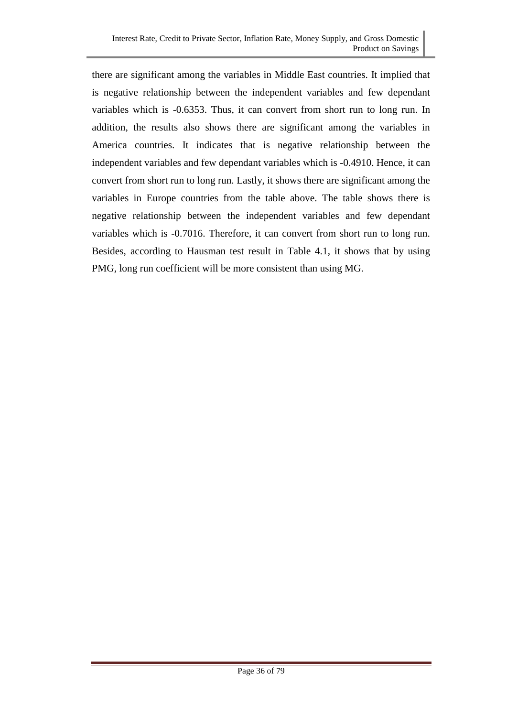there are significant among the variables in Middle East countries. It implied that is negative relationship between the independent variables and few dependant variables which is -0.6353. Thus, it can convert from short run to long run. In addition, the results also shows there are significant among the variables in America countries. It indicates that is negative relationship between the independent variables and few dependant variables which is -0.4910. Hence, it can convert from short run to long run. Lastly, it shows there are significant among the variables in Europe countries from the table above. The table shows there is negative relationship between the independent variables and few dependant variables which is -0.7016. Therefore, it can convert from short run to long run. Besides, according to Hausman test result in Table 4.1, it shows that by using PMG, long run coefficient will be more consistent than using MG.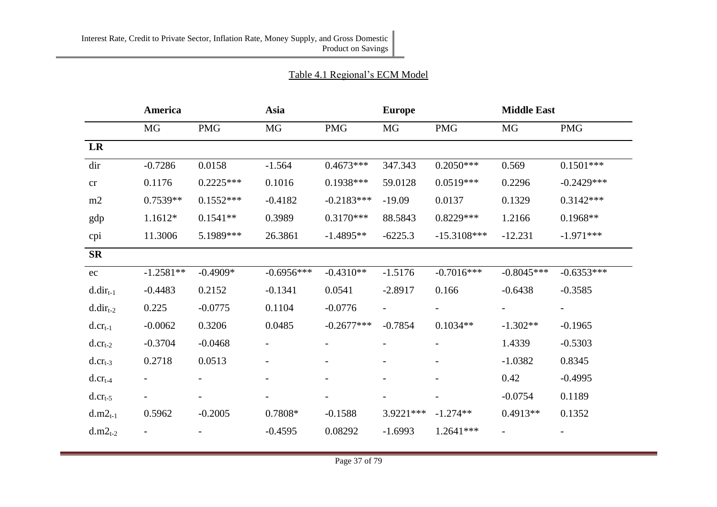#### Table 4.1 Regional's ECM Model

|                     | America                  |             | Asia         |              | <b>Europe</b> |               | <b>Middle East</b> |              |
|---------------------|--------------------------|-------------|--------------|--------------|---------------|---------------|--------------------|--------------|
|                     | MG                       | <b>PMG</b>  | MG           | <b>PMG</b>   | MG            | <b>PMG</b>    | MG                 | <b>PMG</b>   |
| LR                  |                          |             |              |              |               |               |                    |              |
| dir                 | $-0.7286$                | 0.0158      | $-1.564$     | $0.4673***$  | 347.343       | $0.2050***$   | 0.569              | $0.1501***$  |
| cr                  | 0.1176                   | $0.2225***$ | 0.1016       | $0.1938***$  | 59.0128       | $0.0519***$   | 0.2296             | $-0.2429***$ |
| m2                  | $0.7539**$               | $0.1552***$ | $-0.4182$    | $-0.2183***$ | $-19.09$      | 0.0137        | 0.1329             | $0.3142***$  |
| gdp                 | $1.1612*$                | $0.1541**$  | 0.3989       | $0.3170***$  | 88.5843       | $0.8229***$   | 1.2166             | $0.1968**$   |
| cpi                 | 11.3006                  | 5.1989***   | 26.3861      | $-1.4895**$  | $-6225.3$     | $-15.3108***$ | $-12.231$          | $-1.971***$  |
| <b>SR</b>           |                          |             |              |              |               |               |                    |              |
| ec                  | $-1.2581**$              | $-0.4909*$  | $-0.6956***$ | $-0.4310**$  | $-1.5176$     | $-0.7016***$  | $-0.8045***$       | $-0.6353***$ |
| $d.dir_{t-1}$       | $-0.4483$                | 0.2152      | $-0.1341$    | 0.0541       | $-2.8917$     | 0.166         | $-0.6438$          | $-0.3585$    |
| $d.dir_{t-2}$       | 0.225                    | $-0.0775$   | 0.1104       | $-0.0776$    |               |               |                    |              |
| $d. crt-1$          | $-0.0062$                | 0.3206      | 0.0485       | $-0.2677***$ | $-0.7854$     | $0.1034**$    | $-1.302**$         | $-0.1965$    |
| $d. crt-2$          | $-0.3704$                | $-0.0468$   |              |              |               |               | 1.4339             | $-0.5303$    |
| $d. crt-3$          | 0.2718                   | 0.0513      |              |              |               |               | $-1.0382$          | 0.8345       |
| $d_{\cdot}cr_{t-4}$ |                          |             |              |              |               |               | 0.42               | $-0.4995$    |
| $d_{\cdot}cr_{t-5}$ | $\overline{\phantom{0}}$ |             |              |              |               |               | $-0.0754$          | 0.1189       |
| $d.m2_{t-1}$        | 0.5962                   | $-0.2005$   | 0.7808*      | $-0.1588$    | 3.9221 ***    | $-1.274**$    | $0.4913**$         | 0.1352       |
| $d.m2_{t-2}$        |                          |             | $-0.4595$    | 0.08292      | $-1.6993$     | 1.2641 ***    |                    |              |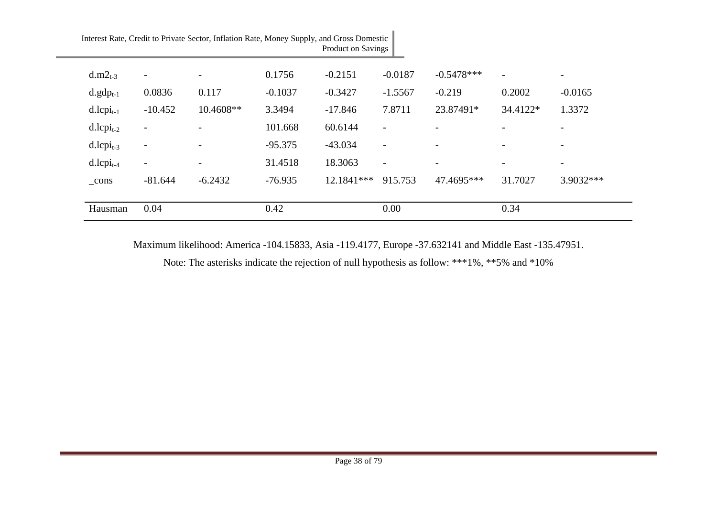|                          |                          | Interest Rate, Credit to Private Sector, Inflation Rate, Money Supply, and Gross Domestic |           | Product on Savings |                          |              |                          |                          |
|--------------------------|--------------------------|-------------------------------------------------------------------------------------------|-----------|--------------------|--------------------------|--------------|--------------------------|--------------------------|
| $d.m2_{t-3}$             | $\overline{\phantom{a}}$ |                                                                                           | 0.1756    | $-0.2151$          | $-0.0187$                | $-0.5478***$ | $\overline{\phantom{a}}$ | $\overline{\phantom{a}}$ |
| $d.gdp_{t-1}$            | 0.0836                   | 0.117                                                                                     | $-0.1037$ | $-0.3427$          | $-1.5567$                | $-0.219$     | 0.2002                   | $-0.0165$                |
| $d.lcpi_{t-1}$           | $-10.452$                | 10.4608**                                                                                 | 3.3494    | $-17.846$          | 7.8711                   | 23.87491*    | 34.4122*                 | 1.3372                   |
| $d.lcpi_{t-2}$           |                          |                                                                                           | 101.668   | 60.6144            |                          |              |                          | $\overline{\phantom{a}}$ |
| $d.l$ cpi <sub>t-3</sub> |                          |                                                                                           | $-95.375$ | $-43.034$          | $\overline{\phantom{a}}$ |              | $\overline{\phantom{0}}$ |                          |
| $d.l$ cpi <sub>t-4</sub> | $\overline{\phantom{a}}$ | $\qquad \qquad$                                                                           | 31.4518   | 18.3063            | $\overline{\phantom{a}}$ | -            | $\overline{\phantom{a}}$ | $\overline{\phantom{a}}$ |
| cons                     | $-81.644$                | $-6.2432$                                                                                 | $-76.935$ | 12.1841***         | 915.753                  | 47.4695***   | 31.7027                  | 3.9032***                |
| Hausman                  | 0.04                     |                                                                                           | 0.42      |                    | 0.00                     |              | 0.34                     |                          |

Maximum likelihood: America -104.15833, Asia -119.4177, Europe -37.632141 and Middle East -135.47951.

Note: The asterisks indicate the rejection of null hypothesis as follow: \*\*\*1%, \*\*5% and \*10%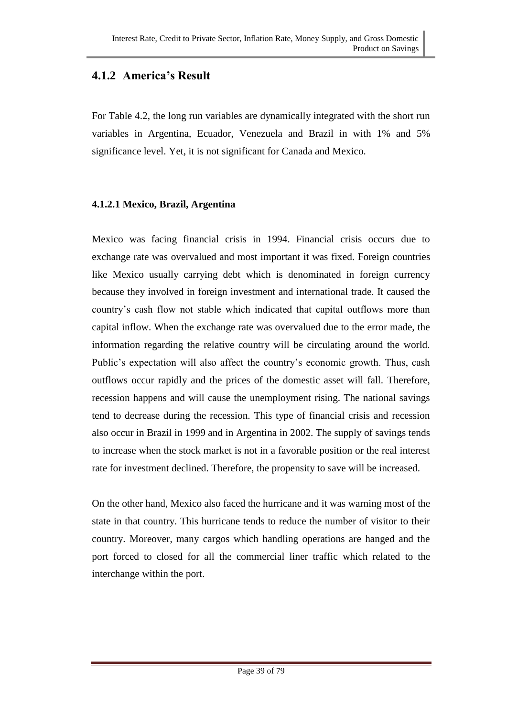### **4.1.2 America's Result**

For Table 4.2, the long run variables are dynamically integrated with the short run variables in Argentina, Ecuador, Venezuela and Brazil in with 1% and 5% significance level. Yet, it is not significant for Canada and Mexico.

#### **4.1.2.1 Mexico, Brazil, Argentina**

Mexico was facing financial crisis in 1994. Financial crisis occurs due to exchange rate was overvalued and most important it was fixed. Foreign countries like Mexico usually carrying debt which is denominated in foreign currency because they involved in foreign investment and international trade. It caused the country's cash flow not stable which indicated that capital outflows more than capital inflow. When the exchange rate was overvalued due to the error made, the information regarding the relative country will be circulating around the world. Public's expectation will also affect the country's economic growth. Thus, cash outflows occur rapidly and the prices of the domestic asset will fall. Therefore, recession happens and will cause the unemployment rising. The national savings tend to decrease during the recession. This type of financial crisis and recession also occur in Brazil in 1999 and in Argentina in 2002. The supply of savings tends to increase when the stock market is not in a favorable position or the real interest rate for investment declined. Therefore, the propensity to save will be increased.

On the other hand, Mexico also faced the hurricane and it was warning most of the state in that country. This hurricane tends to reduce the number of visitor to their country. Moreover, many cargos which handling operations are hanged and the port forced to closed for all the commercial liner traffic which related to the interchange within the port.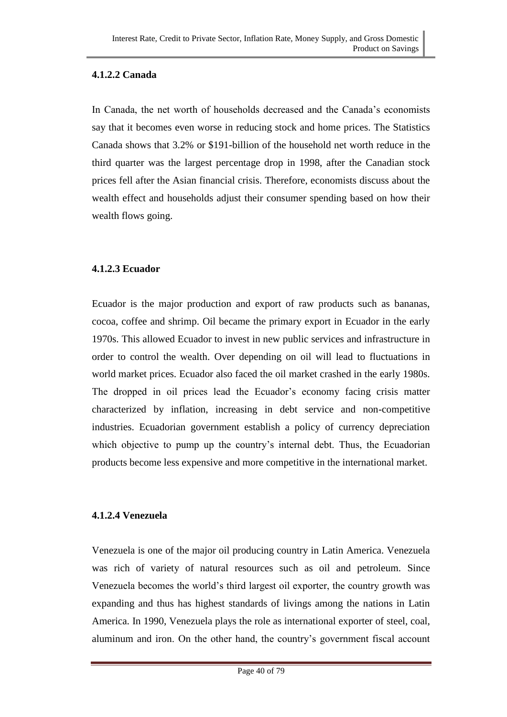#### **4.1.2.2 Canada**

In Canada, the net worth of households decreased and the Canada's economists say that it becomes even worse in reducing stock and home prices. The Statistics Canada shows that 3.2% or \$191-billion of the household net worth reduce in the third quarter was the largest percentage drop in 1998, after the Canadian stock prices fell after the Asian financial crisis. Therefore, economists discuss about the wealth effect and households adjust their consumer spending based on how their wealth flows going.

#### **4.1.2.3 Ecuador**

Ecuador is the major production and export of raw products such as bananas, cocoa, coffee and shrimp. Oil became the primary export in Ecuador in the early 1970s. This allowed Ecuador to invest in new public services and infrastructure in order to control the wealth. Over depending on oil will lead to fluctuations in world market prices. Ecuador also faced the oil market crashed in the early 1980s. The dropped in oil prices lead the Ecuador's economy facing crisis matter characterized by inflation, increasing in debt service and non-competitive industries. Ecuadorian government establish a policy of currency depreciation which objective to pump up the country's internal debt. Thus, the Ecuadorian products become less expensive and more competitive in the international market.

#### **4.1.2.4 Venezuela**

Venezuela is one of the major oil producing country in Latin America. Venezuela was rich of variety of natural resources such as oil and petroleum. Since Venezuela becomes the world's third largest oil exporter, the country growth was expanding and thus has highest standards of livings among the nations in Latin America. In 1990, Venezuela plays the role as international exporter of steel, coal, aluminum and iron. On the other hand, the country's government fiscal account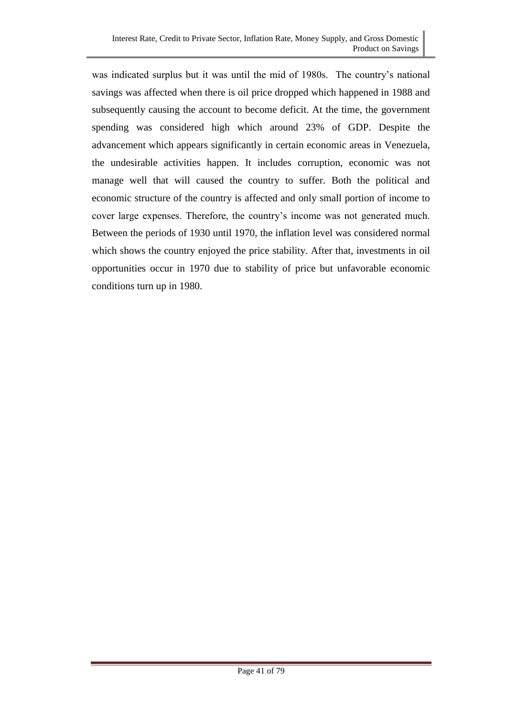was indicated surplus but it was until the mid of 1980s. The country's national savings was affected when there is oil price dropped which happened in 1988 and subsequently causing the account to become deficit. At the time, the government spending was considered high which around 23% of GDP. Despite the advancement which appears significantly in certain economic areas in Venezuela, the undesirable activities happen. It includes corruption, economic was not manage well that will caused the country to suffer. Both the political and economic structure of the country is affected and only small portion of income to cover large expenses. Therefore, the country's income was not generated much. Between the periods of 1930 until 1970, the inflation level was considered normal which shows the country enjoyed the price stability. After that, investments in oil opportunities occur in 1970 due to stability of price but unfavorable economic conditions turn up in 1980.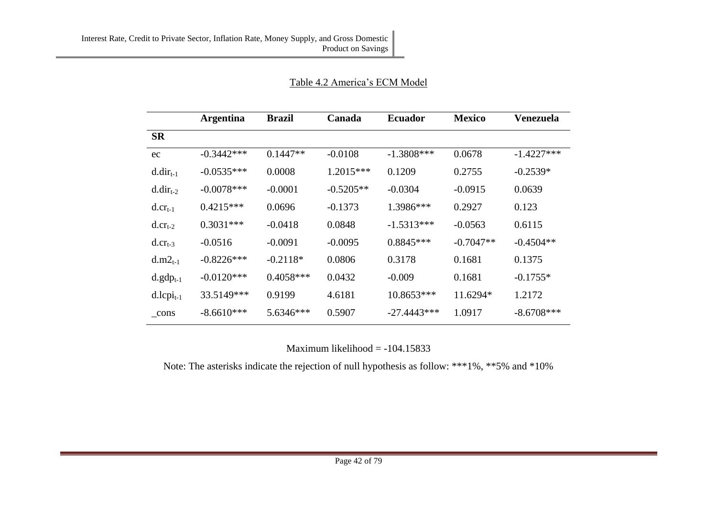|                     | <b>Argentina</b> | <b>Brazil</b> | Canada      | <b>Ecuador</b> | <b>Mexico</b> | <b>Venezuela</b> |
|---------------------|------------------|---------------|-------------|----------------|---------------|------------------|
| <b>SR</b>           |                  |               |             |                |               |                  |
| ec                  | $-0.3442***$     | $0.1447**$    | $-0.0108$   | $-1.3808$ ***  | 0.0678        | $-1.4227***$     |
| $d.dir_{t-1}$       | $-0.0535***$     | 0.0008        | 1.2015***   | 0.1209         | 0.2755        | $-0.2539*$       |
| $d.dir_{t-2}$       | $-0.0078***$     | $-0.0001$     | $-0.5205**$ | $-0.0304$      | $-0.0915$     | 0.0639           |
| $d. cr_{t-1}$       | $0.4215***$      | 0.0696        | $-0.1373$   | 1.3986***      | 0.2927        | 0.123            |
| $d. crt-2$          | $0.3031***$      | $-0.0418$     | 0.0848      | $-1.5313***$   | $-0.0563$     | 0.6115           |
| $d_{\cdot}cr_{t-3}$ | $-0.0516$        | $-0.0091$     | $-0.0095$   | $0.8845***$    | $-0.7047**$   | $-0.4504**$      |
| $d.m2_{t-1}$        | $-0.8226***$     | $-0.2118*$    | 0.0806      | 0.3178         | 0.1681        | 0.1375           |
| $d.gdp_{t-1}$       | $-0.0120***$     | $0.4058***$   | 0.0432      | $-0.009$       | 0.1681        | $-0.1755*$       |
| $d.lcpi_{t-1}$      | 33.5149***       | 0.9199        | 4.6181      | 10.8653***     | 11.6294*      | 1.2172           |
| cons                | $-8.6610***$     | 5.6346***     | 0.5907      | $-27.4443***$  | 1.0917        | $-8.6708***$     |

#### Table 4.2 America's ECM Model

Maximum likelihood = -104.15833

Note: The asterisks indicate the rejection of null hypothesis as follow: \*\*\*1%, \*\*5% and \*10%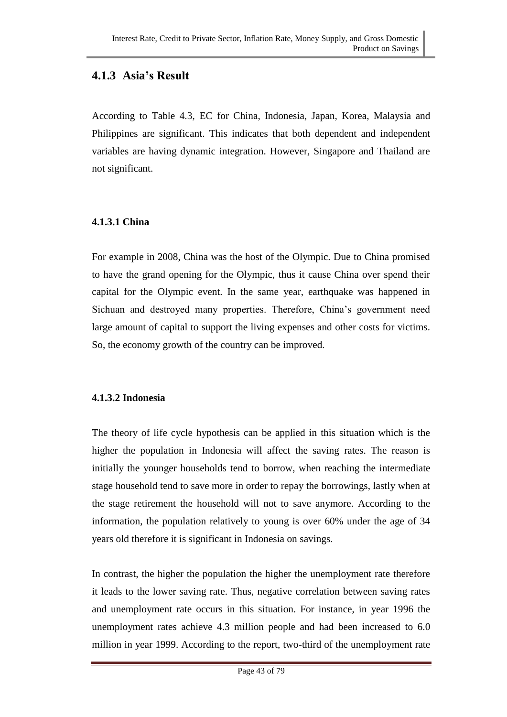### **4.1.3 Asia's Result**

According to Table 4.3, EC for China, Indonesia, Japan, Korea, Malaysia and Philippines are significant. This indicates that both dependent and independent variables are having dynamic integration. However, Singapore and Thailand are not significant.

#### **4.1.3.1 China**

For example in 2008, China was the host of the Olympic. Due to China promised to have the grand opening for the Olympic, thus it cause China over spend their capital for the Olympic event. In the same year, earthquake was happened in Sichuan and destroyed many properties. Therefore, China's government need large amount of capital to support the living expenses and other costs for victims. So, the economy growth of the country can be improved.

#### **4.1.3.2 Indonesia**

The theory of life cycle hypothesis can be applied in this situation which is the higher the population in Indonesia will affect the saving rates. The reason is initially the younger households tend to borrow, when reaching the intermediate stage household tend to save more in order to repay the borrowings, lastly when at the stage retirement the household will not to save anymore. According to the information, the population relatively to young is over 60% under the age of 34 years old therefore it is significant in Indonesia on savings.

In contrast, the higher the population the higher the unemployment rate therefore it leads to the lower saving rate. Thus, negative correlation between saving rates and unemployment rate occurs in this situation. For instance, in year 1996 the unemployment rates achieve 4.3 million people and had been increased to 6.0 million in year 1999. According to the report, two-third of the unemployment rate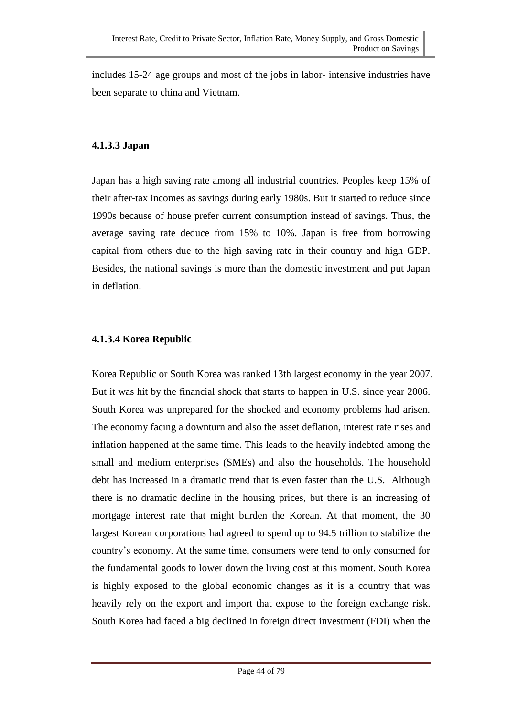includes 15-24 age groups and most of the jobs in labor- intensive industries have been separate to china and Vietnam.

#### **4.1.3.3 Japan**

Japan has a high saving rate among all industrial countries. Peoples keep 15% of their after-tax incomes as savings during early 1980s. But it started to reduce since 1990s because of house prefer current consumption instead of savings. Thus, the average saving rate deduce from 15% to 10%. Japan is free from borrowing capital from others due to the high saving rate in their country and high GDP. Besides, the national savings is more than the domestic investment and put Japan in deflation.

#### **4.1.3.4 Korea Republic**

Korea Republic or South Korea was ranked 13th largest economy in the year 2007. But it was hit by the financial shock that starts to happen in U.S. since year 2006. South Korea was unprepared for the shocked and economy problems had arisen. The economy facing a downturn and also the asset deflation, interest rate rises and inflation happened at the same time. This leads to the heavily indebted among the small and medium enterprises (SMEs) and also the households. The household debt has increased in a dramatic trend that is even faster than the U.S. Although there is no dramatic decline in the housing prices, but there is an increasing of mortgage interest rate that might burden the Korean. At that moment, the 30 largest Korean corporations had agreed to spend up to 94.5 trillion to stabilize the country's economy. At the same time, consumers were tend to only consumed for the fundamental goods to lower down the living cost at this moment. South Korea is highly exposed to the global economic changes as it is a country that was heavily rely on the export and import that expose to the foreign exchange risk. South Korea had faced a big declined in foreign direct investment (FDI) when the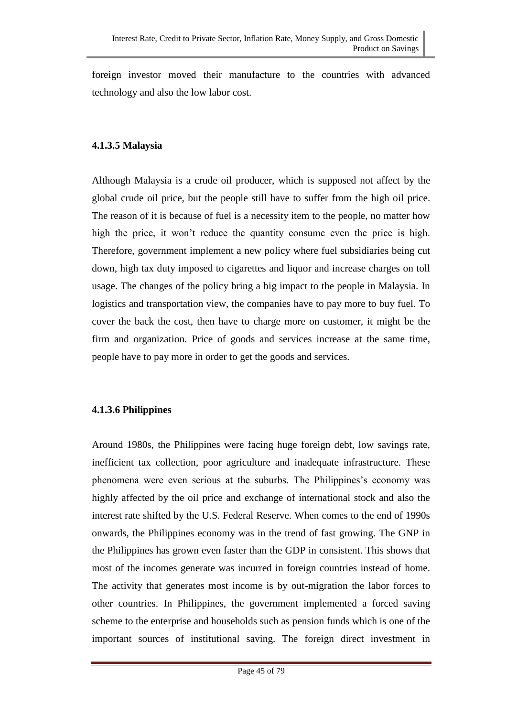foreign investor moved their manufacture to the countries with advanced technology and also the low labor cost.

#### **4.1.3.5 Malaysia**

Although Malaysia is a crude oil producer, which is supposed not affect by the global crude oil price, but the people still have to suffer from the high oil price. The reason of it is because of fuel is a necessity item to the people, no matter how high the price, it won't reduce the quantity consume even the price is high. Therefore, government implement a new policy where fuel subsidiaries being cut down, high tax duty imposed to cigarettes and liquor and increase charges on toll usage. The changes of the policy bring a big impact to the people in Malaysia. In logistics and transportation view, the companies have to pay more to buy fuel. To cover the back the cost, then have to charge more on customer, it might be the firm and organization. Price of goods and services increase at the same time, people have to pay more in order to get the goods and services.

#### **4.1.3.6 Philippines**

Around 1980s, the Philippines were facing huge foreign debt, low savings rate, inefficient tax collection, poor agriculture and inadequate infrastructure. These phenomena were even serious at the suburbs. The Philippines's economy was highly affected by the oil price and exchange of international stock and also the interest rate shifted by the U.S. Federal Reserve. When comes to the end of 1990s onwards, the Philippines economy was in the trend of fast growing. The GNP in the Philippines has grown even faster than the GDP in consistent. This shows that most of the incomes generate was incurred in foreign countries instead of home. The activity that generates most income is by out-migration the labor forces to other countries. In Philippines, the government implemented a forced saving scheme to the enterprise and households such as pension funds which is one of the important sources of institutional saving. The foreign direct investment in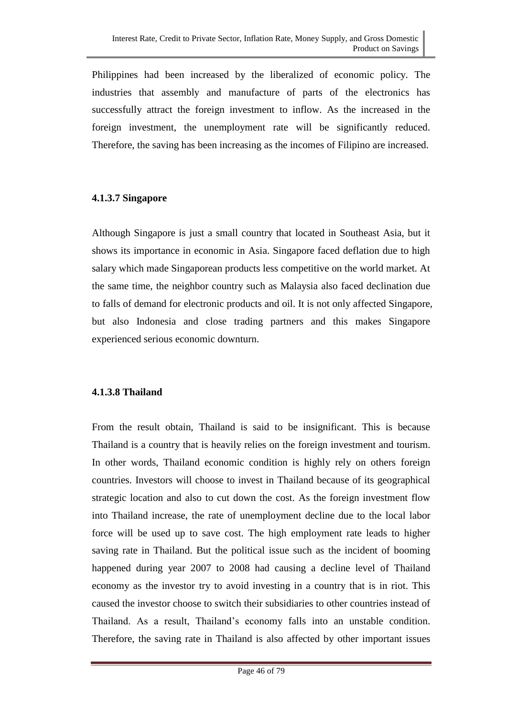Philippines had been increased by the liberalized of economic policy. The industries that assembly and manufacture of parts of the electronics has successfully attract the foreign investment to inflow. As the increased in the foreign investment, the unemployment rate will be significantly reduced. Therefore, the saving has been increasing as the incomes of Filipino are increased.

#### **4.1.3.7 Singapore**

Although Singapore is just a small country that located in Southeast Asia, but it shows its importance in economic in Asia. Singapore faced deflation due to high salary which made Singaporean products less competitive on the world market. At the same time, the neighbor country such as Malaysia also faced declination due to falls of demand for electronic products and oil. It is not only affected Singapore, but also Indonesia and close trading partners and this makes Singapore experienced serious economic downturn.

#### **4.1.3.8 Thailand**

From the result obtain, Thailand is said to be insignificant. This is because Thailand is a country that is heavily relies on the foreign investment and tourism. In other words, Thailand economic condition is highly rely on others foreign countries. Investors will choose to invest in Thailand because of its geographical strategic location and also to cut down the cost. As the foreign investment flow into Thailand increase, the rate of unemployment decline due to the local labor force will be used up to save cost. The high employment rate leads to higher saving rate in Thailand. But the political issue such as the incident of booming happened during year 2007 to 2008 had causing a decline level of Thailand economy as the investor try to avoid investing in a country that is in riot. This caused the investor choose to switch their subsidiaries to other countries instead of Thailand. As a result, Thailand's economy falls into an unstable condition. Therefore, the saving rate in Thailand is also affected by other important issues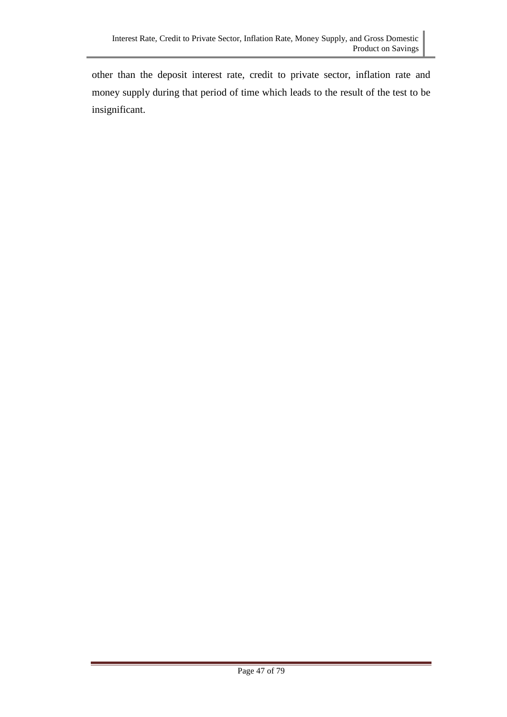other than the deposit interest rate, credit to private sector, inflation rate and money supply during that period of time which leads to the result of the test to be insignificant.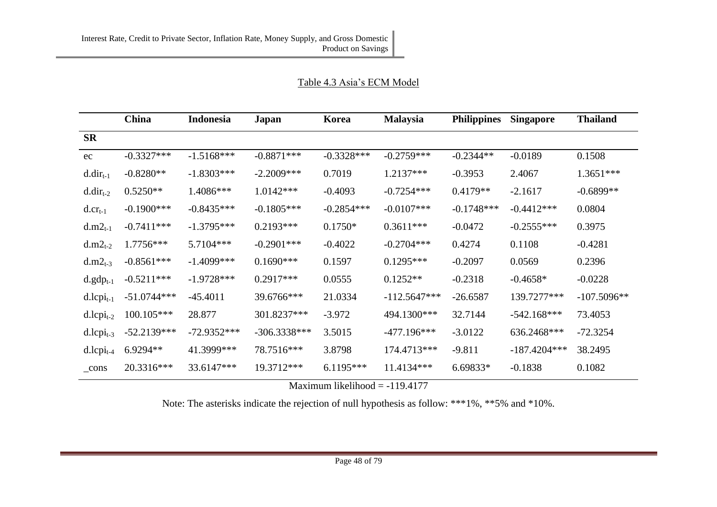| Table 4.3 Asia's ECM Model |  |  |
|----------------------------|--|--|
|                            |  |  |

|                | <b>China</b>  | Indonesia     | Japan          | Korea        | <b>Malaysia</b> | <b>Philippines</b> | <b>Singapore</b> | <b>Thailand</b> |
|----------------|---------------|---------------|----------------|--------------|-----------------|--------------------|------------------|-----------------|
| <b>SR</b>      |               |               |                |              |                 |                    |                  |                 |
| ec             | $-0.3327***$  | $-1.5168***$  | $-0.8871***$   | $-0.3328***$ | $-0.2759***$    | $-0.2344**$        | $-0.0189$        | 0.1508          |
| $d.dir_{t-1}$  | $-0.8280**$   | $-1.8303***$  | $-2.2009***$   | 0.7019       | 1.2137***       | $-0.3953$          | 2.4067           | $1.3651***$     |
| $d.dir_{t-2}$  | $0.5250**$    | 1.4086***     | $1.0142***$    | $-0.4093$    | $-0.7254***$    | $0.4179**$         | $-2.1617$        | $-0.6899**$     |
| $d. cr_{t-1}$  | $-0.1900$ *** | $-0.8435***$  | $-0.1805***$   | $-0.2854***$ | $-0.0107$ ***   | $-0.1748***$       | $-0.4412***$     | 0.0804          |
| $d.m2_{t-1}$   | $-0.7411***$  | $-1.3795***$  | $0.2193***$    | $0.1750*$    | $0.3611***$     | $-0.0472$          | $-0.2555***$     | 0.3975          |
| $d.m2_{t-2}$   | 1.7756***     | 5.7104***     | $-0.2901$ ***  | $-0.4022$    | $-0.2704***$    | 0.4274             | 0.1108           | $-0.4281$       |
| $d.m2_{t-3}$   | $-0.8561***$  | $-1.4099***$  | $0.1690***$    | 0.1597       | $0.1295***$     | $-0.2097$          | 0.0569           | 0.2396          |
| $d.gdp_{t-1}$  | $-0.5211***$  | $-1.9728***$  | $0.2917***$    | 0.0555       | $0.1252**$      | $-0.2318$          | $-0.4658*$       | $-0.0228$       |
| $d.lcpi_{t-1}$ | $-51.0744***$ | $-45.4011$    | 39.6766***     | 21.0334      | $-112.5647***$  | $-26.6587$         | 139.7277***      | $-107.5096**$   |
| $d.lcpi_{t-2}$ | 100.105***    | 28.877        | 301.8237***    | $-3.972$     | 494.1300***     | 32.7144            | $-542.168***$    | 73.4053         |
| $d.lcpi_{t-3}$ | $-52.2139***$ | $-72.9352***$ | $-306.3338***$ | 3.5015       | $-477.196***$   | $-3.0122$          | 636.2468***      | $-72.3254$      |
| $d.lcpi_{t-4}$ | 6.9294**      | 41.3999***    | 78.7516***     | 3.8798       | 174.4713***     | $-9.811$           | $-187.4204***$   | 38.2495         |
| _cons          | 20.3316***    | 33.6147***    | 19.3712***     | $6.1195***$  | 11.4134***      | 6.69833*           | $-0.1838$        | 0.1082          |

Maximum likelihood  $= -119.4177$ 

Note: The asterisks indicate the rejection of null hypothesis as follow: \*\*\*1%, \*\*5% and \*10%.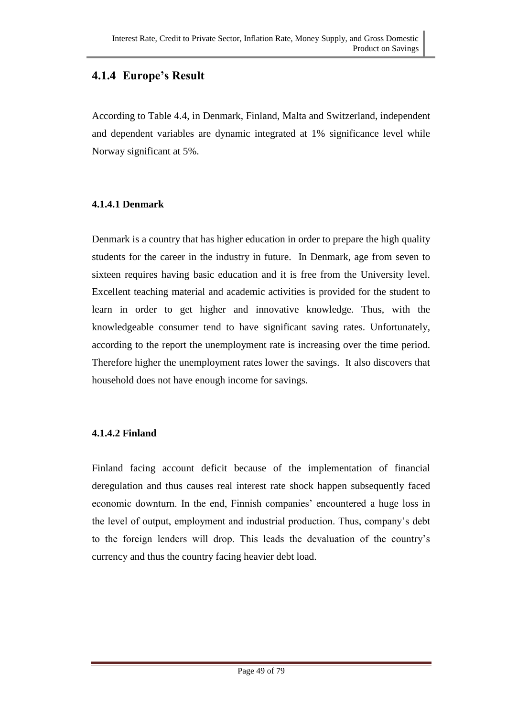### **4.1.4 Europe's Result**

According to Table 4.4, in Denmark, Finland, Malta and Switzerland, independent and dependent variables are dynamic integrated at 1% significance level while Norway significant at 5%.

#### **4.1.4.1 Denmark**

Denmark is a country that has higher education in order to prepare the high quality students for the career in the industry in future. In Denmark, age from seven to sixteen requires having basic education and it is free from the University level. Excellent teaching material and academic activities is provided for the student to learn in order to get higher and innovative knowledge. Thus, with the knowledgeable consumer tend to have significant saving rates. Unfortunately, according to the report the unemployment rate is increasing over the time period. Therefore higher the unemployment rates lower the savings. It also discovers that household does not have enough income for savings.

#### **4.1.4.2 Finland**

Finland facing account deficit because of the implementation of financial deregulation and thus causes real interest rate shock happen subsequently faced economic downturn. In the end, Finnish companies' encountered a huge loss in the level of output, employment and industrial production. Thus, company's debt to the foreign lenders will drop. This leads the devaluation of the country's currency and thus the country facing heavier debt load.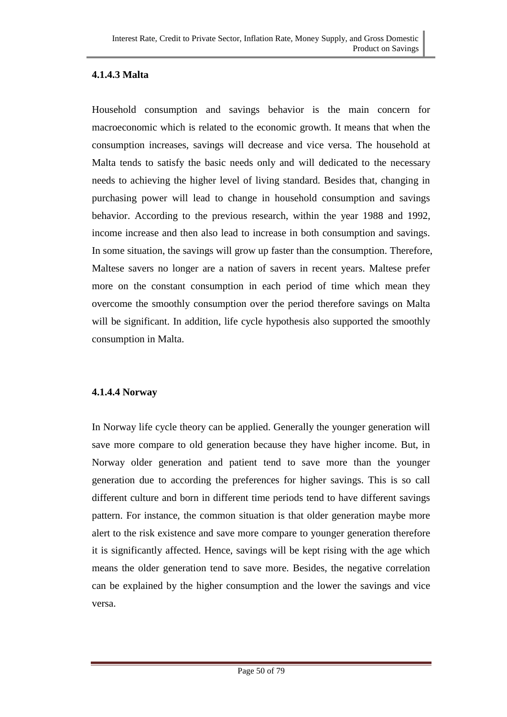#### **4.1.4.3 Malta**

Household consumption and savings behavior is the main concern for macroeconomic which is related to the economic growth. It means that when the consumption increases, savings will decrease and vice versa. The household at Malta tends to satisfy the basic needs only and will dedicated to the necessary needs to achieving the higher level of living standard. Besides that, changing in purchasing power will lead to change in household consumption and savings behavior. According to the previous research, within the year 1988 and 1992, income increase and then also lead to increase in both consumption and savings. In some situation, the savings will grow up faster than the consumption. Therefore, Maltese savers no longer are a nation of savers in recent years. Maltese prefer more on the constant consumption in each period of time which mean they overcome the smoothly consumption over the period therefore savings on Malta will be significant. In addition, life cycle hypothesis also supported the smoothly consumption in Malta.

#### **4.1.4.4 Norway**

In Norway life cycle theory can be applied. Generally the younger generation will save more compare to old generation because they have higher income. But, in Norway older generation and patient tend to save more than the younger generation due to according the preferences for higher savings. This is so call different culture and born in different time periods tend to have different savings pattern. For instance, the common situation is that older generation maybe more alert to the risk existence and save more compare to younger generation therefore it is significantly affected. Hence, savings will be kept rising with the age which means the older generation tend to save more. Besides, the negative correlation can be explained by the higher consumption and the lower the savings and vice versa.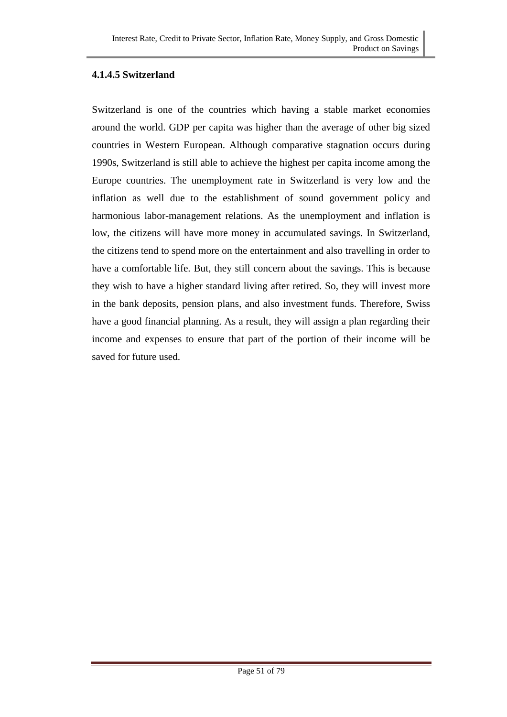#### **4.1.4.5 Switzerland**

Switzerland is one of the countries which having a stable market economies around the world. GDP per capita was higher than the average of other big sized countries in Western European. Although comparative stagnation occurs during 1990s, Switzerland is still able to achieve the highest per capita income among the Europe countries. The unemployment rate in Switzerland is very low and the inflation as well due to the establishment of sound government policy and harmonious labor-management relations. As the unemployment and inflation is low, the citizens will have more money in accumulated savings. In Switzerland, the citizens tend to spend more on the entertainment and also travelling in order to have a comfortable life. But, they still concern about the savings. This is because they wish to have a higher standard living after retired. So, they will invest more in the bank deposits, pension plans, and also investment funds. Therefore, Swiss have a good financial planning. As a result, they will assign a plan regarding their income and expenses to ensure that part of the portion of their income will be saved for future used.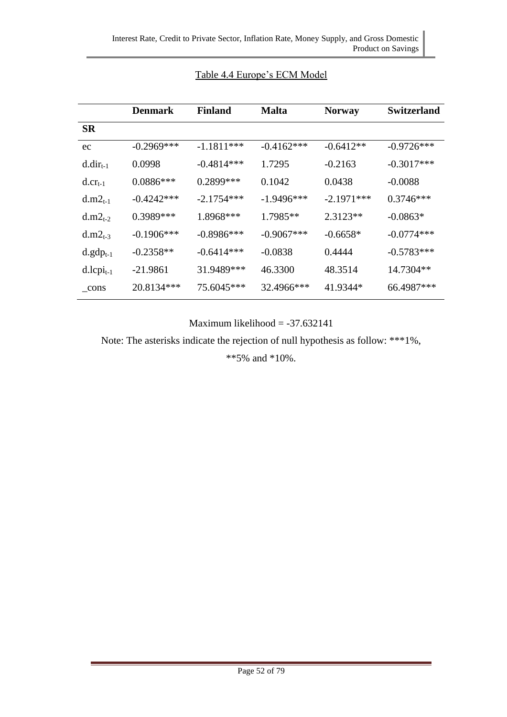|                          | <b>Denmark</b> | Finland      | <b>Malta</b> | <b>Norway</b> | <b>Switzerland</b> |
|--------------------------|----------------|--------------|--------------|---------------|--------------------|
| <b>SR</b>                |                |              |              |               |                    |
| ec                       | $-0.2969$ ***  | $-1.1811***$ | $-0.4162***$ | $-0.6412**$   | $-0.9726***$       |
| $d.dir_{t-1}$            | 0.0998         | $-0.4814***$ | 1.7295       | $-0.2163$     | $-0.3017***$       |
| $d_{\cdot}cr_{t-1}$      | $0.0886***$    | 0.2899***    | 0.1042       | 0.0438        | $-0.0088$          |
| $d.m2_{t-1}$             | $-0.4242***$   | $-2.1754***$ | $-1.9496***$ | $-2.1971***$  | $0.3746***$        |
| $d.m2_{t-2}$             | $0.3989***$    | $1.8968***$  | $1.7985**$   | $2.3123**$    | $-0.0863*$         |
| $d.m2_{t-3}$             | $-0.1906***$   | $-0.8986***$ | $-0.9067***$ | $-0.6658*$    | $-0.0774***$       |
| $d.gdp_{t-1}$            | $-0.2358**$    | $-0.6414***$ | $-0.0838$    | 0.4444        | $-0.5783***$       |
| $d.l$ cpi <sub>t-1</sub> | $-21.9861$     | 31.9489***   | 46.3300      | 48.3514       | 14.7304**          |
| cons                     | 20.8134***     | 75.6045***   | 32.4966***   | 41.9344*      | 66.4987***         |

#### Table 4.4 Europe's ECM Model

Maximum likelihood  $= -37.632141$ 

Note: The asterisks indicate the rejection of null hypothesis as follow: \*\*\*1%,

\*\*5% and \*10%.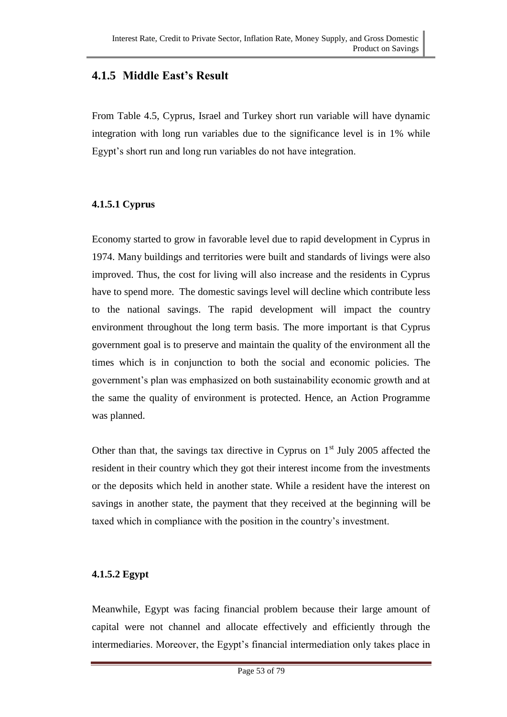### **4.1.5 Middle East's Result**

From Table 4.5, Cyprus, Israel and Turkey short run variable will have dynamic integration with long run variables due to the significance level is in 1% while Egypt's short run and long run variables do not have integration.

#### **4.1.5.1 Cyprus**

Economy started to grow in favorable level due to rapid development in Cyprus in 1974. Many buildings and territories were built and standards of livings were also improved. Thus, the cost for living will also increase and the residents in Cyprus have to spend more. The domestic savings level will decline which contribute less to the national savings. The rapid development will impact the country environment throughout the long term basis. The more important is that Cyprus government goal is to preserve and maintain the quality of the environment all the times which is in conjunction to both the social and economic policies. The government's plan was emphasized on both sustainability economic growth and at the same the quality of environment is protected. Hence, an Action Programme was planned.

Other than that, the savings tax directive in Cyprus on  $1<sup>st</sup>$  July 2005 affected the resident in their country which they got their interest income from the investments or the deposits which held in another state. While a resident have the interest on savings in another state, the payment that they received at the beginning will be taxed which in compliance with the position in the country's investment.

#### **4.1.5.2 Egypt**

Meanwhile, Egypt was facing financial problem because their large amount of capital were not channel and allocate effectively and efficiently through the intermediaries. Moreover, the Egypt's financial intermediation only takes place in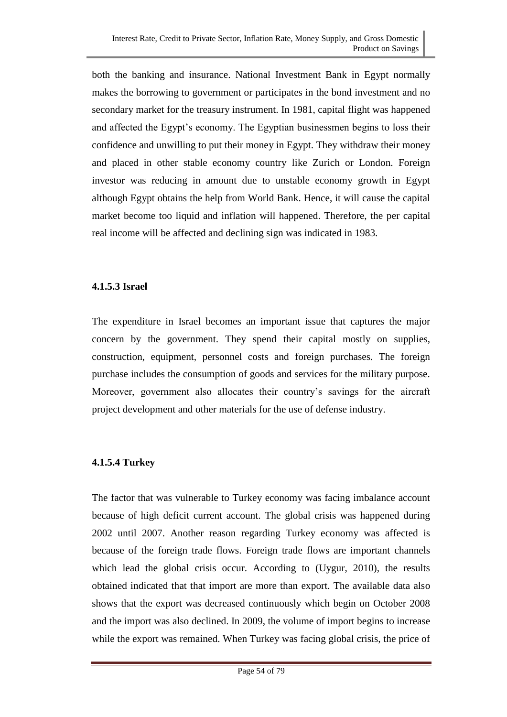both the banking and insurance. National Investment Bank in Egypt normally makes the borrowing to government or participates in the bond investment and no secondary market for the treasury instrument. In 1981, capital flight was happened and affected the Egypt's economy. The Egyptian businessmen begins to loss their confidence and unwilling to put their money in Egypt. They withdraw their money and placed in other stable economy country like Zurich or London. Foreign investor was reducing in amount due to unstable economy growth in Egypt although Egypt obtains the help from World Bank. Hence, it will cause the capital market become too liquid and inflation will happened. Therefore, the per capital real income will be affected and declining sign was indicated in 1983.

#### **4.1.5.3 Israel**

The expenditure in Israel becomes an important issue that captures the major concern by the government. They spend their capital mostly on supplies, construction, equipment, personnel costs and foreign purchases. The foreign purchase includes the consumption of goods and services for the military purpose. Moreover, government also allocates their country's savings for the aircraft project development and other materials for the use of defense industry.

#### **4.1.5.4 Turkey**

The factor that was vulnerable to Turkey economy was facing imbalance account because of high deficit current account. The global crisis was happened during 2002 until 2007. Another reason regarding Turkey economy was affected is because of the foreign trade flows. Foreign trade flows are important channels which lead the global crisis occur. According to (Uygur, 2010), the results obtained indicated that that import are more than export. The available data also shows that the export was decreased continuously which begin on October 2008 and the import was also declined. In 2009, the volume of import begins to increase while the export was remained. When Turkey was facing global crisis, the price of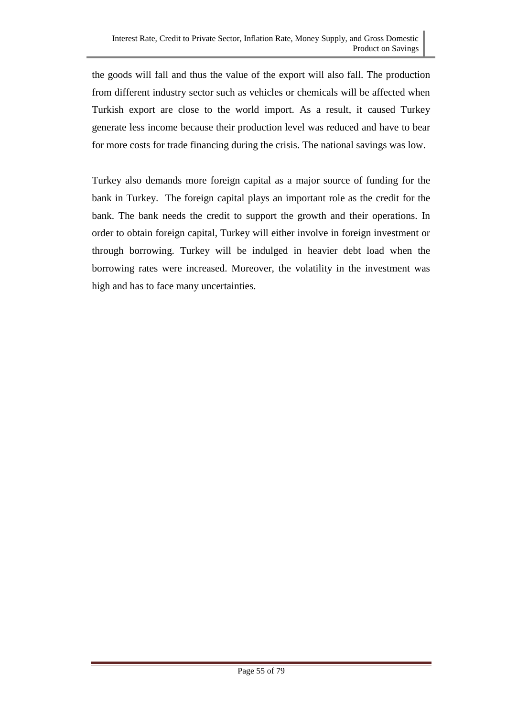the goods will fall and thus the value of the export will also fall. The production from different industry sector such as vehicles or chemicals will be affected when Turkish export are close to the world import. As a result, it caused Turkey generate less income because their production level was reduced and have to bear for more costs for trade financing during the crisis. The national savings was low.

Turkey also demands more foreign capital as a major source of funding for the bank in Turkey. The foreign capital plays an important role as the credit for the bank. The bank needs the credit to support the growth and their operations. In order to obtain foreign capital, Turkey will either involve in foreign investment or through borrowing. Turkey will be indulged in heavier debt load when the borrowing rates were increased. Moreover, the volatility in the investment was high and has to face many uncertainties.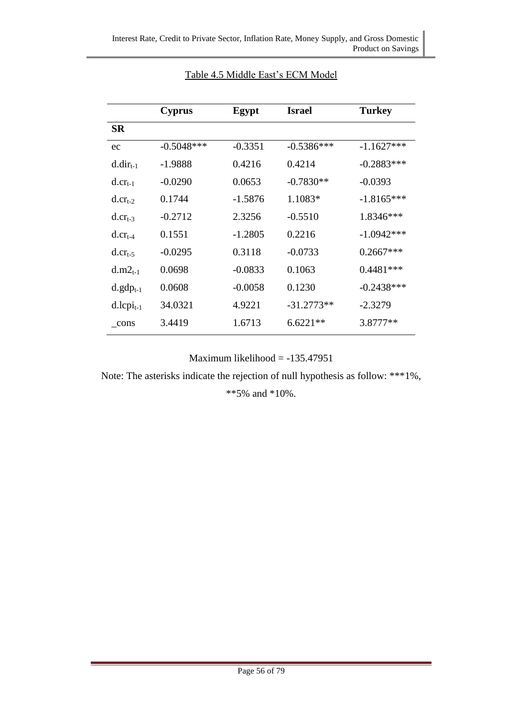| <b>SR</b><br>ec        | $-0.5048***$ |           |              |              |
|------------------------|--------------|-----------|--------------|--------------|
|                        |              |           |              |              |
|                        |              | $-0.3351$ | $-0.5386***$ | $-1.1627***$ |
| $d.dir_{t-1}$          | $-1.9888$    | 0.4216    | 0.4214       | $-0.2883***$ |
| $d_{\cdot}cr_{t-1}$    | $-0.0290$    | 0.0653    | $-0.7830**$  | $-0.0393$    |
| $d_{\cdot}cr_{t-2}$    | 0.1744       | $-1.5876$ | 1.1083*      | $-1.8165***$ |
| $d_{\rm}$ . $cr_{t-3}$ | $-0.2712$    | 2.3256    | $-0.5510$    | 1.8346***    |
| $d_{\rm}.cr_{\rm f-4}$ | 0.1551       | $-1.2805$ | 0.2216       | $-1.0942***$ |
| $d_{\rm}$ . $cr_{t-5}$ | $-0.0295$    | 0.3118    | $-0.0733$    | $0.2667***$  |
| $d.m2_{t-1}$           | 0.0698       | $-0.0833$ | 0.1063       | $0.4481***$  |
| $d.gdp_{t-1}$          | 0.0608       | $-0.0058$ | 0.1230       | $-0.2438***$ |
| $d.lcpi_{t-1}$         | 34.0321      | 4.9221    | $-31.2773**$ | $-2.3279$    |
| cons                   | 3.4419       | 1.6713    | $6.6221**$   | 3.8777**     |

#### Table 4.5 Middle East's ECM Model

Maximum likelihood = -135.47951

Note: The asterisks indicate the rejection of null hypothesis as follow: \*\*\*1%,

\*\*5% and \*10%.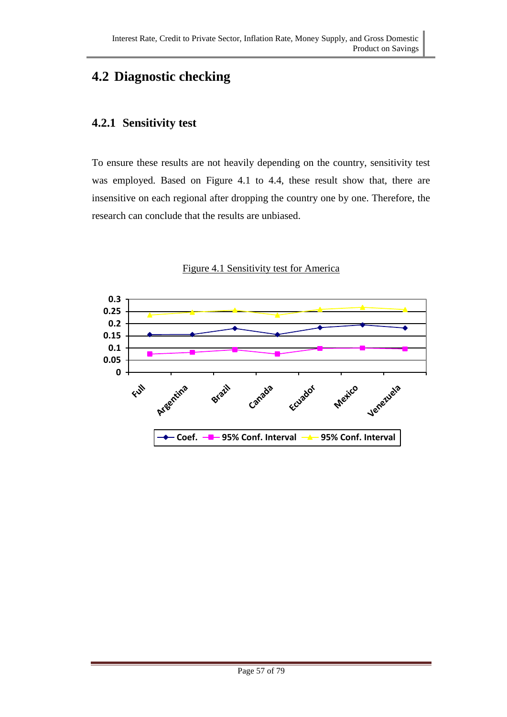# **4.2 Diagnostic checking**

### **4.2.1 Sensitivity test**

To ensure these results are not heavily depending on the country, sensitivity test was employed. Based on Figure 4.1 to 4.4, these result show that, there are insensitive on each regional after dropping the country one by one. Therefore, the research can conclude that the results are unbiased.



Figure 4.1 Sensitivity test for America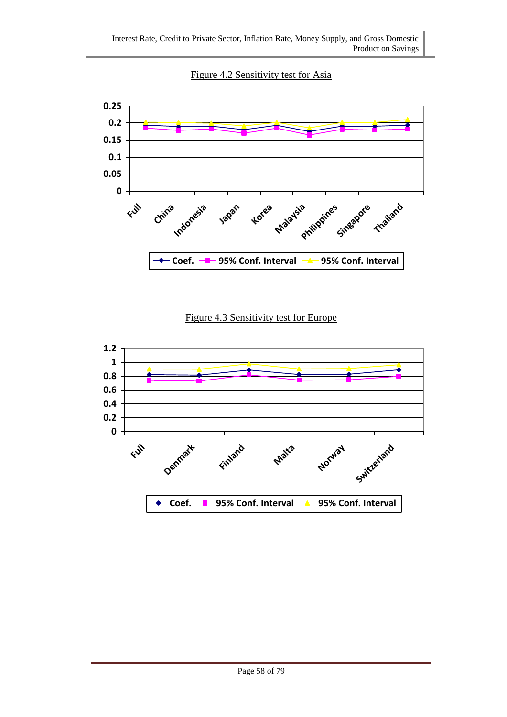Figure 4.2 Sensitivity test for Asia



Figure 4.3 Sensitivity test for Europe

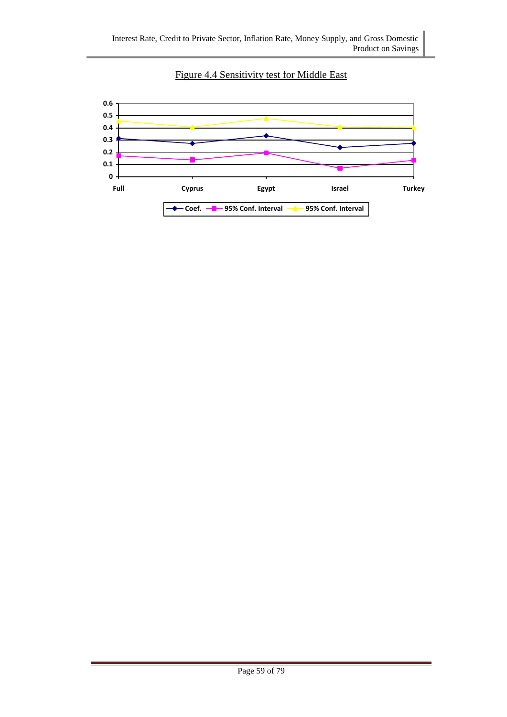

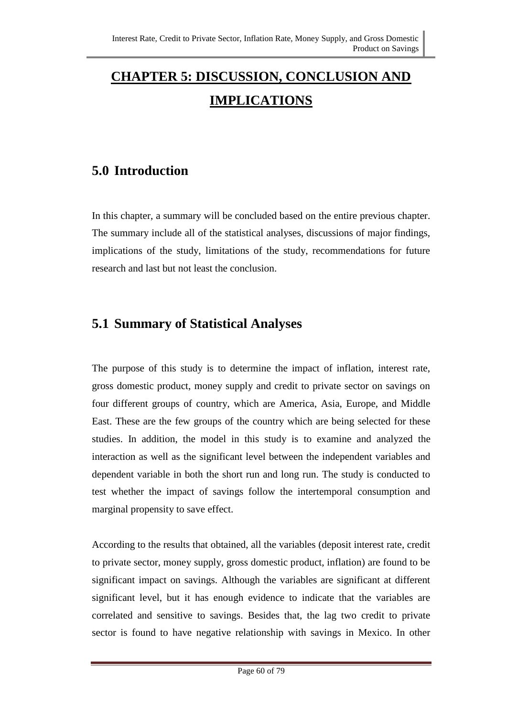# **CHAPTER 5: DISCUSSION, CONCLUSION AND IMPLICATIONS**

### **5.0 Introduction**

In this chapter, a summary will be concluded based on the entire previous chapter. The summary include all of the statistical analyses, discussions of major findings, implications of the study, limitations of the study, recommendations for future research and last but not least the conclusion.

### **5.1 Summary of Statistical Analyses**

The purpose of this study is to determine the impact of inflation, interest rate, gross domestic product, money supply and credit to private sector on savings on four different groups of country, which are America, Asia, Europe, and Middle East. These are the few groups of the country which are being selected for these studies. In addition, the model in this study is to examine and analyzed the interaction as well as the significant level between the independent variables and dependent variable in both the short run and long run. The study is conducted to test whether the impact of savings follow the intertemporal consumption and marginal propensity to save effect.

According to the results that obtained, all the variables (deposit interest rate, credit to private sector, money supply, gross domestic product, inflation) are found to be significant impact on savings. Although the variables are significant at different significant level, but it has enough evidence to indicate that the variables are correlated and sensitive to savings. Besides that, the lag two credit to private sector is found to have negative relationship with savings in Mexico. In other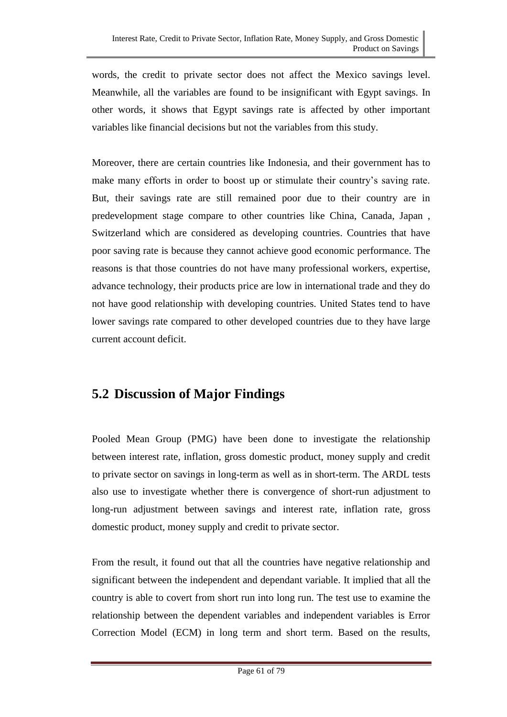words, the credit to private sector does not affect the Mexico savings level. Meanwhile, all the variables are found to be insignificant with Egypt savings. In other words, it shows that Egypt savings rate is affected by other important variables like financial decisions but not the variables from this study.

Moreover, there are certain countries like Indonesia, and their government has to make many efforts in order to boost up or stimulate their country's saving rate. But, their savings rate are still remained poor due to their country are in predevelopment stage compare to other countries like China, Canada, Japan , Switzerland which are considered as developing countries. Countries that have poor saving rate is because they cannot achieve good economic performance. The reasons is that those countries do not have many professional workers, expertise, advance technology, their products price are low in international trade and they do not have good relationship with developing countries. United States tend to have lower savings rate compared to other developed countries due to they have large current account deficit.

### **5.2 Discussion of Major Findings**

Pooled Mean Group (PMG) have been done to investigate the relationship between interest rate, inflation, gross domestic product, money supply and credit to private sector on savings in long-term as well as in short-term. The ARDL tests also use to investigate whether there is convergence of short-run adjustment to long-run adjustment between savings and interest rate, inflation rate, gross domestic product, money supply and credit to private sector.

From the result, it found out that all the countries have negative relationship and significant between the independent and dependant variable. It implied that all the country is able to covert from short run into long run. The test use to examine the relationship between the dependent variables and independent variables is Error Correction Model (ECM) in long term and short term. Based on the results,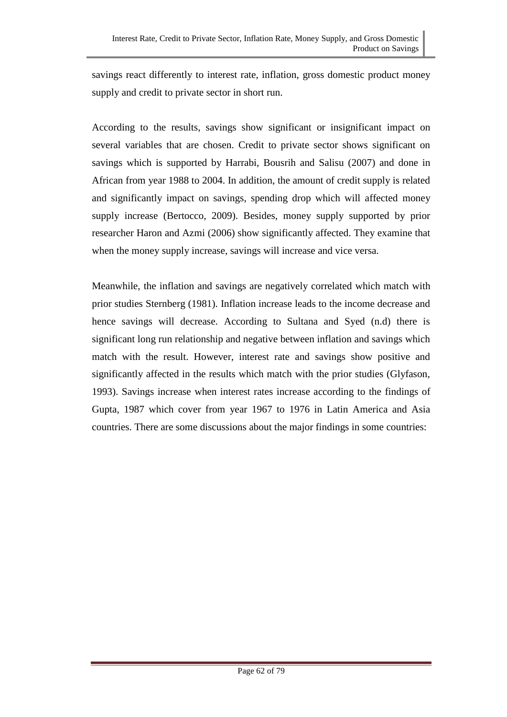savings react differently to interest rate, inflation, gross domestic product money supply and credit to private sector in short run.

According to the results, savings show significant or insignificant impact on several variables that are chosen. Credit to private sector shows significant on savings which is supported by Harrabi, Bousrih and Salisu (2007) and done in African from year 1988 to 2004. In addition, the amount of credit supply is related and significantly impact on savings, spending drop which will affected money supply increase (Bertocco, 2009). Besides, money supply supported by prior researcher Haron and Azmi (2006) show significantly affected. They examine that when the money supply increase, savings will increase and vice versa.

Meanwhile, the inflation and savings are negatively correlated which match with prior studies Sternberg (1981). Inflation increase leads to the income decrease and hence savings will decrease. According to Sultana and Syed (n.d) there is significant long run relationship and negative between inflation and savings which match with the result. However, interest rate and savings show positive and significantly affected in the results which match with the prior studies (Glyfason, 1993). Savings increase when interest rates increase according to the findings of Gupta, 1987 which cover from year 1967 to 1976 in Latin America and Asia countries. There are some discussions about the major findings in some countries: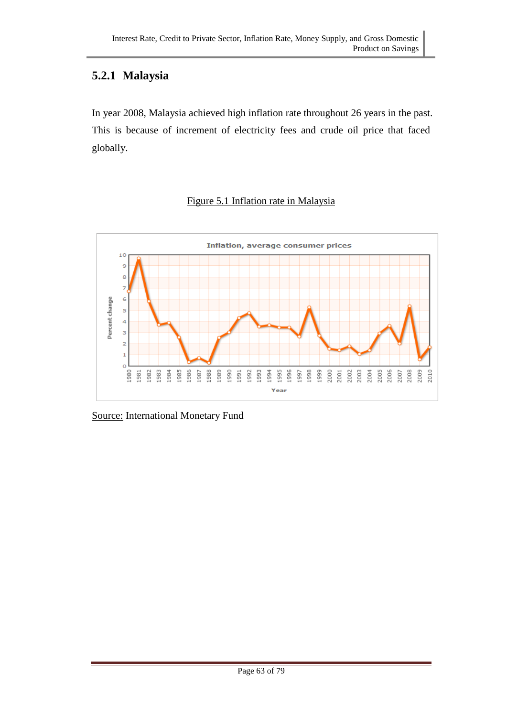## **5.2.1 Malaysia**

In year 2008, Malaysia achieved high inflation rate throughout 26 years in the past. This is because of increment of electricity fees and crude oil price that faced globally.

## Figure 5.1 Inflation rate in Malaysia



Source: International Monetary Fund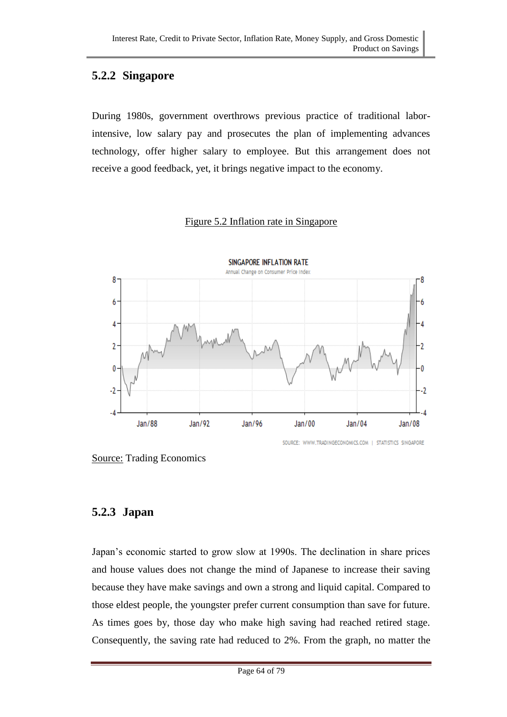## **5.2.2 Singapore**

During 1980s, government overthrows previous practice of traditional laborintensive, low salary pay and prosecutes the plan of implementing advances technology, offer higher salary to employee. But this arrangement does not receive a good feedback, yet, it brings negative impact to the economy.

## Figure 5.2 Inflation rate in Singapore



Source: Trading Economics

## **5.2.3 Japan**

Japan's economic started to grow slow at 1990s. The declination in share prices and house values does not change the mind of Japanese to increase their saving because they have make savings and own a strong and liquid capital. Compared to those eldest people, the youngster prefer current consumption than save for future. As times goes by, those day who make high saving had reached retired stage. Consequently, the saving rate had reduced to 2%. From the graph, no matter the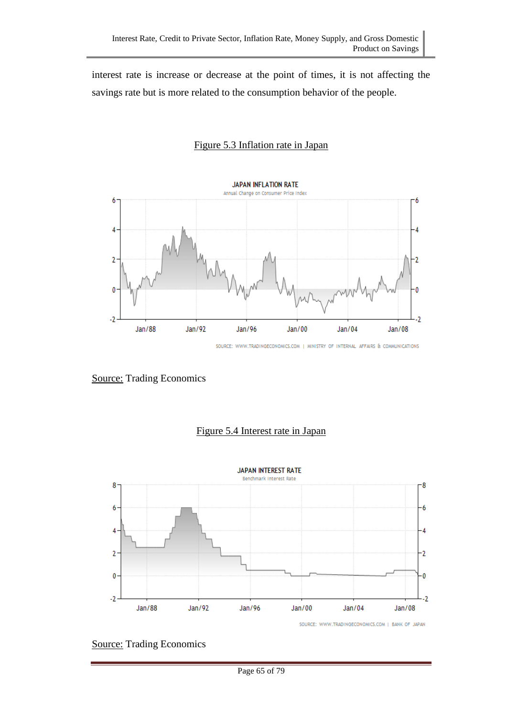interest rate is increase or decrease at the point of times, it is not affecting the savings rate but is more related to the consumption behavior of the people.

### Figure 5.3 Inflation rate in Japan



SOURCE: WWW.TRADINGECONOMICS.COM | MINISTRY OF INTERNAL AFFAIRS & COMMUNICATIONS

### Source: Trading Economics



### Figure 5.4 Interest rate in Japan

Source: Trading Economics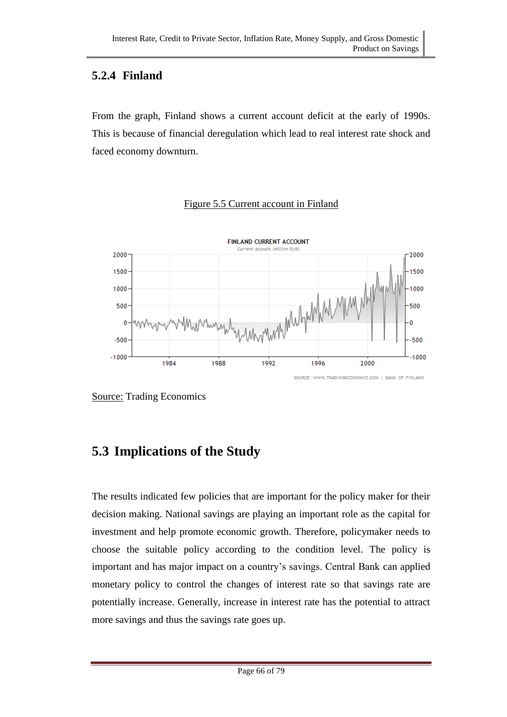## **5.2.4 Finland**

From the graph, Finland shows a current account deficit at the early of 1990s. This is because of financial deregulation which lead to real interest rate shock and faced economy downturn.

#### **FINLAND CURRENT ACCOUNT** Current Account (Million EUR) 2000 2000 1500 1500 unomorphylophylone May My 1000 1000 500 500 Ō  $\mathbf 0$  $-500$  $-500$  $-1000$  $-1000$ 1984 1988 1992 1996 2000 SOURCE: WWW.TRADINGECONOMICS.COM | BANK OF FINLAND

### Figure 5.5 Current account in Finland

Source: Trading Economics

# **5.3 Implications of the Study**

The results indicated few policies that are important for the policy maker for their decision making. National savings are playing an important role as the capital for investment and help promote economic growth. Therefore, policymaker needs to choose the suitable policy according to the condition level. The policy is important and has major impact on a country's savings. Central Bank can applied monetary policy to control the changes of interest rate so that savings rate are potentially increase. Generally, increase in interest rate has the potential to attract more savings and thus the savings rate goes up.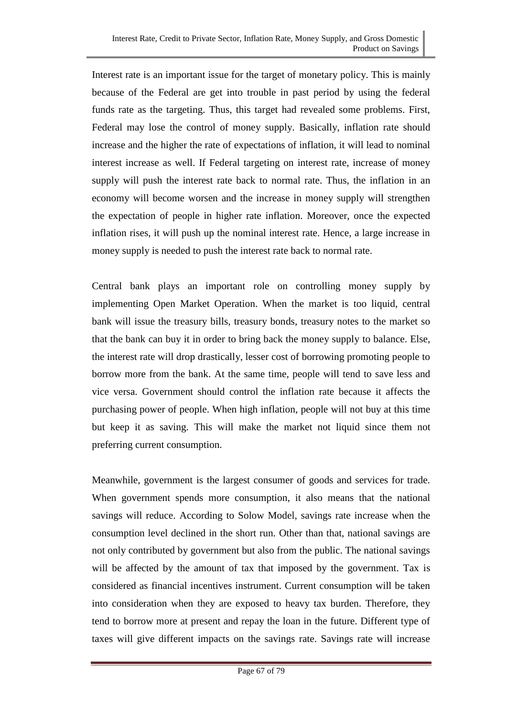Interest rate is an important issue for the target of monetary policy. This is mainly because of the Federal are get into trouble in past period by using the federal funds rate as the targeting. Thus, this target had revealed some problems. First, Federal may lose the control of money supply. Basically, inflation rate should increase and the higher the rate of expectations of inflation, it will lead to nominal interest increase as well. If Federal targeting on interest rate, increase of money supply will push the interest rate back to normal rate. Thus, the inflation in an economy will become worsen and the increase in money supply will strengthen the expectation of people in higher rate inflation. Moreover, once the expected inflation rises, it will push up the nominal interest rate. Hence, a large increase in money supply is needed to push the interest rate back to normal rate.

Central bank plays an important role on controlling money supply by implementing Open Market Operation. When the market is too liquid, central bank will issue the treasury bills, treasury bonds, treasury notes to the market so that the bank can buy it in order to bring back the money supply to balance. Else, the interest rate will drop drastically, lesser cost of borrowing promoting people to borrow more from the bank. At the same time, people will tend to save less and vice versa. Government should control the inflation rate because it affects the purchasing power of people. When high inflation, people will not buy at this time but keep it as saving. This will make the market not liquid since them not preferring current consumption.

Meanwhile, government is the largest consumer of goods and services for trade. When government spends more consumption, it also means that the national savings will reduce. According to Solow Model, savings rate increase when the consumption level declined in the short run. Other than that, national savings are not only contributed by government but also from the public. The national savings will be affected by the amount of tax that imposed by the government. Tax is considered as financial incentives instrument. Current consumption will be taken into consideration when they are exposed to heavy tax burden. Therefore, they tend to borrow more at present and repay the loan in the future. Different type of taxes will give different impacts on the savings rate. Savings rate will increase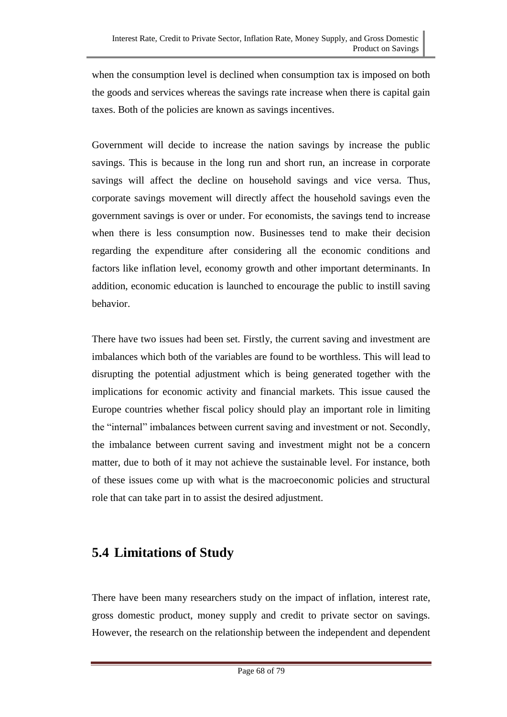when the consumption level is declined when consumption tax is imposed on both the goods and services whereas the savings rate increase when there is capital gain taxes. Both of the policies are known as savings incentives.

Government will decide to increase the nation savings by increase the public savings. This is because in the long run and short run, an increase in corporate savings will affect the decline on household savings and vice versa. Thus, corporate savings movement will directly affect the household savings even the government savings is over or under. For economists, the savings tend to increase when there is less consumption now. Businesses tend to make their decision regarding the expenditure after considering all the economic conditions and factors like inflation level, economy growth and other important determinants. In addition, economic education is launched to encourage the public to instill saving behavior.

There have two issues had been set. Firstly, the current saving and investment are imbalances which both of the variables are found to be worthless. This will lead to disrupting the potential adjustment which is being generated together with the implications for economic activity and financial markets. This issue caused the Europe countries whether fiscal policy should play an important role in limiting the "internal" imbalances between current saving and investment or not. Secondly, the imbalance between current saving and investment might not be a concern matter, due to both of it may not achieve the sustainable level. For instance, both of these issues come up with what is the macroeconomic policies and structural role that can take part in to assist the desired adjustment.

# **5.4 Limitations of Study**

There have been many researchers study on the impact of inflation, interest rate, gross domestic product, money supply and credit to private sector on savings. However, the research on the relationship between the independent and dependent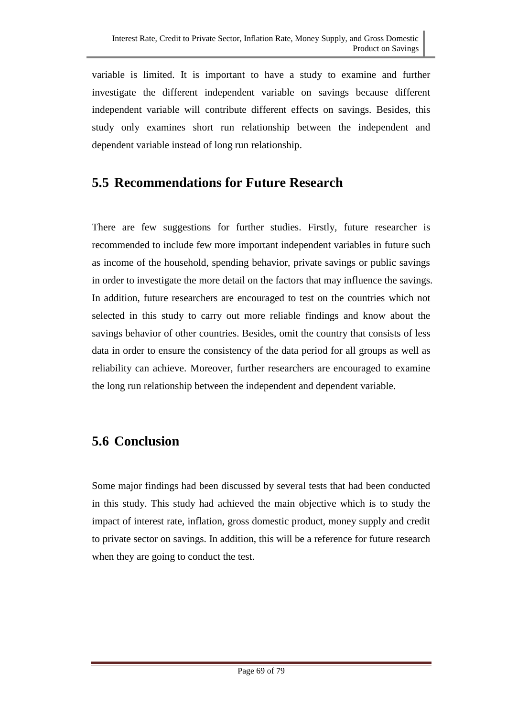variable is limited. It is important to have a study to examine and further investigate the different independent variable on savings because different independent variable will contribute different effects on savings. Besides, this study only examines short run relationship between the independent and dependent variable instead of long run relationship.

# **5.5 Recommendations for Future Research**

There are few suggestions for further studies. Firstly, future researcher is recommended to include few more important independent variables in future such as income of the household, spending behavior, private savings or public savings in order to investigate the more detail on the factors that may influence the savings. In addition, future researchers are encouraged to test on the countries which not selected in this study to carry out more reliable findings and know about the savings behavior of other countries. Besides, omit the country that consists of less data in order to ensure the consistency of the data period for all groups as well as reliability can achieve. Moreover, further researchers are encouraged to examine the long run relationship between the independent and dependent variable.

# **5.6 Conclusion**

Some major findings had been discussed by several tests that had been conducted in this study. This study had achieved the main objective which is to study the impact of interest rate, inflation, gross domestic product, money supply and credit to private sector on savings. In addition, this will be a reference for future research when they are going to conduct the test.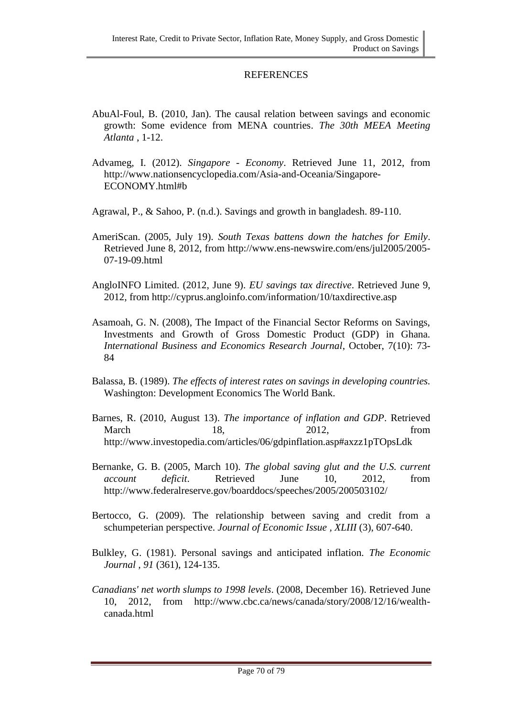### **REFERENCES**

- AbuAl-Foul, B. (2010, Jan). The causal relation between savings and economic growth: Some evidence from MENA countries. *The 30th MEEA Meeting Atlanta* , 1-12.
- Advameg, I. (2012). *Singapore - Economy*. Retrieved June 11, 2012, from http://www.nationsencyclopedia.com/Asia-and-Oceania/Singapore-ECONOMY.html#b
- Agrawal, P., & Sahoo, P. (n.d.). Savings and growth in bangladesh. 89-110.
- AmeriScan. (2005, July 19). *South Texas battens down the hatches for Emily*. Retrieved June 8, 2012, from http://www.ens-newswire.com/ens/jul2005/2005- 07-19-09.html
- AngloINFO Limited. (2012, June 9). *EU savings tax directive*. Retrieved June 9, 2012, from http://cyprus.angloinfo.com/information/10/taxdirective.asp
- Asamoah, G. N. (2008), The Impact of the Financial Sector Reforms on Savings, Investments and Growth of Gross Domestic Product (GDP) in Ghana. *International Business and Economics Research Journal*, October, 7(10): 73- 84
- Balassa, B. (1989). *The effects of interest rates on savings in developing countries.* Washington: Development Economics The World Bank.
- Barnes, R. (2010, August 13). *The importance of inflation and GDP*. Retrieved March 18, 2012, from http://www.investopedia.com/articles/06/gdpinflation.asp#axzz1pTOpsLdk
- Bernanke, G. B. (2005, March 10). *The global saving glut and the U.S. current account deficit*. Retrieved June 10, 2012, from http://www.federalreserve.gov/boarddocs/speeches/2005/200503102/
- Bertocco, G. (2009). The relationship between saving and credit from a schumpeterian perspective. *Journal of Economic Issue , XLIII* (3), 607-640.
- Bulkley, G. (1981). Personal savings and anticipated inflation. *The Economic Journal , 91* (361), 124-135.
- *Canadians' net worth slumps to 1998 levels*. (2008, December 16). Retrieved June 10, 2012, from http://www.cbc.ca/news/canada/story/2008/12/16/wealthcanada.html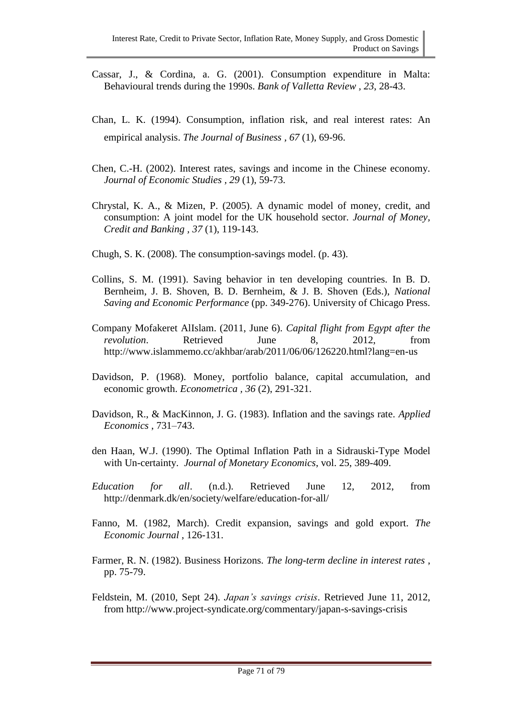- Cassar, J., & Cordina, a. G. (2001). Consumption expenditure in Malta: Behavioural trends during the 1990s. *Bank of Valletta Review , 23*, 28-43.
- Chan, L. K. (1994). Consumption, inflation risk, and real interest rates: An empirical analysis. *The Journal of Business , 67* (1), 69-96.
- Chen, C.-H. (2002). Interest rates, savings and income in the Chinese economy. *Journal of Economic Studies , 29* (1), 59-73.
- Chrystal, K. A., & Mizen, P. (2005). A dynamic model of money, credit, and consumption: A joint model for the UK household sector. *Journal of Money, Credit and Banking , 37* (1), 119-143.
- Chugh, S. K. (2008). The consumption-savings model. (p. 43).
- Collins, S. M. (1991). Saving behavior in ten developing countries. In B. D. Bernheim, J. B. Shoven, B. D. Bernheim, & J. B. Shoven (Eds.), *National Saving and Economic Performance* (pp. 349-276). University of Chicago Press.
- Company Mofakeret AlIslam. (2011, June 6). *Capital flight from Egypt after the revolution*. Retrieved June 8, 2012, from http://www.islammemo.cc/akhbar/arab/2011/06/06/126220.html?lang=en-us
- Davidson, P. (1968). Money, portfolio balance, capital accumulation, and economic growth. *Econometrica , 36* (2), 291-321.
- Davidson, R., & MacKinnon, J. G. (1983). Inflation and the savings rate. *Applied Economics* , 731–743.
- den Haan, W.J. (1990). The Optimal Inflation Path in a Sidrauski-Type Model with Un-certainty. *Journal of Monetary Economics*, vol. 25, 389-409.
- *Education for all*. (n.d.). Retrieved June 12, 2012, from http://denmark.dk/en/society/welfare/education-for-all/
- Fanno, M. (1982, March). Credit expansion, savings and gold export. *The Economic Journal* , 126-131.
- Farmer, R. N. (1982). Business Horizons. *The long-term decline in interest rates* , pp. 75-79.
- Feldstein, M. (2010, Sept 24). *Japan's savings crisis*. Retrieved June 11, 2012, from http://www.project-syndicate.org/commentary/japan-s-savings-crisis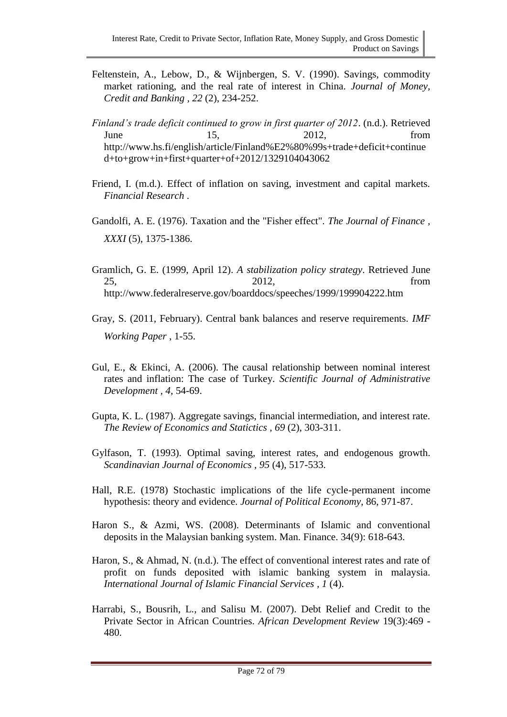- Feltenstein, A., Lebow, D., & Wijnbergen, S. V. (1990). Savings, commodity market rationing, and the real rate of interest in China. *Journal of Money, Credit and Banking , 22* (2), 234-252.
- *Finland's trade deficit continued to grow in first quarter of 2012*. (n.d.). Retrieved June 15, 2012, from http://www.hs.fi/english/article/Finland%E2%80%99s+trade+deficit+continue d+to+grow+in+first+quarter+of+2012/1329104043062
- Friend, I. (m.d.). Effect of inflation on saving, investment and capital markets. *Financial Research* .
- Gandolfi, A. E. (1976). Taxation and the "Fisher effect". *The Journal of Finance , XXXI* (5), 1375-1386.
- Gramlich, G. E. (1999, April 12). *A stabilization policy strategy*. Retrieved June 25, 2012, from http://www.federalreserve.gov/boarddocs/speeches/1999/199904222.htm
- Gray, S. (2011, February). Central bank balances and reserve requirements. *IMF Working Paper* , 1-55.
- Gul, E., & Ekinci, A. (2006). The causal relationship between nominal interest rates and inflation: The case of Turkey. *Scientific Journal of Administrative Development , 4*, 54-69.
- Gupta, K. L. (1987). Aggregate savings, financial intermediation, and interest rate. *The Review of Economics and Statictics , 69* (2), 303-311.
- Gylfason, T. (1993). Optimal saving, interest rates, and endogenous growth. *Scandinavian Journal of Economics , 95* (4), 517-533.
- Hall, R.E. (1978) Stochastic implications of the life cycle-permanent income hypothesis: theory and evidence. *Journal of Political Economy*, 86, 971-87.
- Haron S., & Azmi, WS. (2008). Determinants of Islamic and conventional deposits in the Malaysian banking system. Man. Finance. 34(9): 618-643.
- Haron, S., & Ahmad, N. (n.d.). The effect of conventional interest rates and rate of profit on funds deposited with islamic banking system in malaysia. *International Journal of Islamic Financial Services , 1* (4).
- Harrabi, S., Bousrih, L., and Salisu M. (2007). Debt Relief and Credit to the Private Sector in African Countries. *African Development Review* 19(3):469 - 480.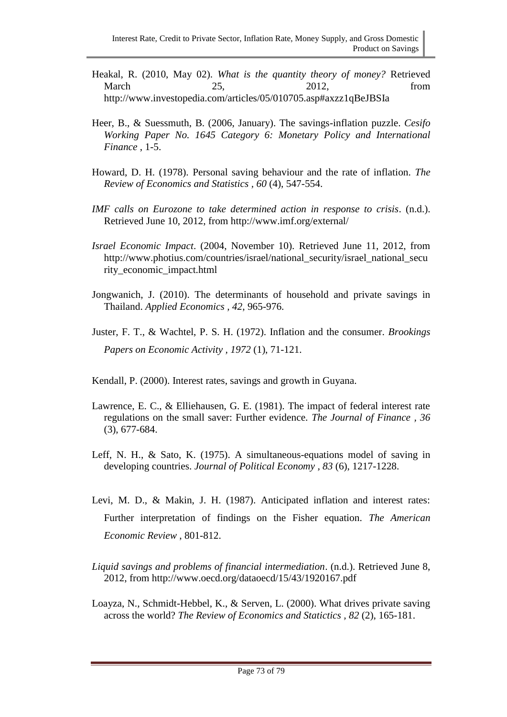- Heakal, R. (2010, May 02). *What is the quantity theory of money?* Retrieved March 25, 2012, from http://www.investopedia.com/articles/05/010705.asp#axzz1qBeJBSIa
- Heer, B., & Suessmuth, B. (2006, January). The savings-inflation puzzle. *Cesifo Working Paper No. 1645 Category 6: Monetary Policy and International Finance* , 1-5.
- Howard, D. H. (1978). Personal saving behaviour and the rate of inflation. *The Review of Economics and Statistics , 60* (4), 547-554.
- *IMF calls on Eurozone to take determined action in response to crisis*. (n.d.). Retrieved June 10, 2012, from http://www.imf.org/external/
- *Israel Economic Impact*. (2004, November 10). Retrieved June 11, 2012, from http://www.photius.com/countries/israel/national\_security/israel\_national\_secu rity\_economic\_impact.html
- Jongwanich, J. (2010). The determinants of household and private savings in Thailand. *Applied Economics , 42*, 965-976.
- Juster, F. T., & Wachtel, P. S. H. (1972). Inflation and the consumer. *Brookings Papers on Economic Activity , 1972* (1), 71-121.
- Kendall, P. (2000). Interest rates, savings and growth in Guyana.
- Lawrence, E. C., & Elliehausen, G. E. (1981). The impact of federal interest rate regulations on the small saver: Further evidence. *The Journal of Finance , 36* (3), 677-684.
- Leff, N. H., & Sato, K. (1975). A simultaneous-equations model of saving in developing countries. *Journal of Political Economy , 83* (6), 1217-1228.
- Levi, M. D., & Makin, J. H. (1987). Anticipated inflation and interest rates: Further interpretation of findings on the Fisher equation. *The American Economic Review* , 801-812.
- *Liquid savings and problems of financial intermediation*. (n.d.). Retrieved June 8, 2012, from http://www.oecd.org/dataoecd/15/43/1920167.pdf
- Loayza, N., Schmidt-Hebbel, K., & Serven, L. (2000). What drives private saving across the world? *The Review of Economics and Statictics , 82* (2), 165-181.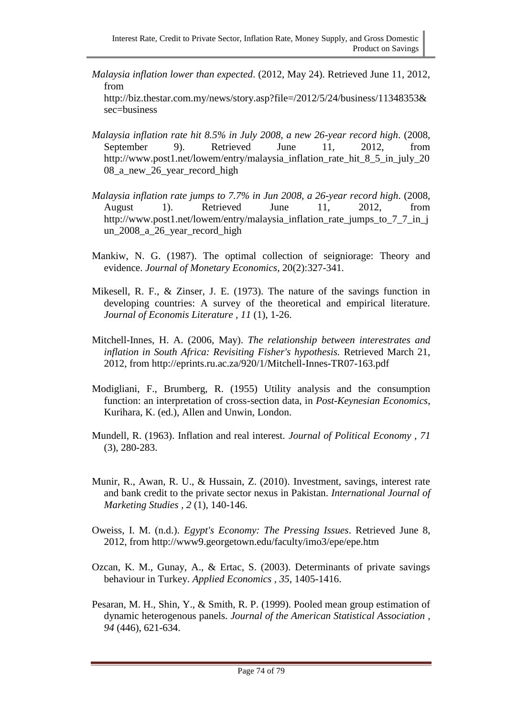*Malaysia inflation lower than expected*. (2012, May 24). Retrieved June 11, 2012, from

http://biz.thestar.com.my/news/story.asp?file=/2012/5/24/business/11348353& sec=business

- *Malaysia inflation rate hit 8.5% in July 2008, a new 26-year record high*. (2008, September 9). Retrieved June 11, 2012, from http://www.post1.net/lowem/entry/malaysia\_inflation\_rate\_hit\_8\_5\_in\_july\_20 08\_a\_new\_26\_year\_record\_high
- *Malaysia inflation rate jumps to 7.7% in Jun 2008, a 26-year record high*. (2008, August 1). Retrieved June 11, 2012, from http://www.post1.net/lowem/entry/malaysia\_inflation\_rate\_jumps\_to\_7\_7\_in\_j un\_2008\_a\_26\_year\_record\_high
- Mankiw, N. G. (1987). The optimal collection of seigniorage: Theory and evidence. *Journal of Monetary Economics*, 20(2):327-341.
- Mikesell, R. F., & Zinser, J. E. (1973). The nature of the savings function in developing countries: A survey of the theoretical and empirical literature. *Journal of Economis Literature , 11* (1), 1-26.
- Mitchell-Innes, H. A. (2006, May). *The relationship between interestrates and inflation in South Africa: Revisiting Fisher's hypothesis.* Retrieved March 21, 2012, from http://eprints.ru.ac.za/920/1/Mitchell-Innes-TR07-163.pdf
- Modigliani, F., Brumberg, R. (1955) Utility analysis and the consumption function: an interpretation of cross-section data, in *Post-Keynesian Economics*, Kurihara, K. (ed.), Allen and Unwin, London.
- Mundell, R. (1963). Inflation and real interest. *Journal of Political Economy , 71* (3), 280-283.
- Munir, R., Awan, R. U., & Hussain, Z. (2010). Investment, savings, interest rate and bank credit to the private sector nexus in Pakistan. *International Journal of Marketing Studies , 2* (1), 140-146.
- Oweiss, I. M. (n.d.). *Egypt's Economy: The Pressing Issues*. Retrieved June 8, 2012, from http://www9.georgetown.edu/faculty/imo3/epe/epe.htm
- Ozcan, K. M., Gunay, A., & Ertac, S. (2003). Determinants of private savings behaviour in Turkey. *Applied Economics , 35*, 1405-1416.
- Pesaran, M. H., Shin, Y., & Smith, R. P. (1999). Pooled mean group estimation of dynamic heterogenous panels. *Journal of the American Statistical Association , 94* (446), 621-634.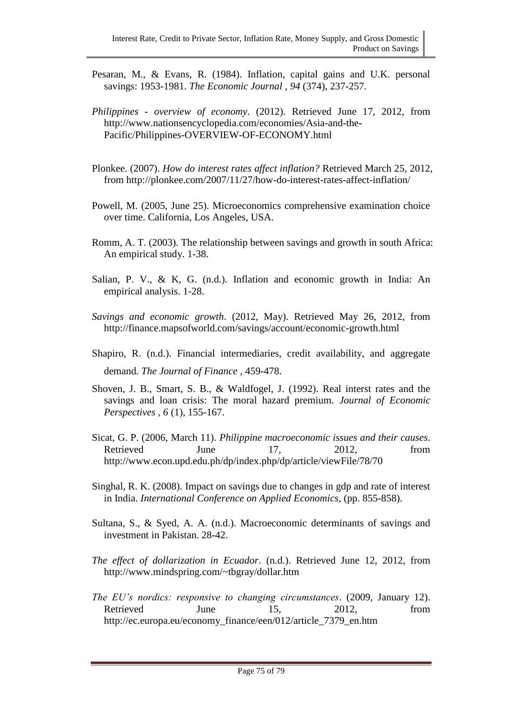- Pesaran, M., & Evans, R. (1984). Inflation, capital gains and U.K. personal savings: 1953-1981. *The Economic Journal , 94* (374), 237-257.
- *Philippines - overview of economy*. (2012). Retrieved June 17, 2012, from http://www.nationsencyclopedia.com/economies/Asia-and-the-Pacific/Philippines-OVERVIEW-OF-ECONOMY.html
- Plonkee. (2007). *How do interest rates affect inflation?* Retrieved March 25, 2012, from http://plonkee.com/2007/11/27/how-do-interest-rates-affect-inflation/
- Powell, M. (2005, June 25). Microeconomics comprehensive examination choice over time. California, Los Angeles, USA.
- Romm, A. T. (2003). The relationship between savings and growth in south Africa: An empirical study. 1-38.
- Salian, P. V., & K, G. (n.d.). Inflation and economic growth in India: An empirical analysis. 1-28.
- *Savings and economic growth*. (2012, May). Retrieved May 26, 2012, from http://finance.mapsofworld.com/savings/account/economic-growth.html
- Shapiro, R. (n.d.). Financial intermediaries, credit availability, and aggregate demand. *The Journal of Finance* , 459-478.
- Shoven, J. B., Smart, S. B., & Waldfogel, J. (1992). Real interst rates and the savings and loan crisis: The moral hazard premium. *Journal of Economic Perspectives , 6* (1), 155-167.
- Sicat, G. P. (2006, March 11). *Philippine macroeconomic issues and their causes*. Retrieved June 17, 2012, from http://www.econ.upd.edu.ph/dp/index.php/dp/article/viewFile/78/70
- Singhal, R. K. (2008). Impact on savings due to changes in gdp and rate of interest in India. *International Conference on Applied Economics*, (pp. 855-858).
- Sultana, S., & Syed, A. A. (n.d.). Macroeconomic determinants of savings and investment in Pakistan. 28-42.
- *The effect of dollarization in Ecuador*. (n.d.). Retrieved June 12, 2012, from http://www.mindspring.com/~tbgray/dollar.htm
- *The EU's nordics: responsive to changing circumstances*. (2009, January 12). Retrieved June 15, 2012, from http://ec.europa.eu/economy\_finance/een/012/article\_7379\_en.htm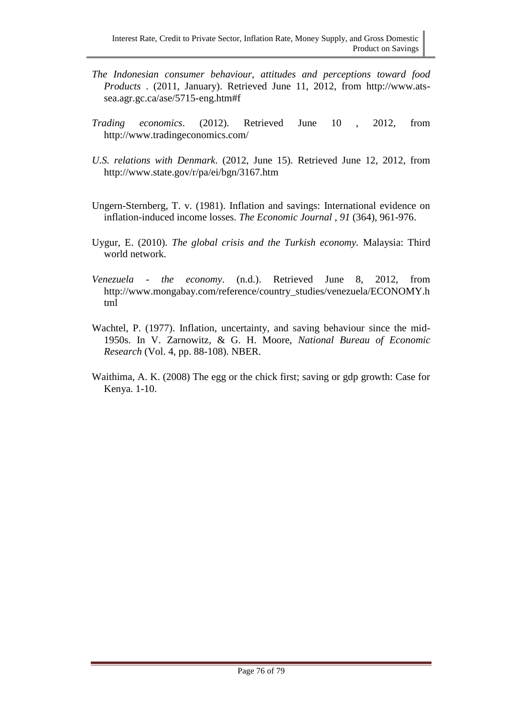- *The Indonesian consumer behaviour, attitudes and perceptions toward food Products* . (2011, January). Retrieved June 11, 2012, from http://www.atssea.agr.gc.ca/ase/5715-eng.htm#f
- *Trading economics*. (2012). Retrieved June 10 , 2012, from http://www.tradingeconomics.com/
- *U.S. relations with Denmark*. (2012, June 15). Retrieved June 12, 2012, from http://www.state.gov/r/pa/ei/bgn/3167.htm
- Ungern-Sternberg, T. v. (1981). Inflation and savings: International evidence on inflation-induced income losses. *The Economic Journal , 91* (364), 961-976.
- Uygur, E. (2010). *The global crisis and the Turkish economy.* Malaysia: Third world network.
- *Venezuela - the economy*. (n.d.). Retrieved June 8, 2012, from http://www.mongabay.com/reference/country\_studies/venezuela/ECONOMY.h tml
- Wachtel, P. (1977). Inflation, uncertainty, and saving behaviour since the mid-1950s. In V. Zarnowitz, & G. H. Moore, *National Bureau of Economic Research* (Vol. 4, pp. 88-108). NBER.
- Waithima, A. K. (2008) The egg or the chick first; saving or gdp growth: Case for Kenya. 1-10.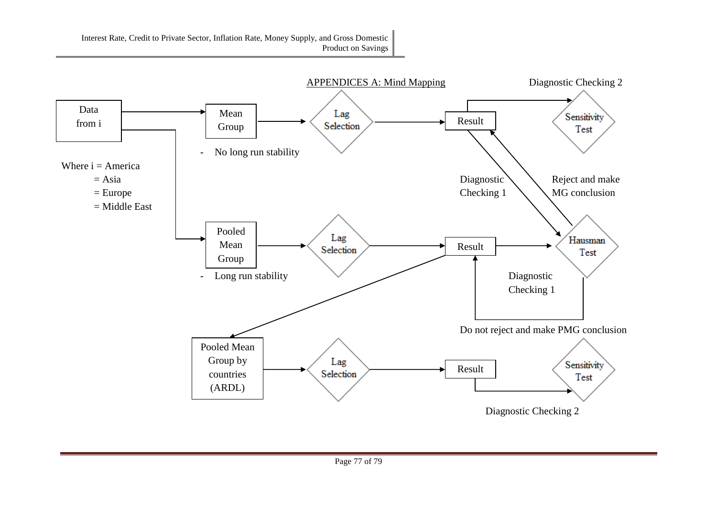

Interest Rate, Credit to Private Sector, Inflation Rate, Money Supply, and Gross Domestic Product on Savings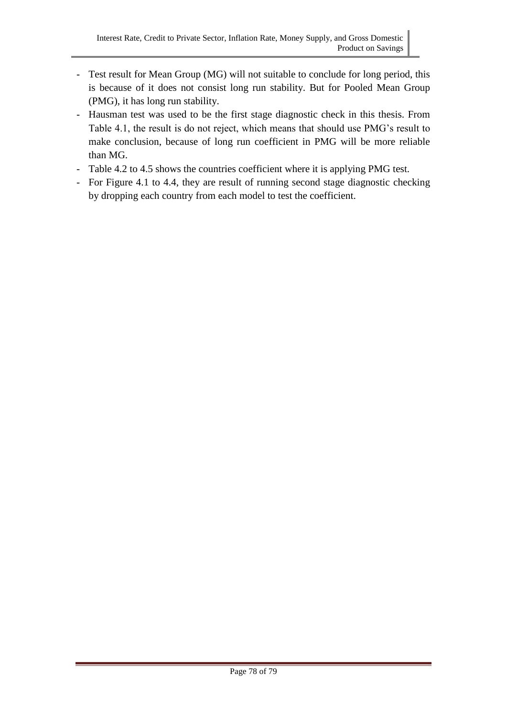- Test result for Mean Group (MG) will not suitable to conclude for long period, this is because of it does not consist long run stability. But for Pooled Mean Group (PMG), it has long run stability.
- Hausman test was used to be the first stage diagnostic check in this thesis. From Table 4.1, the result is do not reject, which means that should use PMG's result to make conclusion, because of long run coefficient in PMG will be more reliable than MG.
- Table 4.2 to 4.5 shows the countries coefficient where it is applying PMG test.
- For Figure 4.1 to 4.4, they are result of running second stage diagnostic checking by dropping each country from each model to test the coefficient.